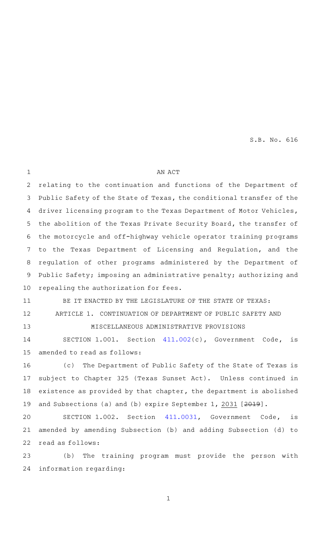AN ACT relating to the continuation and functions of the Department of Public Safety of the State of Texas, the conditional transfer of the driver licensing program to the Texas Department of Motor Vehicles, the abolition of the Texas Private Security Board, the transfer of the motorcycle and off-highway vehicle operator training programs to the Texas Department of Licensing and Regulation, and the regulation of other programs administered by the Department of Public Safety; imposing an administrative penalty; authorizing and repealing the authorization for fees. BE IT ENACTED BY THE LEGISLATURE OF THE STATE OF TEXAS: ARTICLE 1. CONTINUATION OF DEPARTMENT OF PUBLIC SAFETY AND MISCELLANEOUS ADMINISTRATIVE PROVISIONS SECTION 1.001. Section [411.002\(](http://www.statutes.legis.state.tx.us/GetStatute.aspx?Code=GV&Value=411.002&Date=5/27/2019)c), Government Code, is amended to read as follows: (c) The Department of Public Safety of the State of Texas is subject to Chapter 325 (Texas Sunset Act). Unless continued in existence as provided by that chapter, the department is abolished and Subsections (a) and (b) expire September 1, 2031 [2019]. SECTION 1.002. Section [411.0031](http://www.statutes.legis.state.tx.us/GetStatute.aspx?Code=GV&Value=411.0031&Date=5/27/2019), Government Code, is amended by amending Subsection (b) and adding Subsection (d) to read as follows: 1 2 3 4 5 6 7 8 9 10 11 12 13 14 15 16 17 18 19 20 21 22

(b) The training program must provide the person with information regarding: 23 24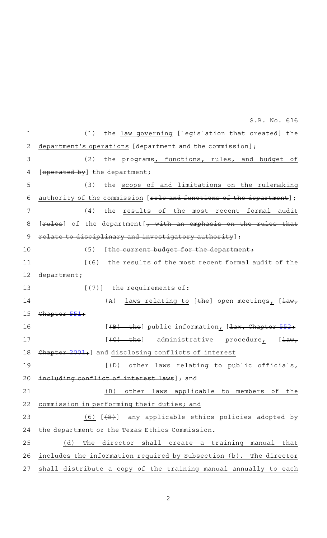(1) the law governing [<del>legislation that created</del>] the department's operations [department and the commission]; (2) the programs, functions, rules, and budget of [operated by] the department; (3) the scope of and limitations on the rulemaking authority of the commission [role and functions of the department]; (4) the results of the most recent formal audit  $[rule]$  of the department $[\frac{1}{2}, \frac{1}{2}, \frac{1}{2}]$  an emphasis on the rules that relate to disciplinary and investigatory authority];  $(5)$  [the current budget for the department;  $(46)$  the results of the most recent formal audit of the department;  $[-(7)]$  the requirements of: (A) laws relating to [ $the$ ] open meetings, [ $\frac{1}{u}$ ] Chapter  $[4B)$  the] public information,  $[4aw, Chapter 552;$  $[4aw, Chapter 552;$  $[4aw, Chapter 552;$  $[4C)$  the] administrative procedure<sub>1</sub> [law, Chapter [2001](http://www.statutes.legis.state.tx.us/GetStatute.aspx?Code=GV&Value=2001&Date=5/27/2019); and disclosing conflicts of interest [(D) other laws relating to public officials, including conflict of interest laws]; and (B) other laws applicable to members of the commission in performing their duties; and (6)  $[48]$  any applicable ethics policies adopted by the department or the Texas Ethics Commission. (d) The director shall create a training manual that includes the information required by Subsection (b). The director shall distribute a copy of the training manual annually to each 1 2 3 4 5 6 7 8 9 10 11 12 13 14 15 16 17 18 19 20 21 22 23 24 25 26 27 S.B. No. 616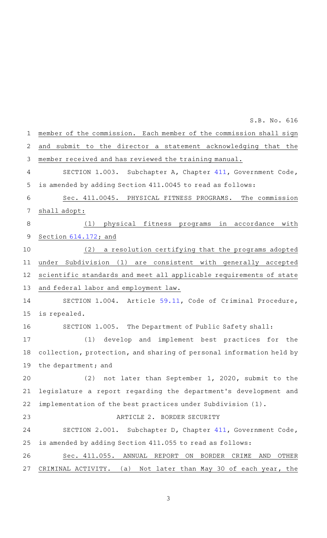| $\mathbf 1$    | member of the commission. Each member of the commission shall sign      |
|----------------|-------------------------------------------------------------------------|
| $\overline{2}$ | and submit to the director a statement acknowledging that the           |
| 3              | member received and has reviewed the training manual.                   |
| $\overline{4}$ | SECTION 1.003. Subchapter A, Chapter 411, Government Code,              |
| 5              | is amended by adding Section 411.0045 to read as follows:               |
| 6              | Sec. 411.0045. PHYSICAL FITNESS PROGRAMS. The commission                |
| $\overline{7}$ | shall adopt:                                                            |
| 8              | physical fitness programs<br>(1)<br>in accordance with                  |
| $\mathsf 9$    | Section $614.172$ ; and                                                 |
| 10             | (2)<br>a resolution certifying that the programs adopted                |
| 11             | under Subdivision (1) are consistent with generally accepted            |
| 12             | scientific standards and meet all applicable requirements of state      |
| 13             | and federal labor and employment law.                                   |
| 14             | SECTION 1.004. Article 59.11, Code of Criminal Procedure,               |
| 15             | is repealed.                                                            |
| 16             | SECTION 1.005. The Department of Public Safety shall:                   |
| 17             | develop and implement best practices for the<br>(1)                     |
| 18             | collection, protection, and sharing of personal information held by     |
| 19             | the department; and                                                     |
| 20             | (2) not later than September 1, 2020, submit to the                     |
| 21             | legislature a report regarding the department's development and         |
| 22             | implementation of the best practices under Subdivision (1).             |
| 23             | ARTICLE 2. BORDER SECURITY                                              |
| 24             | SECTION 2.001. Subchapter D, Chapter 411, Government Code,              |
| 25             | is amended by adding Section 411.055 to read as follows:                |
| 26             | Sec. 411.055. ANNUAL<br>REPORT<br>BORDER<br>ON<br>CRIME<br>AND<br>OTHER |
| 27             | Not later than May 30 of each year, the<br>CRIMINAL ACTIVITY. (a)       |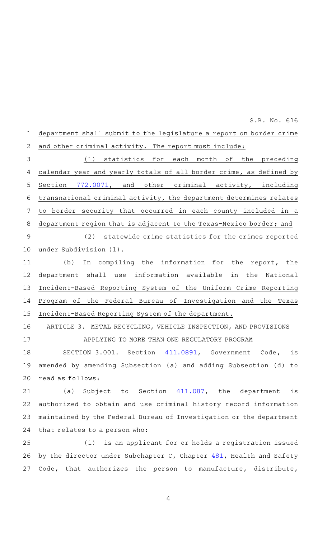department shall submit to the legislature a report on border crime and other criminal activity. The report must include: (1) statistics for each month of the preceding calendar year and yearly totals of all border crime, as defined by Section [772.0071](http://www.statutes.legis.state.tx.us/GetStatute.aspx?Code=GV&Value=772.0071&Date=5/27/2019), and other criminal activity, including transnational criminal activity, the department determines relates to border security that occurred in each county included in a department region that is adjacent to the Texas-Mexico border; and (2) statewide crime statistics for the crimes reported under Subdivision (1). (b) In compiling the information for the report, the department shall use information available in the National Incident-Based Reporting System of the Uniform Crime Reporting Program of the Federal Bureau of Investigation and the Texas Incident-Based Reporting System of the department. ARTICLE 3. METAL RECYCLING, VEHICLE INSPECTION, AND PROVISIONS APPLYING TO MORE THAN ONE REGULATORY PROGRAM SECTION 3.001. Section [411.0891](http://www.statutes.legis.state.tx.us/GetStatute.aspx?Code=GV&Value=411.0891&Date=5/27/2019), Government Code, is amended by amending Subsection (a) and adding Subsection (d) to read as follows: (a) Subject to Section  $411.087$ , the department is authorized to obtain and use criminal history record information maintained by the Federal Bureau of Investigation or the department that relates to a person who: (1) is an applicant for or holds a registration issued by the director under Subchapter C, Chapter [481](http://www.statutes.legis.state.tx.us/GetStatute.aspx?Code=HS&Value=481&Date=5/27/2019), Health and Safety 1 2 3 4 5 6 7 8 9 10 11 12 13 14 15 16 17 18 19 20 21 22 23 24 25 26 S.B. No. 616

4

Code, that authorizes the person to manufacture, distribute,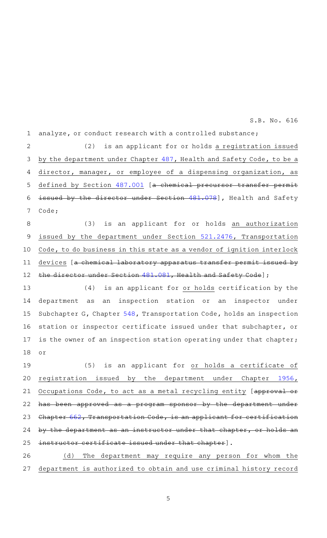analyze, or conduct research with a controlled substance; 1

(2) is an applicant for or holds a registration issued by the department under Chapter [487,](http://www.statutes.legis.state.tx.us/GetStatute.aspx?Code=HS&Value=487&Date=5/27/2019) Health and Safety Code, to be a director, manager, or employee of a dispensing organization, as defined by Section [487.001](http://www.statutes.legis.state.tx.us/GetStatute.aspx?Code=GV&Value=487.001&Date=5/27/2019) [a chemical precursor transfer permit issued by the director under Section [481.078](http://www.statutes.legis.state.tx.us/GetStatute.aspx?Code=HS&Value=481.078&Date=5/27/2019)], Health and Safety Code; 2 3 4 5 6 7

(3) is an applicant for or holds an authorization issued by the department under Section [521.2476,](http://www.statutes.legis.state.tx.us/GetStatute.aspx?Code=TN&Value=521.2476&Date=5/27/2019) Transportation Code, to do business in this state as a vendor of ignition interlock devices [a chemical laboratory apparatus transfer permit issued by the director under Section [481.081,](http://www.statutes.legis.state.tx.us/GetStatute.aspx?Code=HS&Value=481.081&Date=5/27/2019) Health and Safety Code]; 8 9 10 11 12

(4) is an applicant for or holds certification by the department as an inspection station or an inspector under Subchapter G, Chapter [548](http://www.statutes.legis.state.tx.us/GetStatute.aspx?Code=TN&Value=548&Date=5/27/2019), Transportation Code, holds an inspection station or inspector certificate issued under that subchapter, or is the owner of an inspection station operating under that chapter; or 13 14 15 16 17 18

(5) is an applicant for or holds a certificate of registration issued by the department under Chapter [1956](http://www.statutes.legis.state.tx.us/GetStatute.aspx?Code=OC&Value=1956&Date=5/27/2019), Occupations Code, to act as a metal recycling entity [approval or has been approved as a program sponsor by the department under Chapter [662,](http://www.statutes.legis.state.tx.us/GetStatute.aspx?Code=TN&Value=662&Date=5/27/2019) Transportation Code, is an applicant for certification by the department as an instructor under that chapter, or holds an instructor certificate issued under that chapter]. 19 20 21 22 23 24 25

(d) The department may require any person for whom the department is authorized to obtain and use criminal history record 26 27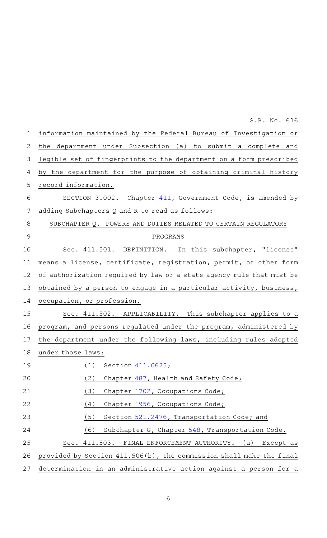information maintained by the Federal Bureau of Investigation or the department under Subsection (a) to submit a complete and legible set of fingerprints to the department on a form prescribed by the department for the purpose of obtaining criminal history record information. SECTION 3.002. Chapter [411](http://www.statutes.legis.state.tx.us/GetStatute.aspx?Code=GV&Value=411&Date=5/27/2019), Government Code, is amended by adding Subchapters Q and R to read as follows: SUBCHAPTER Q. POWERS AND DUTIES RELATED TO CERTAIN REGULATORY PROGRAMS Sec. 411.501. DEFINITION. In this subchapter, "license" means a license, certificate, registration, permit, or other form of authorization required by law or a state agency rule that must be obtained by a person to engage in a particular activity, business, occupation, or profession. Sec. 411.502. APPLICABILITY. This subchapter applies to a program, and persons regulated under the program, administered by the department under the following laws, including rules adopted under those laws:  $(1)$  Section  $411.0625;$ (2) Chapter [487,](http://www.statutes.legis.state.tx.us/GetStatute.aspx?Code=HS&Value=487&Date=5/27/2019) Health and Safety Code; (3) Chapter [1702](http://www.statutes.legis.state.tx.us/GetStatute.aspx?Code=OC&Value=1702&Date=5/27/2019), Occupations Code; (4) Chapter [1956](http://www.statutes.legis.state.tx.us/GetStatute.aspx?Code=OC&Value=1956&Date=5/27/2019), Occupations Code; (5) Section [521.2476,](http://www.statutes.legis.state.tx.us/GetStatute.aspx?Code=TN&Value=521.2476&Date=5/27/2019) Transportation Code; and (6) Subchapter G, Chapter  $548$ , Transportation Code. Sec. 411.503. FINAL ENFORCEMENT AUTHORITY. (a) Except as provided by Section 411.506(b), the commission shall make the final determination in an administrative action against a person for a 1 2 3 4 5 6 7 8 9 10 11 12 13 14 15 16 17 18 19 20 21 22 23 24 25 26 27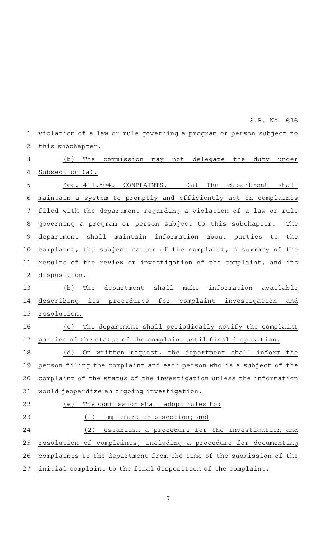|    | ∩∙∩∙ 11∩° ∩⊤∩                                                       |
|----|---------------------------------------------------------------------|
| 1  | violation of a law or rule governing a program or person subject to |
| 2  | this subchapter.                                                    |
| 3  | The<br>commission may not delegate the duty under<br>(b)            |
| 4  | Subsection (a).                                                     |
| 5  | $Sec. 411.504. COMPLAINTS.$ (a)<br>The<br>department<br>shall       |
| 6  | maintain a system to promptly and efficiently act on complaints     |
| 7  | filed with the department regarding a violation of a law or rule    |
| 8  | governing a program or person subject to this subchapter.<br>The    |
| 9  | department shall maintain information about parties to the          |
| 10 | complaint, the subject matter of the complaint, a summary of the    |
| 11 | results of the review or investigation of the complaint, and its    |
| 12 | disposition.                                                        |
| 13 | department shall make information available<br>(b)<br>The           |
| 14 | describing its procedures for<br>complaint investigation<br>and     |
| 15 | resolution.                                                         |
| 16 | The department shall periodically notify the complaint<br>( C )     |
| 17 | parties of the status of the complaint until final disposition.     |
| 18 | (d)<br>On written request, the department shall inform the          |
| 19 | person filing the complaint and each person who is a subject of the |
| 20 | complaint of the status of the investigation unless the information |
| 21 | would jeopardize an ongoing investigation.                          |
| 22 | The commission shall adopt rules to:<br>(e)                         |
| 23 | implement this section; and<br>(1)                                  |
| 24 | (2)<br>establish a procedure for the investigation and              |
| 25 | resolution of complaints, including a procedure for documenting     |
| 26 | complaints to the department from the time of the submission of the |
| 27 | initial complaint to the final disposition of the complaint.        |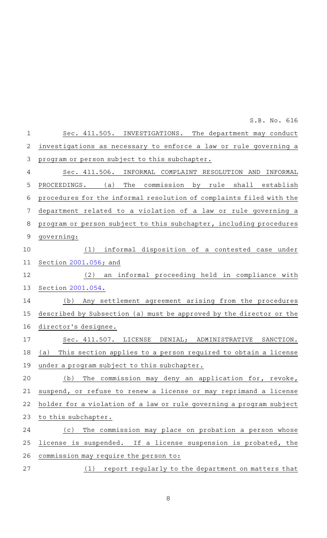Sec. 411.505. INVESTIGATIONS. The department may conduct investigations as necessary to enforce a law or rule governing a program or person subject to this subchapter. Sec. 411.506. INFORMAL COMPLAINT RESOLUTION AND INFORMAL PROCEEDINGS. (a) The commission by rule shall establish procedures for the informal resolution of complaints filed with the department related to a violation of a law or rule governing a program or person subject to this subchapter, including procedures governing:  $(1)$  informal disposition of a contested case under Section [2001.056](http://www.statutes.legis.state.tx.us/GetStatute.aspx?Code=GV&Value=2001.056&Date=5/27/2019); and (2) an informal proceeding held in compliance with Section [2001.054](http://www.statutes.legis.state.tx.us/GetStatute.aspx?Code=GV&Value=2001.054&Date=5/27/2019). (b) Any settlement agreement arising from the procedures described by Subsection (a) must be approved by the director or the director 's designee. Sec. 411.507. LICENSE DENIAL; ADMINISTRATIVE SANCTION. (a) This section applies to a person required to obtain a license under a program subject to this subchapter. (b) The commission may deny an application for, revoke, suspend, or refuse to renew a license or may reprimand a license holder for a violation of a law or rule governing a program subject to this subchapter. (c) The commission may place on probation a person whose license is suspended. If a license suspension is probated, the commission may require the person to: (1) report regularly to the department on matters that 1 2 3 4 5 6 7 8 9 10 11 12 13 14 15 16 17 18 19 20 21 22 23 24 25 26 27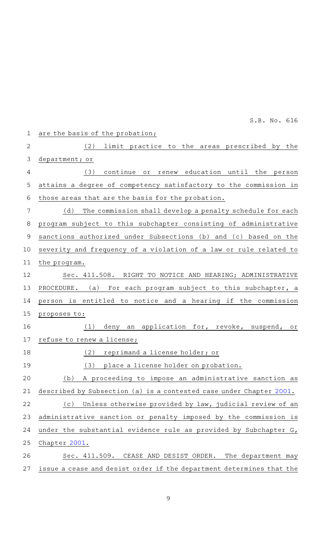| $\mathbf 1$    | are the basis of the probation;                                      |
|----------------|----------------------------------------------------------------------|
| $\overline{2}$ | (2)<br>limit practice to the areas prescribed by the                 |
| 3              | department; or                                                       |
| 4              | continue or renew education until the person<br>(3)                  |
| 5              | attains a degree of competency satisfactory to the commission in     |
| 6              | those areas that are the basis for the probation.                    |
| 7              | (d)<br>The commission shall develop a penalty schedule for each      |
| 8              | program subject to this subchapter consisting of administrative      |
| $\mathsf 9$    | sanctions authorized under Subsections (b) and (c) based on the      |
| 10             | severity and frequency of a violation of a law or rule related to    |
| 11             | the program.                                                         |
| 12             | Sec. 411.508. RIGHT TO NOTICE AND HEARING; ADMINISTRATIVE            |
| 13             | PROCEDURE.<br>(a) For each program subject to this subchapter, a     |
| 14             | person is entitled to notice and a hearing if the commission         |
| 15             | proposes to:                                                         |
| 16             | deny an application for, revoke, suspend, or<br>(1)                  |
| 17             | refuse to renew a license;                                           |
| 18             | (2)<br>reprimand a license holder; or                                |
| 19             | place a license holder on probation.<br>(3)                          |
| 20             | A proceeding to impose an administrative sanction as<br>(b)          |
| 21             | described by Subsection (a) is a contested case under Chapter 2001.  |
| 22             | Unless otherwise provided by law, judicial review of an<br>(c)       |
| 23             | administrative sanction or penalty imposed by the commission is      |
| 24             | under the substantial evidence rule as provided by Subchapter G,     |
| 25             | Chapter 2001.                                                        |
| 26             | Sec. 411.509. CEASE AND DESIST ORDER. The department may             |
| 27             | issue a cease and desist order if the department determines that the |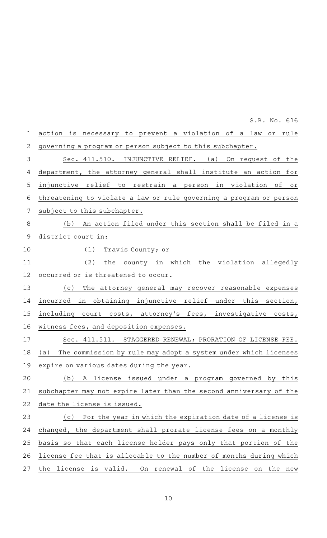| $\mathbf 1$    | action is necessary to prevent a violation of a law or rule           |
|----------------|-----------------------------------------------------------------------|
| $\overline{2}$ | governing a program or person subject to this subchapter.             |
| $\mathsf 3$    | Sec. 411.510. INJUNCTIVE RELIEF. (a) On request of the                |
| $\overline{4}$ | department, the attorney general shall institute an action for        |
| 5              | injunctive relief to restrain a person in violation of<br>Оľ          |
| 6              | threatening to violate a law or rule governing a program or person    |
| $\overline{7}$ | subject to this subchapter.                                           |
| 8              | (b) An action filed under this section shall be filed in a            |
| $\mathsf 9$    | district court in:                                                    |
| 10             | Travis County; or<br>(1)                                              |
| 11             | the county in which the violation allegedly<br>(2)                    |
| 12             | occurred or is threatened to occur.                                   |
| 13             | The attorney general may recover reasonable expenses<br>(c)           |
| 14             | incurred in obtaining injunctive relief under this section,           |
| 15             | including court costs, attorney's fees, investigative costs,          |
| 16             | witness fees, and deposition expenses.                                |
| 17             | Sec. 411.511. STAGGERED RENEWAL; PRORATION OF LICENSE FEE.            |
| 18             | The commission by rule may adopt a system under which licenses<br>(a) |
| 19             | expire on various dates during the year.                              |
| 20             | A license issued under a program governed by this<br>(b)              |
| 21             | subchapter may not expire later than the second anniversary of the    |
| 22             | date the license is issued.                                           |
| 23             | For the year in which the expiration date of a license is<br>(c)      |
| 24             | changed, the department shall prorate license fees on a monthly       |
| 25             | basis so that each license holder pays only that portion of the       |
| 26             | license fee that is allocable to the number of months during which    |
| 27             | the license is valid.<br>On renewal of the license<br>on the new      |
|                |                                                                       |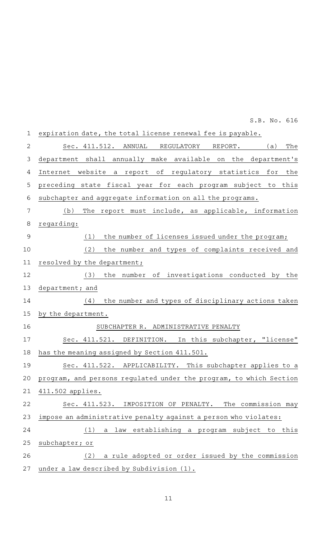expiration date, the total license renewal fee is payable. Sec. 411.512. ANNUAL REGULATORY REPORT. (a) The department shall annually make available on the department 's Internet website a report of regulatory statistics for the preceding state fiscal year for each program subject to this subchapter and aggregate information on all the programs. (b) The report must include, as applicable, information regarding: (1) the number of licenses issued under the program; (2) the number and types of complaints received and resolved by the department;  $(3)$  the number of investigations conducted by the department; and  $(4)$  the number and types of disciplinary actions taken by the department. SUBCHAPTER R. ADMINISTRATIVE PENALTY Sec. 411.521. DEFINITION. In this subchapter, "license" has the meaning assigned by Section 411.501. Sec. 411.522. APPLICABILITY. This subchapter applies to a program, and persons regulated under the program, to which Section 411.502 applies. Sec. 411.523. IMPOSITION OF PENALTY. The commission may impose an administrative penalty against a person who violates:  $(1)$  a law establishing a program subject to this subchapter; or (2) a rule adopted or order issued by the commission under a law described by Subdivision (1). 1 2 3 4 5 6 7 8 9 10 11 12 13 14 15 16 17 18 19 20 21 22 23 24 25 26 27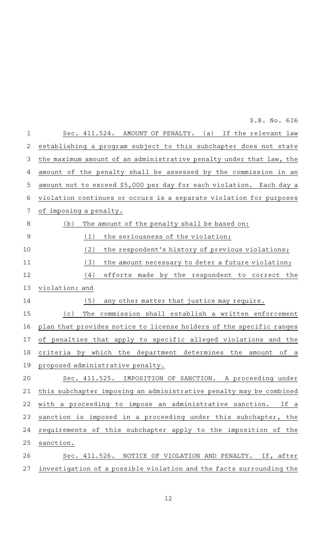Sec. 411.524. AMOUNT OF PENALTY. (a) If the relevant law establishing a program subject to this subchapter does not state the maximum amount of an administrative penalty under that law, the amount of the penalty shall be assessed by the commission in an amount not to exceed \$5,000 per day for each violation. Each day a violation continues or occurs is a separate violation for purposes of imposing a penalty.  $(b)$  The amount of the penalty shall be based on:  $(1)$  the seriousness of the violation; (2) the respondent's history of previous violations; (3) the amount necessary to deter a future violation;  $(4)$  efforts made by the respondent to correct the violation; and  $(5)$  any other matter that justice may require. (c) The commission shall establish a written enforcement plan that provides notice to license holders of the specific ranges of penalties that apply to specific alleged violations and the criteria by which the department determines the amount of a proposed administrative penalty. Sec. 411.525. IMPOSITION OF SANCTION. A proceeding under this subchapter imposing an administrative penalty may be combined with a proceeding to impose an administrative sanction. If a sanction is imposed in a proceeding under this subchapter, the requirements of this subchapter apply to the imposition of the sanction. Sec. 411.526. NOTICE OF VIOLATION AND PENALTY. If, after investigation of a possible violation and the facts surrounding the 1 2 3 4 5 6 7 8 9 10 11 12 13 14 15 16 17 18 19 20 21 22 23 24 25 26 27

S.B. No. 616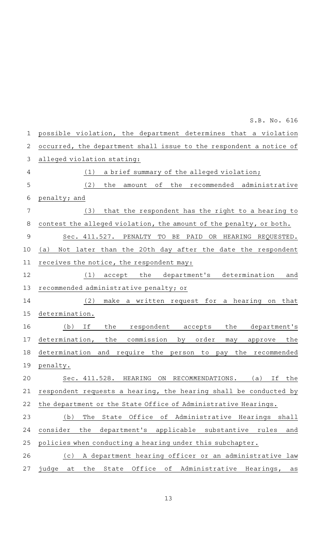possible violation, the department determines that a violation occurred, the department shall issue to the respondent a notice of alleged violation stating:  $(1)$  a brief summary of the alleged violation; (2) the amount of the recommended administrative penalty; and (3) that the respondent has the right to a hearing to contest the alleged violation, the amount of the penalty, or both. Sec. 411.527. PENALTY TO BE PAID OR HEARING REQUESTED. (a) Not later than the 20th day after the date the respondent receives the notice, the respondent may: (1) accept the department's determination and recommended administrative penalty; or  $(2)$  make a written request for a hearing on that determination. (b) If the respondent accepts the department's determination, the commission by order may approve the determination and require the person to pay the recommended penalty. Sec. 411.528. HEARING ON RECOMMENDATIONS. (a) If the respondent requests a hearing, the hearing shall be conducted by the department or the State Office of Administrative Hearings. (b) The State Office of Administrative Hearings shall consider the department 's applicable substantive rules and policies when conducting a hearing under this subchapter. (c)AAA department hearing officer or an administrative law judge at the State Office of Administrative Hearings, as 1 2 3 4 5 6 7 8 9 10 11 12 13 14 15 16 17 18 19 20 21 22 23 24 25 26 27

S.B. No. 616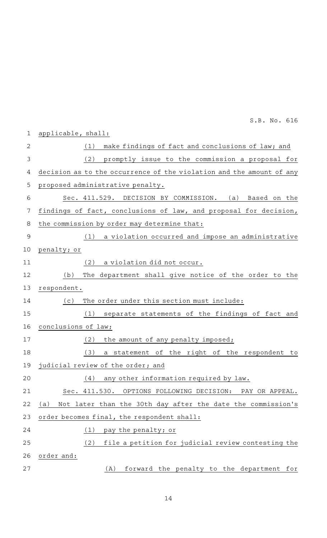|                | S.B. No. 616                                                         |
|----------------|----------------------------------------------------------------------|
| $\mathbf{1}$   | applicable, shall:                                                   |
| $\overline{2}$ | make findings of fact and conclusions of law; and<br>(1)             |
| 3              | promptly issue to the commission a proposal for<br>(2)               |
| 4              | decision as to the occurrence of the violation and the amount of any |
| 5              | proposed administrative penalty.                                     |
| 6              | Sec. 411.529. DECISION BY COMMISSION. (a) Based on the               |
| 7              | findings of fact, conclusions of law, and proposal for decision,     |
| 8              | the commission by order may determine that:                          |
| 9              | a violation occurred and impose an administrative<br>(1)             |
| 10             | penalty; or                                                          |
| 11             | a violation did not occur.<br>(2)                                    |
| 12             | The department shall give notice of the order to the<br>(b)          |
| 13             | respondent.                                                          |
| 14             | The order under this section must include:<br>(c)                    |
| 15             | separate statements of the findings of fact and<br>(1)               |
| 16             | conclusions of law;                                                  |
| 17             | the amount of any penalty imposed;<br>(2)                            |
| 18             | (3)<br>a statement of the right of the respondent<br>to              |
| 19             | judicial review of the order; and                                    |
| 20             | any other information required by law.<br>(4)                        |
| 21             | OPTIONS FOLLOWING DECISION:<br>Sec. 411.530.<br>PAY OR APPEAL.       |
| 22             | Not later than the 30th day after the date the commission's<br>(a)   |
| 23             | order becomes final, the respondent shall:                           |
| 24             | pay the penalty; or<br>(1)                                           |
| 25             | (2)<br>file a petition for judicial review contesting the            |
| 26             | order and:                                                           |
| 27             | forward the penalty to the department for<br>(A)                     |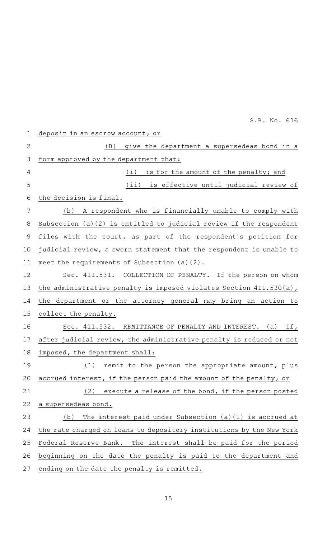deposit in an escrow account; or  $(B)$  qive the department a supersedeas bond in a form approved by the department that:  $(i)$  is for the amount of the penalty; and (ii) is effective until judicial review of the decision is final. (b) A respondent who is financially unable to comply with Subsection (a)(2) is entitled to judicial review if the respondent files with the court, as part of the respondent's petition for judicial review, a sworn statement that the respondent is unable to meet the requirements of Subsection (a)(2). Sec. 411.531. COLLECTION OF PENALTY. If the person on whom the administrative penalty is imposed violates Section 411.530(a), the department or the attorney general may bring an action to collect the penalty. Sec. 411.532. REMITTANCE OF PENALTY AND INTEREST. (a) If, after judicial review, the administrative penalty is reduced or not imposed, the department shall:  $(1)$  remit to the person the appropriate amount, plus accrued interest, if the person paid the amount of the penalty; or  $(2)$  execute a release of the bond, if the person posted a supersedeas bond. (b) The interest paid under Subsection (a)(1) is accrued at the rate charged on loans to depository institutions by the New York Federal Reserve Bank. The interest shall be paid for the period beginning on the date the penalty is paid to the department and ending on the date the penalty is remitted. 1 2 3 4 5 6 7 8 9 10 11 12 13 14 15 16 17 18 19 20 21 22 23 24 25 26 27

S.B. No. 616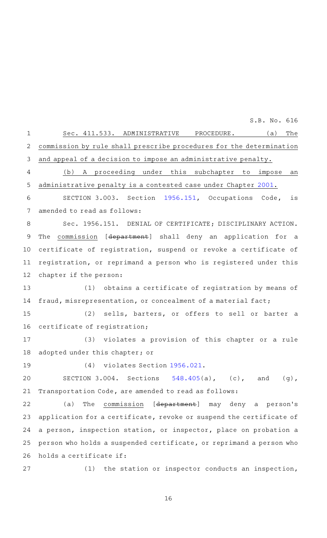Sec. 411.533. ADMINISTRATIVE PROCEDURE. (a) The commission by rule shall prescribe procedures for the determination and appeal of a decision to impose an administrative penalty. (b) A proceeding under this subchapter to impose an administrative penalty is a contested case under Chapter [2001](http://www.statutes.legis.state.tx.us/GetStatute.aspx?Code=GV&Value=2001&Date=5/27/2019). SECTION 3.003. Section [1956.151](http://www.statutes.legis.state.tx.us/GetStatute.aspx?Code=OC&Value=1956.151&Date=5/27/2019), Occupations Code, is amended to read as follows: Sec. 1956.151. DENIAL OF CERTIFICATE; DISCIPLINARY ACTION. The commission [department] shall deny an application for a certificate of registration, suspend or revoke a certificate of registration, or reprimand a person who is registered under this chapter if the person: (1) obtains a certificate of registration by means of fraud, misrepresentation, or concealment of a material fact; (2) sells, barters, or offers to sell or barter a certificate of registration; (3) violates a provision of this chapter or a rule adopted under this chapter; or (4) violates Section [1956.021.](http://www.statutes.legis.state.tx.us/GetStatute.aspx?Code=OC&Value=1956.021&Date=5/27/2019) SECTION 3.004. Sections  $548.405(a)$  $548.405(a)$ , (c), and (g), Transportation Code, are amended to read as follows: (a) The commission [department] may deny a person's application for a certificate, revoke or suspend the certificate of a person, inspection station, or inspector, place on probation a person who holds a suspended certificate, or reprimand a person who holds a certificate if: (1) the station or inspector conducts an inspection, 1 2 3 4 5 6 7 8 9 10 11 12 13 14 15 16 17 18 19 20 21 22 23 24 25 26 27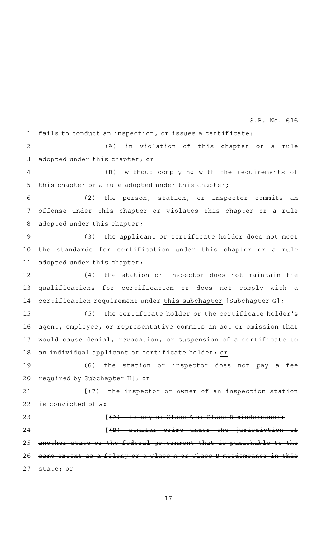fails to conduct an inspection, or issues a certificate: 1

(A) in violation of this chapter or a rule adopted under this chapter; or 2 3

(B) without complying with the requirements of this chapter or a rule adopted under this chapter; 4 5

 $(2)$  the person, station, or inspector commits an offense under this chapter or violates this chapter or a rule adopted under this chapter; 6 7 8

(3) the applicant or certificate holder does not meet the standards for certification under this chapter or a rule adopted under this chapter; 9 10 11

(4) the station or inspector does not maintain the qualifications for certification or does not comply with a certification requirement under this subchapter [Subchapter G]; 12 13 14

(5) the certificate holder or the certificate holder's agent, employee, or representative commits an act or omission that would cause denial, revocation, or suspension of a certificate to an individual applicant or certificate holder; or 15 16 17 18

(6) the station or inspector does not pay a fee required by Subchapter  $H[\rightarrow \Theta \rightarrow$ 19 20

 $[$   $(7)$  the inspector or owner of an inspection station is convicted of a: 21 22

23

 $[A]$  felony or Class A or Class B misdemeanor;

 $[$   $($ B $)$  similar crime under the jurisdiction of another state or the federal government that is punishable to the same extent as a felony or a Class A or Class B misdemeanor in this state; or 24 25 26 27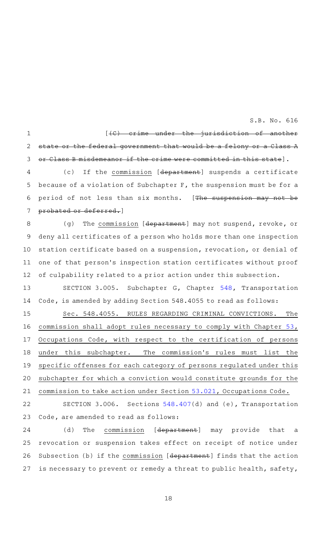$\begin{array}{cccc} \text{[}+\text{C)} & \text{erime} & \text{under the} & \text{inductor} & \text{of} & \text{another} \end{array}$ state or the federal government that would be a felony or a Class A Class B misdemeanor if the crime were committed in this state]. (c) If the commission [department] suspends a certificate because of a violation of Subchapter F, the suspension must be for a period of not less than six months. [The suspension may not be probated or deferred.] (g) The commission  $[*department*]$  may not suspend, revoke, or deny all certificates of a person who holds more than one inspection station certificate based on a suspension, revocation, or denial of one of that person's inspection station certificates without proof of culpability related to a prior action under this subsection. SECTION 3.005. Subchapter G, Chapter [548,](http://www.statutes.legis.state.tx.us/GetStatute.aspx?Code=TN&Value=548&Date=5/27/2019) Transportation Code, is amended by adding Section 548.4055 to read as follows: Sec. 548.4055. RULES REGARDING CRIMINAL CONVICTIONS. The commission shall adopt rules necessary to comply with Chapter [53](http://www.statutes.legis.state.tx.us/GetStatute.aspx?Code=OC&Value=53&Date=5/27/2019), Occupations Code, with respect to the certification of persons under this subchapter. The commission 's rules must list the specific offenses for each category of persons regulated under this subchapter for which a conviction would constitute grounds for the commission to take action under Section [53.021](http://www.statutes.legis.state.tx.us/GetStatute.aspx?Code=OC&Value=53.021&Date=5/27/2019), Occupations Code. SECTION 3.006. Sections [548.407\(](http://www.statutes.legis.state.tx.us/GetStatute.aspx?Code=TN&Value=548.407&Date=5/27/2019)d) and (e), Transportation 1 2 3 4 5 6 7 8 9 10 11 12 13 14 15 16 17 18 19 20 21 22

(d) The commission [department] may provide that a revocation or suspension takes effect on receipt of notice under Subsection (b) if the commission [department] finds that the action is necessary to prevent or remedy a threat to public health, safety, 24 25 26 27

Code, are amended to read as follows:

23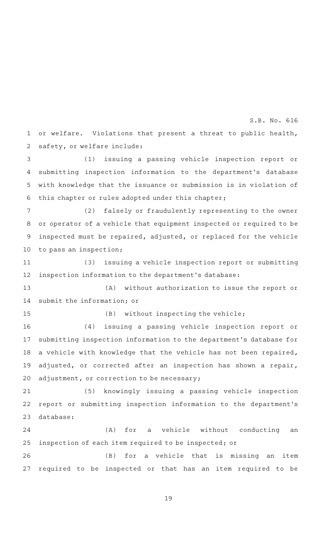or welfare. Violations that present a threat to public health, safety, or welfare include: 1 2

(1) issuing a passing vehicle inspection report or submitting inspection information to the department 's database with knowledge that the issuance or submission is in violation of this chapter or rules adopted under this chapter; 3 4 5 6

(2) falsely or fraudulently representing to the owner or operator of a vehicle that equipment inspected or required to be inspected must be repaired, adjusted, or replaced for the vehicle to pass an inspection; 7 8 9 10

(3) issuing a vehicle inspection report or submitting inspection information to the department 's database: 11 12

(A) without authorization to issue the report or submit the information; or 13 14

15

 $(B)$  without inspecting the vehicle;

(4) issuing a passing vehicle inspection report or submitting inspection information to the department 's database for a vehicle with knowledge that the vehicle has not been repaired, adjusted, or corrected after an inspection has shown a repair, adjustment, or correction to be necessary; 16 17 18 19 20

(5) knowingly issuing a passing vehicle inspection report or submitting inspection information to the department 's database: 21 22 23

(A) for a vehicle without conducting an inspection of each item required to be inspected; or 24 25

(B) for a vehicle that is missing an item required to be inspected or that has an item required to be 26 27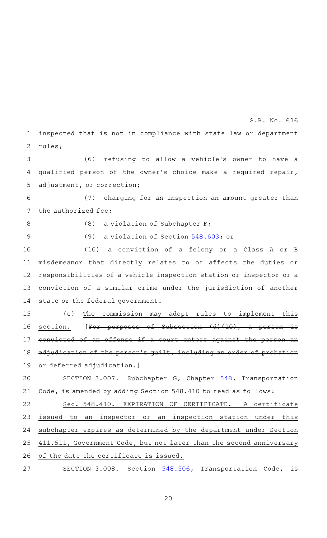inspected that is not in compliance with state law or department rules; 1 2

(6) refusing to allow a vehicle's owner to have a qualified person of the owner 's choice make a required repair, adjustment, or correction; 3 4 5

(7) charging for an inspection an amount greater than the authorized fee; 6 7

8

(8) a violation of Subchapter  $F$ ;

(9) a violation of Section [548.603;](http://www.statutes.legis.state.tx.us/GetStatute.aspx?Code=TN&Value=548.603&Date=5/27/2019) or 9

(10) a conviction of a felony or a Class A or B misdemeanor that directly relates to or affects the duties or responsibilities of a vehicle inspection station or inspector or a conviction of a similar crime under the jurisdiction of another state or the federal government. 10 11 12 13 14

(e) The commission may adopt rules to implement this section.  $[For$  purposes of Subsection  $(d)$  (10), a person convicted of an offense if a court enters against the adjudication of the person's quilt, including an order or deferred adjudication.] 15 16 17 18 19

SECTION 3.007. Subchapter G, Chapter [548,](http://www.statutes.legis.state.tx.us/GetStatute.aspx?Code=TN&Value=548&Date=5/27/2019) Transportation Code, is amended by adding Section 548.410 to read as follows: 20 21

Sec. 548.410. EXPIRATION OF CERTIFICATE. A certificate issued to an inspector or an inspection station under this subchapter expires as determined by the department under Section 411.511, Government Code, but not later than the second anniversary of the date the certificate is issued. 22 23 24 25 26

SECTION 3.008. Section [548.506,](http://www.statutes.legis.state.tx.us/GetStatute.aspx?Code=TN&Value=548.506&Date=5/27/2019) Transportation Code, is 27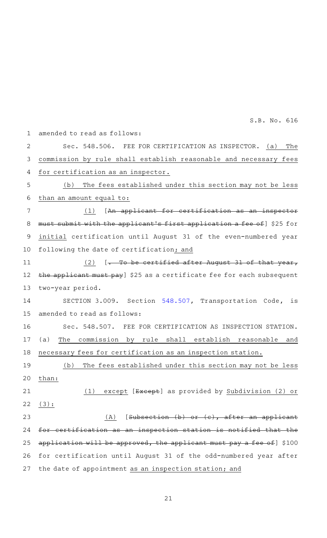| $\mathbf 1$    | amended to read as follows:                                                   |
|----------------|-------------------------------------------------------------------------------|
| $\overline{2}$ | Sec. 548.506. FEE FOR CERTIFICATION AS INSPECTOR. (a)<br>The                  |
| 3              | commission by rule shall establish reasonable and necessary fees              |
| 4              | for certification as an inspector.                                            |
| 5              | (b) The fees established under this section may not be less                   |
| 6              | than an amount equal to:                                                      |
| 7              | (1) [An applicant for certification as an inspector                           |
| 8              | must submit with the applicant's first application a fee of] \$25 for         |
| 9              | initial certification until August 31 of the even-numbered year               |
| 10             | following the date of certification; and                                      |
| 11             | $(2)$ [. To be certified after August 31 of that year,                        |
| 12             | the applicant must pay] \$25 as a certificate fee for each subsequent         |
| 13             | two-year period.                                                              |
| 14             | SECTION 3.009. Section 548.507, Transportation Code, is                       |
| 15             | amended to read as follows:                                                   |
| 16             | Sec. 548.507. FEE FOR CERTIFICATION AS INSPECTION STATION.                    |
| 17             | commission by rule shall establish reasonable<br>(a)<br>The<br>and            |
| 18             | necessary fees for certification as an inspection station.                    |
| 19             | (b) The fees established under this section may not be less                   |
| 20             | than:                                                                         |
| 21             | $(1)$ except [ $\sqrt{E \times \sqrt{E}}$ ] as provided by Subdivision (2) or |
| 22             | (3):                                                                          |
| 23             | $[Subsection (b) or (c), after an application]$<br>(A)                        |
| 24             | for certification as an inspection station is notified that the               |
| 25             | application will be approved, the applicant must pay a fee of $]$ \$100       |
| 26             | for certification until August 31 of the odd-numbered year after              |
| 27             | the date of appointment as an inspection station; and                         |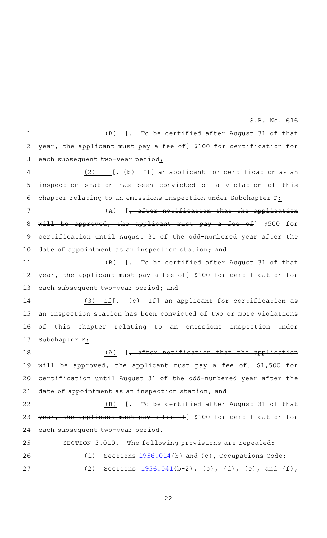$(B)$  [. To be certified after August 31 of that year, the applicant must pay a fee of] \$100 for certification for each subsequent two-year period; (2) if  $[-(b)$  If an applicant for certification as an inspection station has been convicted of a violation of this chapter relating to an emissions inspection under Subchapter F:  $(A)$  [, after notification that the application will be approved, the applicant must pay a fee of] \$500 for certification until August 31 of the odd-numbered year after the date of appointment as an inspection station; and  $(B)$  [. To be certified after August 31 of that year, the applicant must pay a fee of] \$100 for certification for each subsequent two-year period; and (3) if  $[-(c)$  If an applicant for certification as an inspection station has been convicted of two or more violations of this chapter relating to an emissions inspection under Subchapter F:  $(A)$  [, after notification that the application will be approved, the applicant must pay a fee of] \$1,500 for certification until August 31 of the odd-numbered year after the date of appointment as an inspection station; and  $(B)$  [. To be certified after August 31 of that year, the applicant must pay a fee of] \$100 for certification for each subsequent two-year period. SECTION 3.010. The following provisions are repealed: (1) Sections  $1956.014(b)$  $1956.014(b)$  and (c), Occupations Code; (2) Sections  $1956.041(b-2)$  $1956.041(b-2)$ , (c), (d), (e), and (f), 1 2 3 4 5 6 7 8 9 10 11 12 13 14 15 16 17 18 19 20 21 22 23 24 25 26 27

S.B. No. 616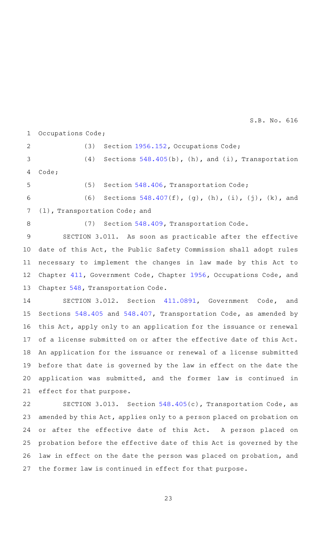Occupations Code; 1

(3) Section  $1956.152$ , Occupations Code; (4) Sections  $548.405(b)$  $548.405(b)$ , (h), and (i), Transportation Code; (5) Section [548.406,](http://www.statutes.legis.state.tx.us/GetStatute.aspx?Code=TN&Value=548.406&Date=5/27/2019) Transportation Code; (6) Sections  $548.407(f)$  $548.407(f)$ , (g), (h), (i), (j), (k), and 2 3 4 5 6

(l), Transportation Code; and 7

8

(7) Section [548.409,](http://www.statutes.legis.state.tx.us/GetStatute.aspx?Code=TN&Value=548.409&Date=5/27/2019) Transportation Code.

SECTION 3.011. As soon as practicable after the effective date of this Act, the Public Safety Commission shall adopt rules necessary to implement the changes in law made by this Act to Chapter [411](http://www.statutes.legis.state.tx.us/GetStatute.aspx?Code=GV&Value=411&Date=5/27/2019), Government Code, Chapter [1956](http://www.statutes.legis.state.tx.us/GetStatute.aspx?Code=OC&Value=1956&Date=5/27/2019), Occupations Code, and Chapter [548,](http://www.statutes.legis.state.tx.us/GetStatute.aspx?Code=TN&Value=548&Date=5/27/2019) Transportation Code. 9 10 11 12 13

SECTION 3.012. Section [411.0891](http://www.statutes.legis.state.tx.us/GetStatute.aspx?Code=GV&Value=411.0891&Date=5/27/2019), Government Code, and Sections [548.405](http://www.statutes.legis.state.tx.us/GetStatute.aspx?Code=TN&Value=548.405&Date=5/27/2019) and [548.407](http://www.statutes.legis.state.tx.us/GetStatute.aspx?Code=TN&Value=548.407&Date=5/27/2019), Transportation Code, as amended by this Act, apply only to an application for the issuance or renewal of a license submitted on or after the effective date of this Act. An application for the issuance or renewal of a license submitted before that date is governed by the law in effect on the date the application was submitted, and the former law is continued in effect for that purpose. 14 15 16 17 18 19 20 21

SECTION 3.013. Section [548.405](http://www.statutes.legis.state.tx.us/GetStatute.aspx?Code=TN&Value=548.405&Date=5/27/2019)(c), Transportation Code, as amended by this Act, applies only to a person placed on probation on or after the effective date of this Act. A person placed on probation before the effective date of this Act is governed by the law in effect on the date the person was placed on probation, and the former law is continued in effect for that purpose. 22 23 24 25 26 27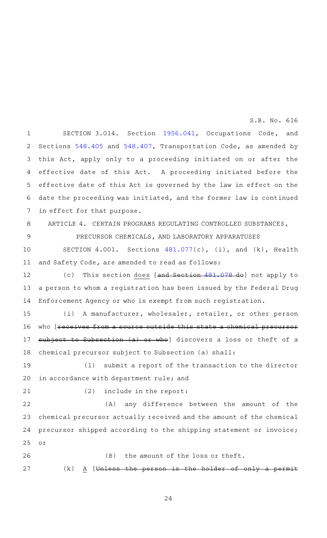SECTION 3.014. Section [1956.041](http://www.statutes.legis.state.tx.us/GetStatute.aspx?Code=OC&Value=1956.041&Date=5/27/2019), Occupations Code, and Sections [548.405](http://www.statutes.legis.state.tx.us/GetStatute.aspx?Code=TN&Value=548.405&Date=5/27/2019) and [548.407](http://www.statutes.legis.state.tx.us/GetStatute.aspx?Code=TN&Value=548.407&Date=5/27/2019), Transportation Code, as amended by this Act, apply only to a proceeding initiated on or after the effective date of this Act. A proceeding initiated before the effective date of this Act is governed by the law in effect on the date the proceeding was initiated, and the former law is continued in effect for that purpose. 1 2 3 4 5 6 7

8

ARTICLE 4. CERTAIN PROGRAMS REGULATING CONTROLLED SUBSTANCES,

9

PRECURSOR CHEMICALS, AND LABORATORY APPARATUSES

SECTION  $4.001$ . Sections  $481.077(c)$  $481.077(c)$ , (i), and (k), Health and Safety Code, are amended to read as follows: 10 11

(c) This section does [and Section [481.078](http://www.statutes.legis.state.tx.us/GetStatute.aspx?Code=HS&Value=481.078&Date=5/27/2019) do] not apply to a person to whom a registration has been issued by the Federal Drug Enforcement Agency or who is exempt from such registration. 12 13 14

(i) A manufacturer, wholesaler, retailer, or other person who [receives from a source outside this state a chemical precursor subject to Subsection (a) or who] discovers a loss or theft of a chemical precursor subject to Subsection (a) shall: 15 16 17 18

 $(1)$  submit a report of the transaction to the director in accordance with department rule; and 19 20

21

 $(2)$  include in the report:

(A) any difference between the amount of the chemical precursor actually received and the amount of the chemical precursor shipped according to the shipping statement or invoice; or 22 23 24 25

26

27

24

 $(B)$  the amount of the loss or theft.

 $(k)$  A [Unless the person is the holder of only a permit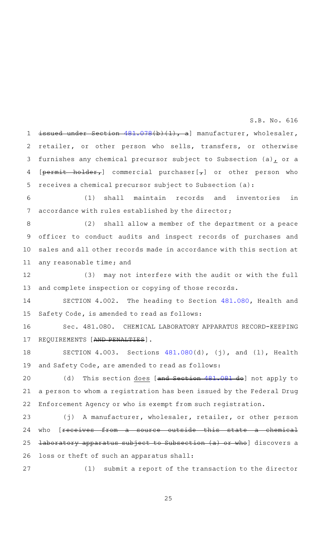issued under Section [481.078\(](http://www.statutes.legis.state.tx.us/GetStatute.aspx?Code=HS&Value=481.078&Date=5/27/2019)b)(1), a] manufacturer, wholesaler, retailer, or other person who sells, transfers, or otherwise furnishes any chemical precursor subject to Subsection (a) $<sub>r</sub>$  or a</sub>  $[permit - holder<sub>r</sub>]$  commercial purchaser $[\frac{1}{r}]$  or other person who receives a chemical precursor subject to Subsection (a): 1 2 3 4 5

(1) shall maintain records and inventories in accordance with rules established by the director; 6 7

(2) shall allow a member of the department or a peace officer to conduct audits and inspect records of purchases and sales and all other records made in accordance with this section at any reasonable time; and 8 9 10 11

(3) may not interfere with the audit or with the full and complete inspection or copying of those records. 12 13

SECTION 4.002. The heading to Section [481.080](http://www.statutes.legis.state.tx.us/GetStatute.aspx?Code=HS&Value=481.080&Date=5/27/2019), Health and Safety Code, is amended to read as follows: 14 15

Sec. 481.080. CHEMICAL LABORATORY APPARATUS RECORD-KEEPING REQUIREMENTS [AND PENALTIES]. 16 17

SECTION  $4.003$ . Sections  $481.080(d)$  $481.080(d)$ , (j), and (l), Health and Safety Code, are amended to read as follows: 18 19

(d) This section does [and Section [481.081](http://www.statutes.legis.state.tx.us/GetStatute.aspx?Code=HS&Value=481.081&Date=5/27/2019) do] not apply to a person to whom a registration has been issued by the Federal Drug Enforcement Agency or who is exempt from such registration. 20 21 22

(j) A manufacturer, wholesaler, retailer, or other person who [receives from a source outside this state a chemical laboratory apparatus subject to Subsection (a) or who] discovers a loss or theft of such an apparatus shall: 23 24 25 26

(1) submit a report of the transaction to the director 27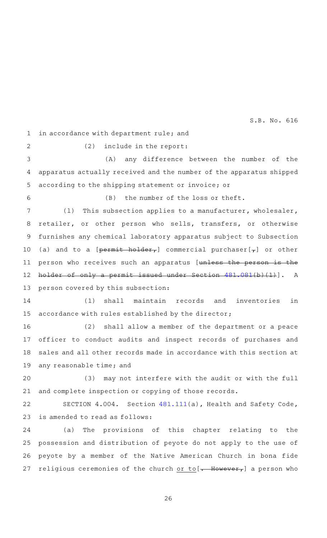in accordance with department rule; and 1

2

 $(2)$  include in the report:

(A) any difference between the number of the apparatus actually received and the number of the apparatus shipped according to the shipping statement or invoice; or 3 4 5

(B) the number of the loss or theft. 6

(1) This subsection applies to a manufacturer, wholesaler, retailer, or other person who sells, transfers, or otherwise furnishes any chemical laboratory apparatus subject to Subsection (a) and to a [ $permit-holder$  ] commercial purchaser[ $\tau$ ] or other person who receives such an apparatus [unless the person is the holder of only a permit issued under Section [481.081\(](http://www.statutes.legis.state.tx.us/GetStatute.aspx?Code=HS&Value=481.081&Date=5/27/2019)b)(1)]. A person covered by this subsection: 7 8 9 10 11 12 13

(1) shall maintain records and inventories in accordance with rules established by the director; 14 15

(2) shall allow a member of the department or a peace officer to conduct audits and inspect records of purchases and sales and all other records made in accordance with this section at any reasonable time; and 16 17 18 19

(3) may not interfere with the audit or with the full and complete inspection or copying of those records. 20 21

SECTION 4.004. Section [481.111](http://www.statutes.legis.state.tx.us/GetStatute.aspx?Code=HS&Value=481.111&Date=5/27/2019)(a), Health and Safety Code, is amended to read as follows: 22 23

(a) The provisions of this chapter relating to the possession and distribution of peyote do not apply to the use of peyote by a member of the Native American Church in bona fide religious ceremonies of the church or to  $[-$  However, a person who 24 25 26 27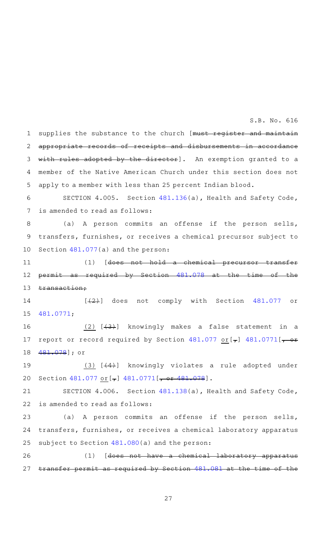supplies the substance to the church [must register and maintain appropriate records of receipts and disbursements in accordance with rules adopted by the director]. An exemption granted to a member of the Native American Church under this section does not apply to a member with less than 25 percent Indian blood. 1 2 3 4 5

SECTION 4.005. Section [481.136](http://www.statutes.legis.state.tx.us/GetStatute.aspx?Code=HS&Value=481.136&Date=5/27/2019)(a), Health and Safety Code, is amended to read as follows: 6 7

(a) A person commits an offense if the person sells, transfers, furnishes, or receives a chemical precursor subject to Section [481.077\(](http://www.statutes.legis.state.tx.us/GetStatute.aspx?Code=HS&Value=481.077&Date=5/27/2019)a) and the person: 8 9 10

(1) [does not hold a chemical precursor transfer permit as required by Section [481.078](http://www.statutes.legis.state.tx.us/GetStatute.aspx?Code=HS&Value=481.078&Date=5/27/2019) at the time of transaction; 11 12 13

 $[$   $(2)$ ] does not comply with Section [481.077](http://www.statutes.legis.state.tx.us/GetStatute.aspx?Code=HS&Value=481.077&Date=5/27/2019) or [481.0771](http://www.statutes.legis.state.tx.us/GetStatute.aspx?Code=HS&Value=481.0771&Date=5/27/2019); 14 15

 $(2)$   $[$   $(3)$   $]$  knowingly makes a false statement in a report or record required by Section  $481.077$  or  $\left[\right.\right.$   $\left.\right.$   $481.0771$   $\left[\right.\right.$ [481.078\]](http://www.statutes.legis.state.tx.us/GetStatute.aspx?Code=HS&Value=481.078&Date=5/27/2019); or 16 17 18

 $(3)$   $(4)$ ] knowingly violates a rule adopted under Section  $481.077 \text{ or } [\frac{\tau}{6}]$  $481.077 \text{ or } [\frac{\tau}{6}]$   $481.0771[\frac{\tau}{6}$  $481.0771[\frac{\tau}{6}$  or  $481.078]$ . 19 20

SECTION 4.006. Section [481.138](http://www.statutes.legis.state.tx.us/GetStatute.aspx?Code=HS&Value=481.138&Date=5/27/2019)(a), Health and Safety Code, is amended to read as follows: 21 22

(a) A person commits an offense if the person sells, transfers, furnishes, or receives a chemical laboratory apparatus subject to Section [481.080\(](http://www.statutes.legis.state.tx.us/GetStatute.aspx?Code=HS&Value=481.080&Date=5/27/2019)a) and the person: 23 24 25

(1) [does not have a chemical laboratory apparatus transfer permit as required by Section [481.081](http://www.statutes.legis.state.tx.us/GetStatute.aspx?Code=HS&Value=481.081&Date=5/27/2019) at the time 26 27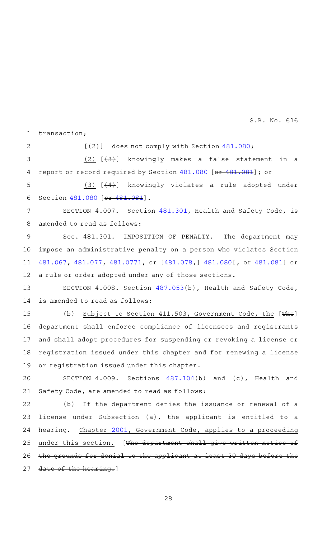transaction;  $[$   $(2)$ ] does not comply with Section [481.080;](http://www.statutes.legis.state.tx.us/GetStatute.aspx?Code=HS&Value=481.080&Date=5/27/2019)  $(2)$   $[$ ( $3)$ ) knowingly makes a false statement in a report or record required by Section [481.080](http://www.statutes.legis.state.tx.us/GetStatute.aspx?Code=HS&Value=481.080&Date=5/27/2019) [or [481.081\]](http://www.statutes.legis.state.tx.us/GetStatute.aspx?Code=HS&Value=481.081&Date=5/27/2019); or (3)  $[$   $(4)$ ] knowingly violates a rule adopted under Section [481.080](http://www.statutes.legis.state.tx.us/GetStatute.aspx?Code=HS&Value=481.080&Date=5/27/2019) [or [481.081](http://www.statutes.legis.state.tx.us/GetStatute.aspx?Code=HS&Value=481.081&Date=5/27/2019)]. SECTION 4.007. Section [481.301,](http://www.statutes.legis.state.tx.us/GetStatute.aspx?Code=HS&Value=481.301&Date=5/27/2019) Health and Safety Code, is amended to read as follows: Sec. 481.301. IMPOSITION OF PENALTY. The department may impose an administrative penalty on a person who violates Section [481.067,](http://www.statutes.legis.state.tx.us/GetStatute.aspx?Code=HS&Value=481.067&Date=5/27/2019) [481.077](http://www.statutes.legis.state.tx.us/GetStatute.aspx?Code=HS&Value=481.077&Date=5/27/2019), [481.0771](http://www.statutes.legis.state.tx.us/GetStatute.aspx?Code=HS&Value=481.0771&Date=5/27/2019), or [\[481.078](http://www.statutes.legis.state.tx.us/GetStatute.aspx?Code=HS&Value=481.078&Date=5/27/2019),] [481.080](http://www.statutes.legis.state.tx.us/GetStatute.aspx?Code=HS&Value=481.080&Date=5/27/2019) [, or [481.081](http://www.statutes.legis.state.tx.us/GetStatute.aspx?Code=HS&Value=481.081&Date=5/27/2019)] or a rule or order adopted under any of those sections. SECTION 4.008. Section [487.053](http://www.statutes.legis.state.tx.us/GetStatute.aspx?Code=HS&Value=487.053&Date=5/27/2019)(b), Health and Safety Code, is amended to read as follows: (b) Subject to Section 411.503, Government Code, the  $[The number of values]$ department shall enforce compliance of licensees and registrants and shall adopt procedures for suspending or revoking a license or registration issued under this chapter and for renewing a license or registration issued under this chapter. SECTION  $4.009$ . Sections  $487.104(b)$  $487.104(b)$  and (c), Health and Safety Code, are amended to read as follows: (b) If the department denies the issuance or renewal of a license under Subsection (a), the applicant is entitled to a hearing. Chapter [2001](http://www.statutes.legis.state.tx.us/GetStatute.aspx?Code=GV&Value=2001&Date=5/27/2019), Government Code, applies to a proceeding under this section. [The department shall give written notice of the grounds for denial to the applicant at least 30 days before the date of the hearing.] 1 2 3 4 5 6 7 8 9 10 11 12 13 14 15 16 17 18 19 20 21 22 23 24 25 26 27 S.B. No. 616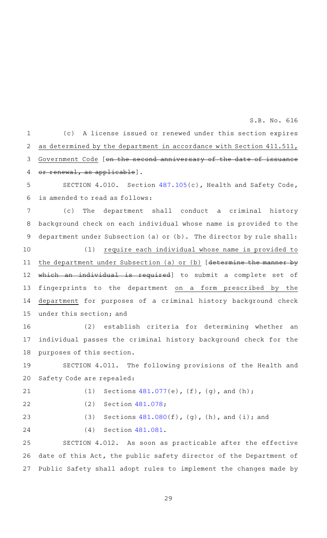(c)AAA license issued or renewed under this section expires as determined by the department in accordance with Section 411.511, Government Code [on the second anniversary of the date of issuance or renewal, as applicable]. SECTION 4.010. Section [487.105](http://www.statutes.legis.state.tx.us/GetStatute.aspx?Code=HS&Value=487.105&Date=5/27/2019)(c), Health and Safety Code, is amended to read as follows: (c) The department shall conduct a criminal history background check on each individual whose name is provided to the department under Subsection (a) or (b). The director by rule shall: (1) require each individual whose name is provided to the department under Subsection (a) or (b) [determine the manner by which an individual is required] to submit a complete set of fingerprints to the department on a form prescribed by the department for purposes of a criminal history background check under this section; and (2) establish criteria for determining whether an individual passes the criminal history background check for the purposes of this section. SECTION 4.011. The following provisions of the Health and Safety Code are repealed: (1) Sections  $481.077(e)$  $481.077(e)$ , (f), (g), and (h);  $(2)$  Section  $481.078$ ; (3) Sections  $481.080(f)$  $481.080(f)$ , (g), (h), and (i); and (4) Section [481.081.](http://www.statutes.legis.state.tx.us/GetStatute.aspx?Code=HS&Value=481.081&Date=5/27/2019) SECTION 4.012. As soon as practicable after the effective date of this Act, the public safety director of the Department of 1 2 3 4 5 6 7 8 9 10 11 12 13 14 15 16 17 18 19 20 21 22 23 24 25 26

29

Public Safety shall adopt rules to implement the changes made by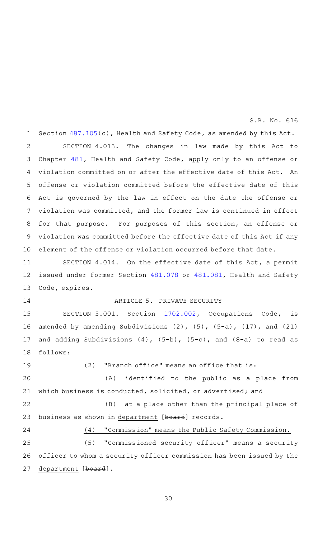Section [487.105\(](http://www.statutes.legis.state.tx.us/GetStatute.aspx?Code=HS&Value=487.105&Date=5/27/2019)c), Health and Safety Code, as amended by this Act. SECTION 4.013. The changes in law made by this Act to Chapter [481](http://www.statutes.legis.state.tx.us/GetStatute.aspx?Code=HS&Value=481&Date=5/27/2019), Health and Safety Code, apply only to an offense or violation committed on or after the effective date of this Act. An offense or violation committed before the effective date of this Act is governed by the law in effect on the date the offense or violation was committed, and the former law is continued in effect for that purpose. For purposes of this section, an offense or violation was committed before the effective date of this Act if any element of the offense or violation occurred before that date. 1 2 3 4 5 6 7 8 9 10

SECTION 4.014. On the effective date of this Act, a permit issued under former Section [481.078](http://www.statutes.legis.state.tx.us/GetStatute.aspx?Code=HS&Value=481.078&Date=5/27/2019) or [481.081](http://www.statutes.legis.state.tx.us/GetStatute.aspx?Code=HS&Value=481.081&Date=5/27/2019), Health and Safety Code, expires. 11 12 13

14

# ARTICLE 5. PRIVATE SECURITY

SECTION 5.001. Section [1702.002](http://www.statutes.legis.state.tx.us/GetStatute.aspx?Code=OC&Value=1702.002&Date=5/27/2019), Occupations Code, is amended by amending Subdivisions  $(2)$ ,  $(5)$ ,  $(5-a)$ ,  $(17)$ , and  $(21)$ and adding Subdivisions  $(4)$ ,  $(5-b)$ ,  $(5-c)$ , and  $(8-a)$  to read as follows: 15 16 17 18

 $(2)$  "Branch office" means an office that is: 19

(A) identified to the public as a place from which business is conducted, solicited, or advertised; and 20 21

(B) at a place other than the principal place of business as shown in department [board] records. 22 23

24

# (4) "Commission" means the Public Safety Commission.

(5) "Commissioned security officer" means a security officer to whom a security officer commission has been issued by the department [board]. 25 26 27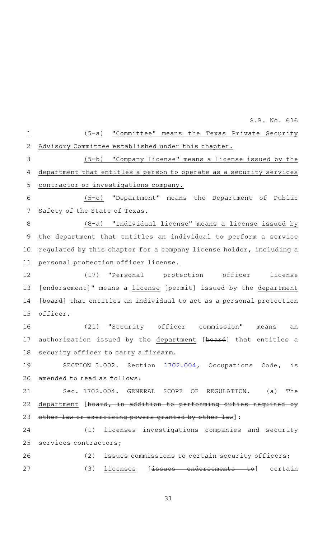|                | S.B. No. 616                                                        |
|----------------|---------------------------------------------------------------------|
| $\mathbf{1}$   | (5-a) "Committee" means the Texas Private Security                  |
| $\mathbf{2}$   | Advisory Committee established under this chapter.                  |
| $\mathfrak{Z}$ | (5-b) "Company license" means a license issued by the               |
| 4              | department that entitles a person to operate as a security services |
| 5              | contractor or investigations company.                               |
| 6              | (5-c) "Department" means the Department of Public                   |
| 7              | Safety of the State of Texas.                                       |
| 8              | (8-a) "Individual license" means a license issued by                |
| 9              | the department that entitles an individual to perform a service     |
| 10             | regulated by this chapter for a company license holder, including a |
| 11             | personal protection officer license.                                |
| 12             | (17) "Personal protection officer license                           |
| 13             | [endorsement]" means a license [permit] issued by the department    |
| 14             | [board] that entitles an individual to act as a personal protection |
| 15             | officer.                                                            |
| 16             | (21) "Security officer commission" means<br>an                      |
| 17             | authorization issued by the department [board] that entitles a      |
| 18             | security officer to carry a firearm.                                |
| 19             | SECTION 5.002. Section 1702.004, Occupations Code, is               |
| 20             | amended to read as follows:                                         |
| 21             | Sec. 1702.004. GENERAL SCOPE OF REGULATION.<br>(a)<br>The           |
| 22             | department [board, in addition to performing duties required by     |
| 23             | other law or exercising powers granted by other law]:               |
| 24             | licenses investigations companies and security<br>(1)               |
| 25             | services contractors;                                               |
| 26             | issues commissions to certain security officers;<br>(2)             |
| 27             | (3)<br>licenses<br>l <del>orsements to</del> ] certain              |
|                |                                                                     |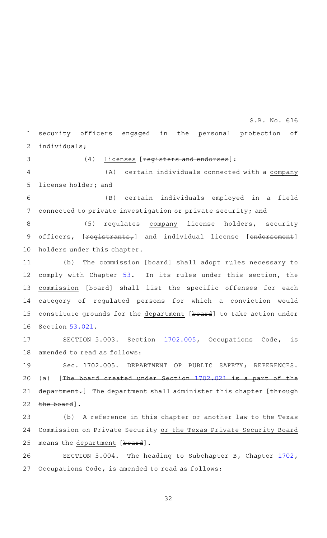security officers engaged in the personal protection of individuals; 1 2

3

 $(4)$  licenses [registers and endorses]:

(A) certain individuals connected with a company license holder; and 4 5

(B) certain individuals employed in a field connected to private investigation or private security; and 6 7

(5) regulates company license holders, security officers, [registrants,] and individual license [endorsement] holders under this chapter. 8 9 10

(b) The commission [board] shall adopt rules necessary to comply with Chapter [53](http://www.statutes.legis.state.tx.us/GetStatute.aspx?Code=OC&Value=53&Date=5/27/2019). In its rules under this section, the commission [board] shall list the specific offenses for each category of regulated persons for which a conviction would constitute grounds for the department [board] to take action under Section [53.021](http://www.statutes.legis.state.tx.us/GetStatute.aspx?Code=OC&Value=53.021&Date=5/27/2019). 11 12 13 14 15 16

SECTION 5.003. Section [1702.005](http://www.statutes.legis.state.tx.us/GetStatute.aspx?Code=OC&Value=1702.005&Date=5/27/2019), Occupations Code, is amended to read as follows: 17 18

Sec. 1702.005. DEPARTMENT OF PUBLIC SAFETY; REFERENCES. (a)  $[The board created under Section 1702.021 is a part of the$  $[The board created under Section 1702.021 is a part of the$  $[The board created under Section 1702.021 is a part of the$ department.] The department shall administer this chapter [through the board]. 19 20 21 22

(b) A reference in this chapter or another law to the Texas Commission on Private Security or the Texas Private Security Board means the department [board]. 23 24 25

SECTION 5.004. The heading to Subchapter B, Chapter [1702](http://www.statutes.legis.state.tx.us/GetStatute.aspx?Code=OC&Value=1702&Date=5/27/2019), Occupations Code, is amended to read as follows: 26 27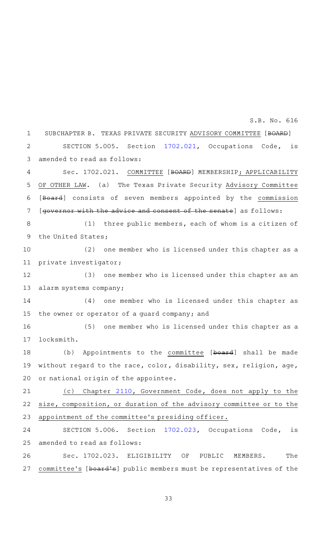SUBCHAPTER B. TEXAS PRIVATE SECURITY ADVISORY COMMITTEE [BOARD] SECTION 5.005. Section [1702.021](http://www.statutes.legis.state.tx.us/GetStatute.aspx?Code=OC&Value=1702.021&Date=5/27/2019), Occupations Code, is amended to read as follows: Sec. 1702.021. COMMITTEE [BOARD] MEMBERSHIP; APPLICABILITY OF OTHER LAW. (a) The Texas Private Security Advisory Committee [Board] consists of seven members appointed by the commission [governor with the advice and consent of the senate] as follows:  $(1)$  three public members, each of whom is a citizen of the United States; (2) one member who is licensed under this chapter as a private investigator; (3) one member who is licensed under this chapter as an alarm systems company;  $(4)$  one member who is licensed under this chapter as the owner or operator of a guard company; and (5) one member who is licensed under this chapter as a locksmith. (b) Appointments to the committee [board] shall be made without regard to the race, color, disability, sex, religion, age, or national origin of the appointee. (c) Chapter [2110](http://www.statutes.legis.state.tx.us/GetStatute.aspx?Code=GV&Value=2110&Date=5/27/2019), Government Code, does not apply to the size, composition, or duration of the advisory committee or to the appointment of the committee 's presiding officer. SECTION 5.006. Section [1702.023](http://www.statutes.legis.state.tx.us/GetStatute.aspx?Code=OC&Value=1702.023&Date=5/27/2019), Occupations Code, is amended to read as follows: Sec. 1702.023. ELIGIBILITY OF PUBLIC MEMBERS. The committee's [board's] public members must be representatives of the 1  $\mathcal{D}$ 3 4 5 6 7 8 9 10 11 12 13 14 15 16 17 18 19 20 21 22 23 24 25 26 27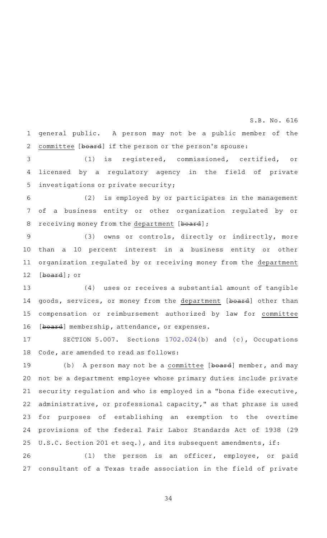general public. A person may not be a public member of the committee [board] if the person or the person's spouse: 1 2

S.B. No. 616

(1) is registered, commissioned, certified, or licensed by a regulatory agency in the field of private investigations or private security; 3 4 5

(2) is employed by or participates in the management of a business entity or other organization regulated by or receiving money from the department [board]; 6 7 8

(3) owns or controls, directly or indirectly, more than a 10 percent interest in a business entity or other organization regulated by or receiving money from the department [board]; or 9 10 11 12

 $(4)$  uses or receives a substantial amount of tangible goods, services, or money from the department [board] other than compensation or reimbursement authorized by law for committee [board] membership, attendance, or expenses. 13 14 15 16

SECTION 5.007. Sections [1702.024](http://www.statutes.legis.state.tx.us/GetStatute.aspx?Code=OC&Value=1702.024&Date=5/27/2019)(b) and (c), Occupations Code, are amended to read as follows: 17 18

(b) A person may not be a committee  $[b\rightarrow b]$  member, and may not be a department employee whose primary duties include private security regulation and who is employed in a "bona fide executive, administrative, or professional capacity," as that phrase is used for purposes of establishing an exemption to the overtime provisions of the federal Fair Labor Standards Act of 1938 (29 U.S.C. Section 201 et seq.), and its subsequent amendments, if: 19 20 21 22 23 24 25

 $(1)$  the person is an officer, employee, or paid consultant of a Texas trade association in the field of private 26 27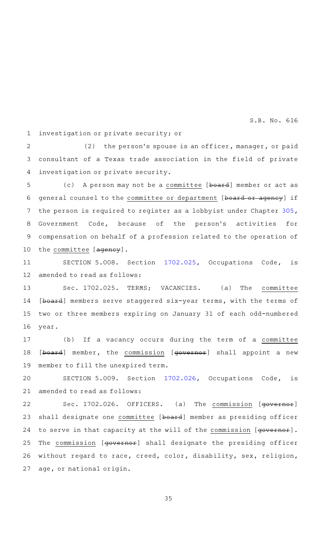investigation or private security; or 1

 $(2)$  the person's spouse is an officer, manager, or paid consultant of a Texas trade association in the field of private investigation or private security. 2 3 4

(c) A person may not be a committee [board] member or act as general counsel to the committee or department [board or agency] if the person is required to register as a lobbyist under Chapter [305](http://www.statutes.legis.state.tx.us/GetStatute.aspx?Code=GV&Value=305&Date=5/27/2019), Government Code, because of the person's activities for compensation on behalf of a profession related to the operation of the committee [agency]. 5 6 7 8 9 10

SECTION 5.008. Section [1702.025](http://www.statutes.legis.state.tx.us/GetStatute.aspx?Code=OC&Value=1702.025&Date=5/27/2019), Occupations Code, is amended to read as follows: 11 12

Sec. 1702.025. TERMS; VACANCIES. (a) The committee [board] members serve staggered six-year terms, with the terms of two or three members expiring on January 31 of each odd-numbered year. 13 14 15 16

(b) If a vacancy occurs during the term of a committee [board] member, the commission [governor] shall appoint a new member to fill the unexpired term. 17 18 19

SECTION 5.009. Section [1702.026](http://www.statutes.legis.state.tx.us/GetStatute.aspx?Code=OC&Value=1702.026&Date=5/27/2019), Occupations Code, is amended to read as follows: 20 21

Sec. 1702.026. OFFICERS. (a) The commission [governor] shall designate one committee [board] member as presiding officer to serve in that capacity at the will of the commission [governor]. The commission [governor] shall designate the presiding officer without regard to race, creed, color, disability, sex, religion, age, or national origin. 22 23 24 25 26 27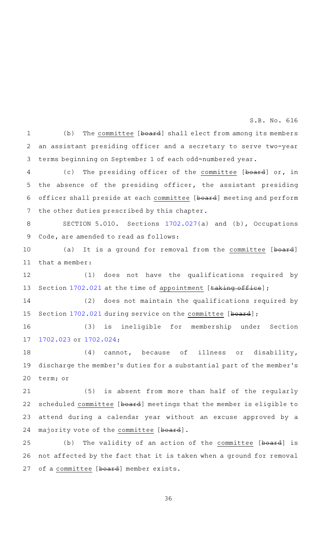(b) The committee [board] shall elect from among its members an assistant presiding officer and a secretary to serve two-year terms beginning on September 1 of each odd-numbered year. 1 2 3

(c) The presiding officer of the committee [board] or, in the absence of the presiding officer, the assistant presiding officer shall preside at each committee [board] meeting and perform the other duties prescribed by this chapter. 4 5 6 7

SECTION 5.010. Sections [1702.027](http://www.statutes.legis.state.tx.us/GetStatute.aspx?Code=OC&Value=1702.027&Date=5/27/2019)(a) and (b), Occupations Code, are amended to read as follows: 8 9

(a) It is a ground for removal from the committee [board] that a member: 10 11

(1) does not have the qualifications required by Section [1702.021](http://www.statutes.legis.state.tx.us/GetStatute.aspx?Code=OC&Value=1702.021&Date=5/27/2019) at the time of appointment [taking office]; 12 13

(2) does not maintain the qualifications required by Section [1702.021](http://www.statutes.legis.state.tx.us/GetStatute.aspx?Code=OC&Value=1702.021&Date=5/27/2019) during service on the committee [board]; 14 15

(3) is ineligible for membership under Section [1702.023](http://www.statutes.legis.state.tx.us/GetStatute.aspx?Code=OC&Value=1702.023&Date=5/27/2019) or [1702.024;](http://www.statutes.legis.state.tx.us/GetStatute.aspx?Code=OC&Value=1702.024&Date=5/27/2019) 16 17

 $(4)$  cannot, because of illness or disability, discharge the member 's duties for a substantial part of the member 's term; or 18 19 20

(5) is absent from more than half of the regularly scheduled committee [board] meetings that the member is eligible to attend during a calendar year without an excuse approved by a majority vote of the committee [board]. 21 22 23 24

(b) The validity of an action of the committee  $[b\texttt{boxd}]$  is not affected by the fact that it is taken when a ground for removal of a committee [board] member exists. 25 26 27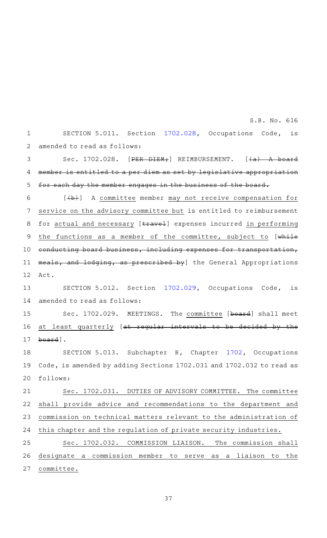SECTION 5.011. Section [1702.028](http://www.statutes.legis.state.tx.us/GetStatute.aspx?Code=OC&Value=1702.028&Date=5/27/2019), Occupations Code, is amended to read as follows: 1 2

Sec. 1702.028. [PER DIEM;] REIMBURSEMENT.  $[+a)$  A board member is entitled to a per diem as set by legislative appropriation for each day the member engages in the business of the board. 3 4 5

 $[\frac{1}{b}]\quad$  A committee member may not receive compensation for service on the advisory committee but is entitled to reimbursement for actual and necessary [travel] expenses incurred in performing the functions as a member of the committee, subject to [while conducting board business, including expenses for transportation, meals, and lodging, as prescribed by] the General Appropriations Act. 6 7 8 9 10 11 12

SECTION 5.012. Section [1702.029](http://www.statutes.legis.state.tx.us/GetStatute.aspx?Code=OC&Value=1702.029&Date=5/27/2019), Occupations Code, is amended to read as follows: 13 14

Sec. 1702.029. MEETINGS. The committee [board] shall meet at least quarterly [at regular intervals to be decided by the board]. 15 16 17

SECTION 5.013. Subchapter B, Chapter [1702](http://www.statutes.legis.state.tx.us/GetStatute.aspx?Code=OC&Value=1702&Date=5/27/2019), Occupations Code, is amended by adding Sections 1702.031 and 1702.032 to read as follows: 18 19 20

Sec. 1702.031. DUTIES OF ADVISORY COMMITTEE. The committee shall provide advice and recommendations to the department and commission on technical matters relevant to the administration of this chapter and the regulation of private security industries. 21 22 23 24

Sec. 1702.032. COMMISSION LIAISON. The commission shall designate a commission member to serve as a liaison to the committee. 25 26 27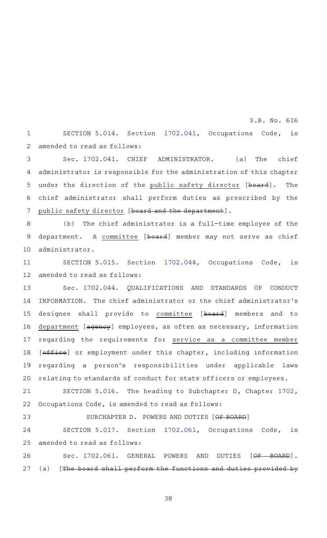SECTION 5.014. Section [1702.041](http://www.statutes.legis.state.tx.us/GetStatute.aspx?Code=OC&Value=1702.041&Date=5/27/2019), Occupations Code, is amended to read as follows: 1 2

Sec. 1702.041. CHIEF ADMINISTRATOR. (a) The chief administrator is responsible for the administration of this chapter under the direction of the public safety director [board]. The chief administrator shall perform duties as prescribed by the public safety director [board and the department]. 3 4 5 6 7

 $(b)$  The chief administrator is a full-time employee of the department. A committee [board] member may not serve as chief administrator. 8 9 10

SECTION 5.015. Section [1702.044](http://www.statutes.legis.state.tx.us/GetStatute.aspx?Code=OC&Value=1702.044&Date=5/27/2019), Occupations Code, is amended to read as follows: 11 12

Sec. 1702.044. QUALIFICATIONS AND STANDARDS OF CONDUCT INFORMATION. The chief administrator or the chief administrator 's designee shall provide to committee [board] members and to department [agency] employees, as often as necessary, information regarding the requirements for service as a committee member [office] or employment under this chapter, including information regarding a person 's responsibilities under applicable laws relating to standards of conduct for state officers or employees. 13 14 15 16 17 18 19 20

SECTION 5.016. The heading to Subchapter D, Chapter [1702](http://www.statutes.legis.state.tx.us/GetStatute.aspx?Code=OC&Value=1702&Date=5/27/2019), Occupations Code, is amended to read as follows: 21 22

SUBCHAPTER D. POWERS AND DUTIES [OF BOARD] SECTION 5.017. Section [1702.061](http://www.statutes.legis.state.tx.us/GetStatute.aspx?Code=OC&Value=1702.061&Date=5/27/2019), Occupations Code, is amended to read as follows: 23 24 25

Sec. 1702.061. GENERAL POWERS AND DUTIES [OF BOARD].  $(a)$  [The board shall perform the functions and duties provided by 26 27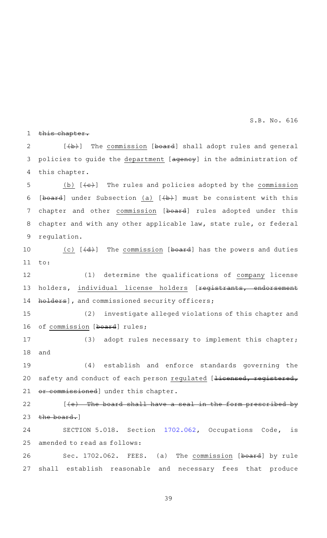this chapter. 1

 $[\frac{1}{b}+\frac{1}{b}]$  The commission [board] shall adopt rules and general policies to guide the department [agency] in the administration of this chapter. 2 3 4

(b)  $[\overline{\leftarrow}$  (b) The rules and policies adopted by the commission [board] under Subsection (a)  $[+b+]$  must be consistent with this chapter and other commission [board] rules adopted under this chapter and with any other applicable law, state rule, or federal regulation. 5 6 7 8 9

(c)  $[4d)$  The commission [board] has the powers and duties to: 10 11

(1) determine the qualifications of company license holders, individual license holders [registrants, endorsement holders], and commissioned security officers; 12 13 14

(2) investigate alleged violations of this chapter and of commission [board] rules; 15 16

(3) adopt rules necessary to implement this chapter; and 17 18

(4) establish and enforce standards governing the safety and conduct of each person regulated [<del>licensed, registered,</del> or commissioned] under this chapter. 19 20 21

 $[+e$ ) The board shall have a seal in the form prescribed by the board.] 22 23

SECTION 5.018. Section [1702.062](http://www.statutes.legis.state.tx.us/GetStatute.aspx?Code=OC&Value=1702.062&Date=5/27/2019), Occupations Code, is amended to read as follows: 24 25

Sec. 1702.062. FEES. (a) The commission [board] by rule shall establish reasonable and necessary fees that produce 26 27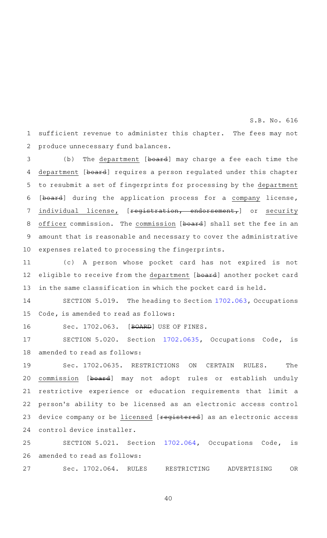sufficient revenue to administer this chapter. The fees may not produce unnecessary fund balances. 1 2

(b) The department [board] may charge a fee each time the department [board] requires a person regulated under this chapter to resubmit a set of fingerprints for processing by the department [board] during the application process for a company license, individual license, [registration, endorsement,] or security officer commission. The commission [board] shall set the fee in an amount that is reasonable and necessary to cover the administrative expenses related to processing the fingerprints. 3 4 5 6 7 8 9 10

(c)AAA person whose pocket card has not expired is not eligible to receive from the department [board] another pocket card in the same classification in which the pocket card is held. 11 12 13

SECTION 5.019. The heading to Section [1702.063](http://www.statutes.legis.state.tx.us/GetStatute.aspx?Code=OC&Value=1702.063&Date=5/27/2019), Occupations Code, is amended to read as follows: 14 15

16

Sec. 1702.063. [BOARD] USE OF FINES.

SECTION 5.020. Section [1702.0635,](http://www.statutes.legis.state.tx.us/GetStatute.aspx?Code=OC&Value=1702.0635&Date=5/27/2019) Occupations Code, is amended to read as follows: 17 18

Sec. 1702.0635. RESTRICTIONS ON CERTAIN RULES. The commission [board] may not adopt rules or establish unduly restrictive experience or education requirements that limit a person 's ability to be licensed as an electronic access control device company or be licensed [registered] as an electronic access control device installer. 19 20 21 22 23 24

SECTION 5.021. Section [1702.064](http://www.statutes.legis.state.tx.us/GetStatute.aspx?Code=OC&Value=1702.064&Date=5/27/2019), Occupations Code, is amended to read as follows: 25 26

Sec. 1702.064. RULES RESTRICTING ADVERTISING OR 27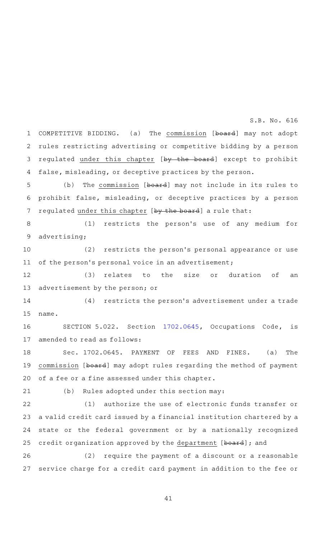COMPETITIVE BIDDING. (a) The commission [board] may not adopt rules restricting advertising or competitive bidding by a person regulated under this chapter [by the board] except to prohibit false, misleading, or deceptive practices by the person. 1 2 3 4

(b) The commission [board] may not include in its rules to prohibit false, misleading, or deceptive practices by a person regulated under this chapter [by the board] a rule that: 5 6 7

(1) restricts the person's use of any medium for advertising; 8 9

 $(2)$  restricts the person's personal appearance or use of the person's personal voice in an advertisement; 10 11

(3) relates to the size or duration of an advertisement by the person; or 12 13

(4) restricts the person's advertisement under a trade name. 14 15

SECTION 5.022. Section [1702.0645,](http://www.statutes.legis.state.tx.us/GetStatute.aspx?Code=OC&Value=1702.0645&Date=5/27/2019) Occupations Code, is amended to read as follows: 16 17

Sec. 1702.0645. PAYMENT OF FEES AND FINES. (a) The commission [board] may adopt rules regarding the method of payment of a fee or a fine assessed under this chapter. 18 19 20

21

(b) Rules adopted under this section may:

(1) authorize the use of electronic funds transfer or a valid credit card issued by a financial institution chartered by a state or the federal government or by a nationally recognized credit organization approved by the department [board]; and 22 23 24 25

 $(2)$  require the payment of a discount or a reasonable service charge for a credit card payment in addition to the fee or 26 27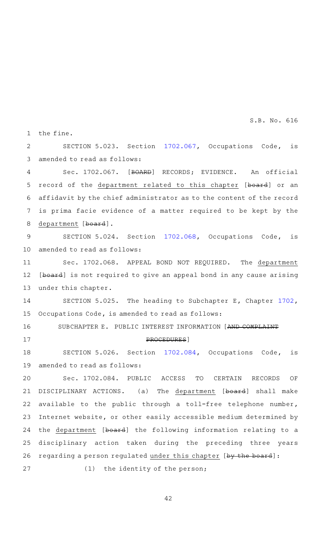the fine. 1

SECTION 5.023. Section [1702.067](http://www.statutes.legis.state.tx.us/GetStatute.aspx?Code=OC&Value=1702.067&Date=5/27/2019), Occupations Code, is amended to read as follows:  $\mathcal{D}$ 3

Sec. 1702.067. [BOARD] RECORDS; EVIDENCE. An official record of the department related to this chapter [board] or an affidavit by the chief administrator as to the content of the record is prima facie evidence of a matter required to be kept by the department [board]. 4 5 6 7 8

SECTION 5.024. Section [1702.068](http://www.statutes.legis.state.tx.us/GetStatute.aspx?Code=OC&Value=1702.068&Date=5/27/2019), Occupations Code, is amended to read as follows: 9 10

Sec. 1702.068. APPEAL BOND NOT REQUIRED. The department [board] is not required to give an appeal bond in any cause arising under this chapter. 11 12 13

SECTION 5.025. The heading to Subchapter E, Chapter  $1702$ , Occupations Code, is amended to read as follows: 14 15

SUBCHAPTER E. PUBLIC INTEREST INFORMATION [AND COMPLAINT

PROCEDURES]

16

17

SECTION 5.026. Section [1702.084](http://www.statutes.legis.state.tx.us/GetStatute.aspx?Code=OC&Value=1702.084&Date=5/27/2019), Occupations Code, is amended to read as follows: 18 19

Sec. 1702.084. PUBLIC ACCESS TO CERTAIN RECORDS OF DISCIPLINARY ACTIONS. (a) The department [board] shall make available to the public through a toll-free telephone number, Internet website, or other easily accessible medium determined by the department [board] the following information relating to a disciplinary action taken during the preceding three years regarding a person regulated under this chapter [by the board]:  $(1)$  the identity of the person; 20 21 22 23 24 25 26 27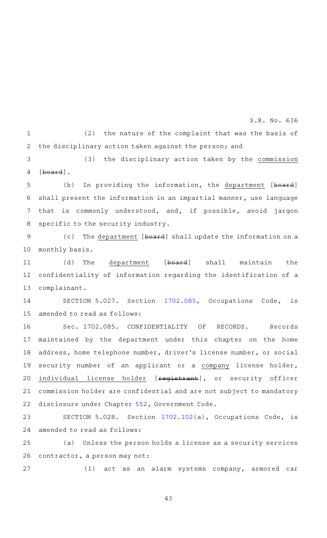$(2)$  the nature of the complaint that was the basis of the disciplinary action taken against the person; and 1 2

(3) the disciplinary action taken by the commission [board]. 3 4

(b) In providing the information, the department [board] shall present the information in an impartial manner, use language that is commonly understood, and, if possible, avoid jargon specific to the security industry. 5 6 7 8

(c) The department [board] shall update the information on a monthly basis. 9 10

(d) The department [board] shall maintain the confidentiality of information regarding the identification of a complainant. 11 12 13

SECTION 5.027. Section [1702.085](http://www.statutes.legis.state.tx.us/GetStatute.aspx?Code=OC&Value=1702.085&Date=5/27/2019), Occupations Code, is amended to read as follows: 14 15

Sec. 1702.085. CONFIDENTIALITY OF RECORDS. Records maintained by the department under this chapter on the home address, home telephone number, driver 's license number, or social security number of an applicant or a company license holder, individual license holder [registrant], or security officer commission holder are confidential and are not subject to mandatory disclosure under Chapter [552,](http://www.statutes.legis.state.tx.us/GetStatute.aspx?Code=GV&Value=552&Date=5/27/2019) Government Code. 16 17 18 19 20 21 22

SECTION 5.028. Section [1702.102](http://www.statutes.legis.state.tx.us/GetStatute.aspx?Code=OC&Value=1702.102&Date=5/27/2019)(a), Occupations Code, is amended to read as follows: 23 24

(a) Unless the person holds a license as a security services contractor, a person may not: 25 26

27

(1) act as an alarm systems company, armored car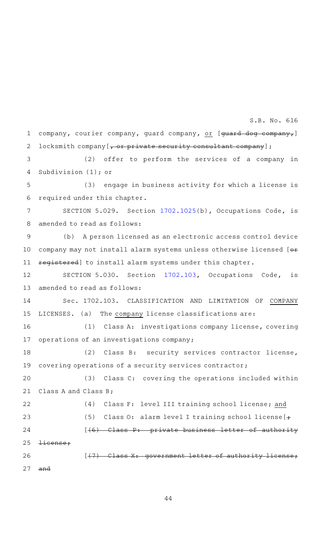company, courier company, guard company, or [guard dog company,] locksmith company  $[-$  or private security consultant company]; (2) offer to perform the services of a company in Subdivision  $(1)$ ; or (3) engage in business activity for which a license is required under this chapter. SECTION 5.029. Section [1702.1025](http://www.statutes.legis.state.tx.us/GetStatute.aspx?Code=OC&Value=1702.1025&Date=5/27/2019)(b), Occupations Code, is amended to read as follows: (b) A person licensed as an electronic access control device company may not install alarm systems unless otherwise licensed [ $\Theta$ \* registered] to install alarm systems under this chapter. SECTION 5.030. Section [1702.103](http://www.statutes.legis.state.tx.us/GetStatute.aspx?Code=OC&Value=1702.103&Date=5/27/2019), Occupations Code, is amended to read as follows: Sec. 1702.103. CLASSIFICATION AND LIMITATION OF COMPANY LICENSES. (a) The company license classifications are: (1) Class A: investigations company license, covering operations of an investigations company; (2) Class B: security services contractor license, covering operations of a security services contractor; (3) Class C: covering the operations included within Class A and Class B; (4) Class F: level III training school license; and (5) Class O: alarm level I training school license  $[+]$ [(6) Class P: private business letter of authority license;  $[$  (7) Class X: government letter of authority and 1 2 3 4 5 6 7 8 9 10 11 12 13 14 15 16 17 18 19 20 21 22 23 24 25 26 27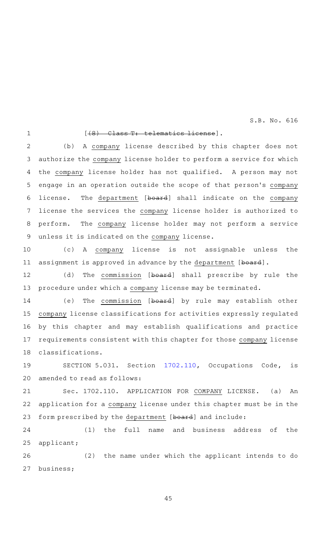1

### [(8) Class T: telematics license].

(b) A company license described by this chapter does not authorize the company license holder to perform a service for which the company license holder has not qualified. A person may not engage in an operation outside the scope of that person's company license. The department [board] shall indicate on the company license the services the company license holder is authorized to perform. The company license holder may not perform a service unless it is indicated on the company license. 2 3 4 5 6 7 8 9

(c)AAA company license is not assignable unless the assignment is approved in advance by the department [board]. 10 11

(d) The commission [board] shall prescribe by rule the procedure under which a company license may be terminated. 12 13

(e) The commission [board] by rule may establish other company license classifications for activities expressly regulated by this chapter and may establish qualifications and practice requirements consistent with this chapter for those company license classifications. 14 15 16 17 18

SECTION 5.031. Section [1702.110](http://www.statutes.legis.state.tx.us/GetStatute.aspx?Code=OC&Value=1702.110&Date=5/27/2019), Occupations Code, is amended to read as follows: 19 20

Sec. 1702.110. APPLICATION FOR COMPANY LICENSE. (a) An application for a company license under this chapter must be in the form prescribed by the department [board] and include: 21 22 23

(1) the full name and business address of the applicant; 24 25

(2) the name under which the applicant intends to do business; 26 27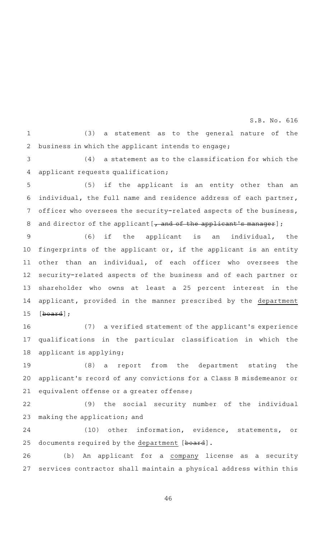$(3)$  a statement as to the general nature of the business in which the applicant intends to engage; 1 2

S.B. No. 616

 $(4)$  a statement as to the classification for which the applicant requests qualification; 3 4

 $(5)$  if the applicant is an entity other than an individual, the full name and residence address of each partner, officer who oversees the security-related aspects of the business, and director of the applicant  $[-$  and of the applicant's manager]; 5 6 7 8

(6) if the applicant is an individual, the fingerprints of the applicant or, if the applicant is an entity other than an individual, of each officer who oversees the security-related aspects of the business and of each partner or shareholder who owns at least a 25 percent interest in the applicant, provided in the manner prescribed by the department [board]; 9 10 11 12 13 14 15

(7) a verified statement of the applicant's experience qualifications in the particular classification in which the applicant is applying; 16 17 18

 $(8)$  a report from the department stating the applicant 's record of any convictions for a Class B misdemeanor or equivalent offense or a greater offense; 19 20 21

(9) the social security number of the individual making the application; and 22 23

(10) other information, evidence, statements, or documents required by the department [board]. 24 25

(b) An applicant for a company license as a security services contractor shall maintain a physical address within this 26 27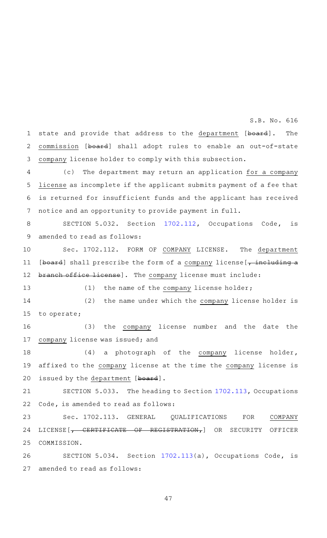state and provide that address to the department [board]. The commission [board] shall adopt rules to enable an out-of-state company license holder to comply with this subsection. 1 2 3

S.B. No. 616

(c) The department may return an application for a company license as incomplete if the applicant submits payment of a fee that is returned for insufficient funds and the applicant has received notice and an opportunity to provide payment in full. 4 5 6 7

SECTION 5.032. Section [1702.112](http://www.statutes.legis.state.tx.us/GetStatute.aspx?Code=OC&Value=1702.112&Date=5/27/2019), Occupations Code, is amended to read as follows: 8 9

Sec. 1702.112. FORM OF COMPANY LICENSE. The department [board] shall prescribe the form of a company license [, including a branch office license]. The company license must include: 10 11 12

13

 $(1)$  the name of the company license holder;

(2) the name under which the company license holder is to operate; 14 15

(3) the company license number and the date the company license was issued; and 16 17

(4) a photograph of the company license holder, affixed to the company license at the time the company license is issued by the department [board]. 18 19 20

SECTION 5.033. The heading to Section [1702.113](http://www.statutes.legis.state.tx.us/GetStatute.aspx?Code=OC&Value=1702.113&Date=5/27/2019), Occupations Code, is amended to read as follows: 21 22

Sec. 1702.113. GENERAL QUALIFICATIONS FOR COMPANY LICENSE[, CERTIFICATE OF REGISTRATION,] OR SECURITY OFFICER COMMISSION. 23 24 25

SECTION 5.034. Section [1702.113](http://www.statutes.legis.state.tx.us/GetStatute.aspx?Code=OC&Value=1702.113&Date=5/27/2019)(a), Occupations Code, is amended to read as follows: 26 27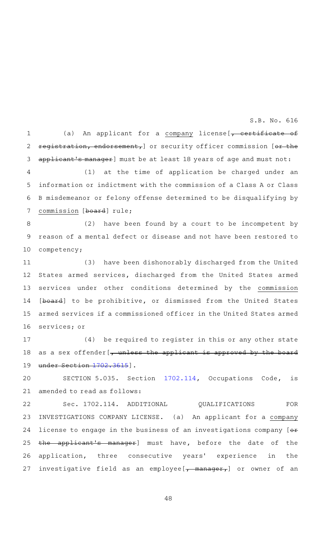(a) An applicant for a company license [, certificate of registration, endorsement,] or security officer commission [or the applicant's manager] must be at least 18 years of age and must not: 1 2 3

S.B. No. 616

 $(1)$  at the time of application be charged under an information or indictment with the commission of a Class A or Class B misdemeanor or felony offense determined to be disqualifying by commission [board] rule; 4 5 6 7

 $(2)$  have been found by a court to be incompetent by reason of a mental defect or disease and not have been restored to competency; 8 9 10

(3) have been dishonorably discharged from the United States armed services, discharged from the United States armed services under other conditions determined by the commission [board] to be prohibitive, or dismissed from the United States armed services if a commissioned officer in the United States armed services; or 11 12 13 14 15 16

(4) be required to register in this or any other state as a sex offender [, unless the applicant is approved by the board under Section [1702.3615\]](http://www.statutes.legis.state.tx.us/GetStatute.aspx?Code=OC&Value=1702.3615&Date=5/27/2019). 17 18 19

SECTION 5.035. Section [1702.114](http://www.statutes.legis.state.tx.us/GetStatute.aspx?Code=OC&Value=1702.114&Date=5/27/2019), Occupations Code, is amended to read as follows: 20 21

Sec. 1702.114. ADDITIONAL QUALIFICATIONS FOR INVESTIGATIONS COMPANY LICENSE. (a) An applicant for a company license to engage in the business of an investigations company [ $\theta$ \* the applicant 's manager] must have, before the date of the application, three consecutive years' experience in the investigative field as an employee  $[-$  manager, or owner of an 22 23 24 25 26 27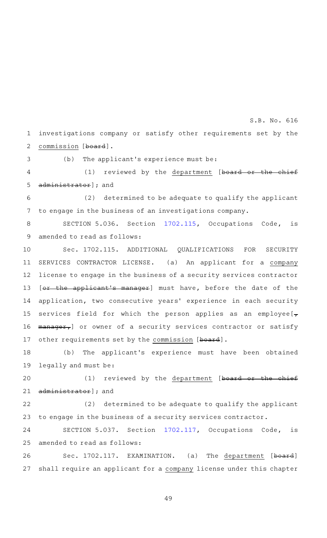investigations company or satisfy other requirements set by the commission [board]. 1 2

3

 $(b)$  The applicant's experience must be:

(1) reviewed by the department [board or the chief administrator]; and 4 5

 $(2)$  determined to be adequate to qualify the applicant to engage in the business of an investigations company. 6 7

SECTION 5.036. Section [1702.115](http://www.statutes.legis.state.tx.us/GetStatute.aspx?Code=OC&Value=1702.115&Date=5/27/2019), Occupations Code, is amended to read as follows: 8 9

Sec. 1702.115. ADDITIONAL QUALIFICATIONS FOR SECURITY SERVICES CONTRACTOR LICENSE. (a) An applicant for a company license to engage in the business of a security services contractor [or the applicant's manager] must have, before the date of the application, two consecutive years' experience in each security services field for which the person applies as an employee  $\tau$ manager, or owner of a security services contractor or satisfy other requirements set by the commission [board]. 10 11 12 13 14 15 16 17

(b) The applicant's experience must have been obtained legally and must be: 18 19

(1) reviewed by the department [board or the chief administrator]; and 20 21

(2) determined to be adequate to qualify the applicant to engage in the business of a security services contractor. 22 23

SECTION 5.037. Section [1702.117](http://www.statutes.legis.state.tx.us/GetStatute.aspx?Code=OC&Value=1702.117&Date=5/27/2019), Occupations Code, is amended to read as follows: 24 25

Sec. 1702.117. EXAMINATION. (a) The department [board] shall require an applicant for a company license under this chapter 26 27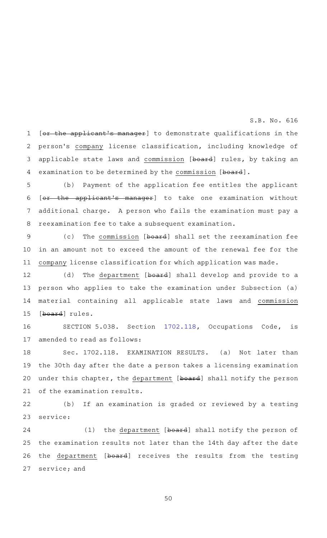[or the applicant's manager] to demonstrate qualifications in the person 's company license classification, including knowledge of applicable state laws and commission [board] rules, by taking an examination to be determined by the commission [board]. 1 2 3 4

S.B. No. 616

(b) Payment of the application fee entitles the applicant [or the applicant 's manager] to take one examination without additional charge. A person who fails the examination must pay a reexamination fee to take a subsequent examination. 5 6 7 8

(c) The commission [board] shall set the reexamination fee in an amount not to exceed the amount of the renewal fee for the company license classification for which application was made. 9 10 11

(d) The department [board] shall develop and provide to a person who applies to take the examination under Subsection (a) material containing all applicable state laws and commission [board] rules. 12 13 14 15

SECTION 5.038. Section [1702.118](http://www.statutes.legis.state.tx.us/GetStatute.aspx?Code=OC&Value=1702.118&Date=5/27/2019), Occupations Code, is amended to read as follows: 16 17

Sec. 1702.118. EXAMINATION RESULTS. (a) Not later than the 30th day after the date a person takes a licensing examination under this chapter, the department [board] shall notify the person of the examination results. 18 19 20 21

(b) If an examination is graded or reviewed by a testing service: 22 23

(1) the department  $[b, a]$  shall notify the person of the examination results not later than the 14th day after the date the department [board] receives the results from the testing service; and 24 25 26 27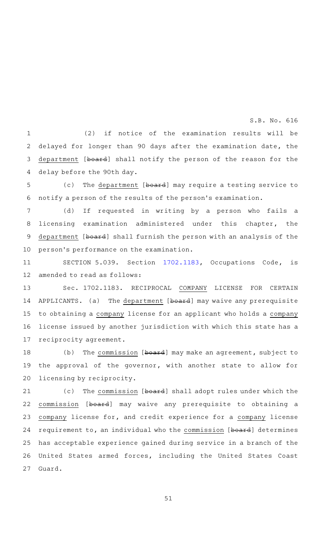(2) if notice of the examination results will be delayed for longer than 90 days after the examination date, the department [board] shall notify the person of the reason for the delay before the 90th day. 1 2 3 4

(c) The department [board] may require a testing service to notify a person of the results of the person 's examination. 5 6

(d) If requested in writing by a person who fails a licensing examination administered under this chapter, the department [board] shall furnish the person with an analysis of the person 's performance on the examination. 7 8 9 10

SECTION 5.039. Section [1702.1183,](http://www.statutes.legis.state.tx.us/GetStatute.aspx?Code=OC&Value=1702.1183&Date=5/27/2019) Occupations Code, is amended to read as follows: 11 12

Sec. 1702.1183. RECIPROCAL COMPANY LICENSE FOR CERTAIN APPLICANTS. (a) The department [board] may waive any prerequisite to obtaining a company license for an applicant who holds a company license issued by another jurisdiction with which this state has a reciprocity agreement. 13 14 15 16 17

(b) The commission [board] may make an agreement, subject to the approval of the governor, with another state to allow for licensing by reciprocity. 18 19 20

(c) The commission [board] shall adopt rules under which the commission [board] may waive any prerequisite to obtaining a company license for, and credit experience for a company license requirement to, an individual who the commission [board] determines has acceptable experience gained during service in a branch of the United States armed forces, including the United States Coast Guard. 21 22 23 24 25 26 27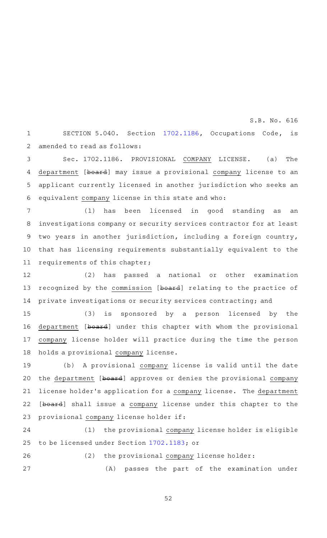SECTION 5.040. Section [1702.1186,](http://www.statutes.legis.state.tx.us/GetStatute.aspx?Code=OC&Value=1702.1186&Date=5/27/2019) Occupations Code, is amended to read as follows: 1 2

Sec. 1702.1186. PROVISIONAL COMPANY LICENSE. (a) The department [board] may issue a provisional company license to an applicant currently licensed in another jurisdiction who seeks an equivalent company license in this state and who: 3 4 5 6

(1) has been licensed in good standing as an investigations company or security services contractor for at least two years in another jurisdiction, including a foreign country, that has licensing requirements substantially equivalent to the requirements of this chapter; 7 8 9 10 11

(2) has passed a national or other examination recognized by the commission [board] relating to the practice of private investigations or security services contracting; and 12 13 14

 $(3)$  is sponsored by a person licensed by the department [board] under this chapter with whom the provisional company license holder will practice during the time the person holds a provisional company license. 15 16 17 18

(b) A provisional company license is valid until the date the department [board] approves or denies the provisional company license holder's application for a company license. The department [board] shall issue a company license under this chapter to the provisional company license holder if: 19 20 21 22 23

(1) the provisional company license holder is eligible to be licensed under Section [1702.1183](http://www.statutes.legis.state.tx.us/GetStatute.aspx?Code=OC&Value=1702.1183&Date=5/27/2019); or 24 25

(2) the provisional company license holder: (A) passes the part of the examination under 26 27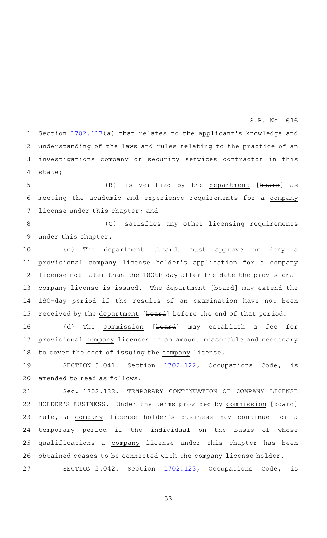Section [1702.117](http://www.statutes.legis.state.tx.us/GetStatute.aspx?Code=OC&Value=1702.117&Date=5/27/2019)(a) that relates to the applicant 's knowledge and understanding of the laws and rules relating to the practice of an investigations company or security services contractor in this state; 1 2 3 4

(B) is verified by the department [board] as meeting the academic and experience requirements for a company license under this chapter; and 5 6 7

(C) satisfies any other licensing requirements under this chapter. 8 9

(c) The department [board] must approve or deny a provisional company license holder 's application for a company license not later than the 180th day after the date the provisional company license is issued. The department [board] may extend the 180-day period if the results of an examination have not been received by the department [board] before the end of that period. 10 11 12 13 14 15

(d) The commission [board] may establish a fee for provisional company licenses in an amount reasonable and necessary to cover the cost of issuing the company license. 16 17 18

SECTION 5.041. Section [1702.122](http://www.statutes.legis.state.tx.us/GetStatute.aspx?Code=OC&Value=1702.122&Date=5/27/2019), Occupations Code, is amended to read as follows: 19 20

Sec. 1702.122. TEMPORARY CONTINUATION OF COMPANY LICENSE HOLDER'S BUSINESS. Under the terms provided by commission [board] rule, a company license holder 's business may continue for a temporary period if the individual on the basis of whose qualifications a company license under this chapter has been obtained ceases to be connected with the company license holder. 21 22 23 24 25 26

SECTION 5.042. Section [1702.123](http://www.statutes.legis.state.tx.us/GetStatute.aspx?Code=OC&Value=1702.123&Date=5/27/2019), Occupations Code, is 27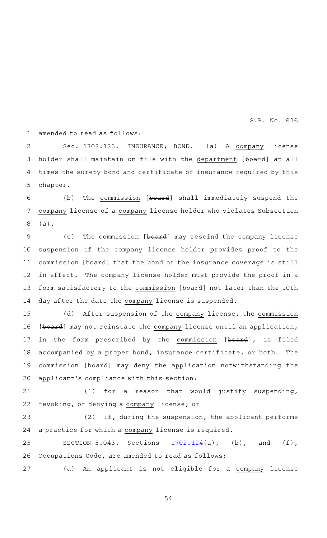amended to read as follows: 1

Sec. 1702.123. INSURANCE; BOND. (a) A company license holder shall maintain on file with the department [board] at all times the surety bond and certificate of insurance required by this chapter. 2 3 4 5

(b) The commission [board] shall immediately suspend the company license of a company license holder who violates Subsection (a). 6 7 8

(c) The commission [board] may rescind the company license suspension if the company license holder provides proof to the commission [board] that the bond or the insurance coverage is still in effect. The company license holder must provide the proof in a form satisfactory to the commission [board] not later than the 10th day after the date the company license is suspended. 9 10 11 12 13 14

(d) After suspension of the company license, the commission [board] may not reinstate the company license until an application, in the form prescribed by the commission [board], is filed accompanied by a proper bond, insurance certificate, or both. The commission [board] may deny the application notwithstanding the applicant 's compliance with this section: 15 16 17 18 19 20

(1) for a reason that would justify suspending, revoking, or denying a company license; or 21 22

 $(2)$  if, during the suspension, the applicant performs a practice for which a company license is required. 23 24

SECTION 5.043. Sections  $1702.124(a)$  $1702.124(a)$ , (b), and (f), Occupations Code, are amended to read as follows: 25 26

(a) An applicant is not eligible for a company license 27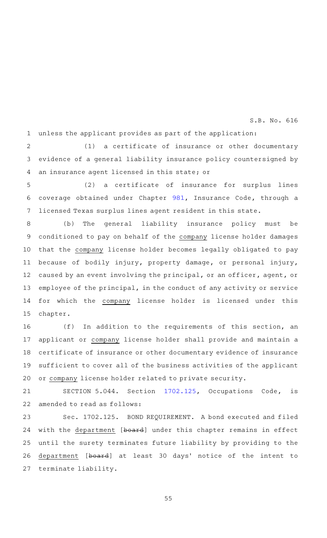unless the applicant provides as part of the application: 1

 $(1)$  a certificate of insurance or other documentary evidence of a general liability insurance policy countersigned by an insurance agent licensed in this state; or 2 3 4

 $(2)$  a certificate of insurance for surplus lines coverage obtained under Chapter [981](http://www.statutes.legis.state.tx.us/GetStatute.aspx?Code=IN&Value=981&Date=5/27/2019), Insurance Code, through a licensed Texas surplus lines agent resident in this state. 5 6 7

(b) The general liability insurance policy must be conditioned to pay on behalf of the company license holder damages that the company license holder becomes legally obligated to pay because of bodily injury, property damage, or personal injury, caused by an event involving the principal, or an officer, agent, or employee of the principal, in the conduct of any activity or service for which the company license holder is licensed under this chapter. 8 9 10 11 12 13 14 15

 $(f)$  In addition to the requirements of this section, an applicant or company license holder shall provide and maintain a certificate of insurance or other documentary evidence of insurance sufficient to cover all of the business activities of the applicant or company license holder related to private security. 16 17 18 19 20

SECTION 5.044. Section [1702.125](http://www.statutes.legis.state.tx.us/GetStatute.aspx?Code=OC&Value=1702.125&Date=5/27/2019), Occupations Code, is amended to read as follows: 21 22

Sec. 1702.125. BOND REQUIREMENT. A bond executed and filed with the department [board] under this chapter remains in effect until the surety terminates future liability by providing to the department [board] at least 30 days' notice of the intent to terminate liability. 23 24 25 26 27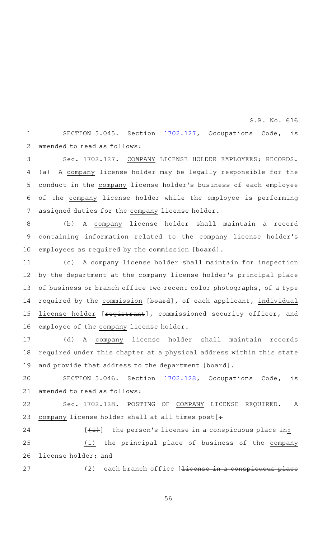SECTION 5.045. Section [1702.127](http://www.statutes.legis.state.tx.us/GetStatute.aspx?Code=OC&Value=1702.127&Date=5/27/2019), Occupations Code, is amended to read as follows: 1 2

Sec. 1702.127. COMPANY LICENSE HOLDER EMPLOYEES; RECORDS. (a) A company license holder may be legally responsible for the conduct in the company license holder 's business of each employee of the company license holder while the employee is performing assigned duties for the company license holder. 3 4 5 6 7

(b) A company license holder shall maintain a record containing information related to the company license holder 's employees as required by the commission [board]. 8 9 10

(c) A company license holder shall maintain for inspection by the department at the company license holder's principal place of business or branch office two recent color photographs, of a type required by the commission [board], of each applicant, individual license holder [<del>registrant</del>], commissioned security officer, and employee of the company license holder. 11 12 13 14 15 16

(d)AAA company license holder shall maintain records required under this chapter at a physical address within this state and provide that address to the department [board]. 17 18 19

SECTION 5.046. Section [1702.128](http://www.statutes.legis.state.tx.us/GetStatute.aspx?Code=OC&Value=1702.128&Date=5/27/2019), Occupations Code, is amended to read as follows: 20 21

Sec. 1702.128. POSTING OF COMPANY LICENSE REQUIRED. A company license holder shall at all times post [+ 22 23

 $[$   $(1)$  the person's license in a conspicuous place in: (1) the principal place of business of the company license holder; and 24 25 26

27

 $(2)$  each branch office [<del>license in a conspicuous place</del>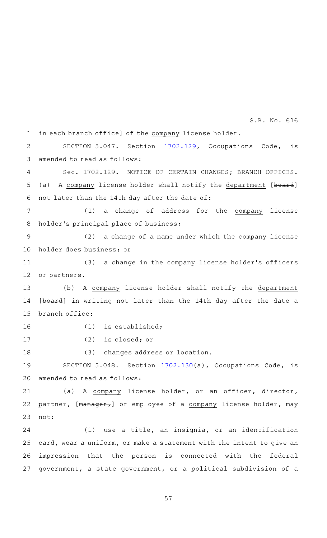in each branch office] of the company license holder. 1

SECTION 5.047. Section [1702.129](http://www.statutes.legis.state.tx.us/GetStatute.aspx?Code=OC&Value=1702.129&Date=5/27/2019), Occupations Code, is amended to read as follows: 2 3

Sec. 1702.129. NOTICE OF CERTAIN CHANGES; BRANCH OFFICES. (a) A company license holder shall notify the department [board] not later than the 14th day after the date of: 4 5 6

(1) a change of address for the company license holder 's principal place of business; 7 8

(2) a change of a name under which the company license holder does business; or 9 10

(3) a change in the company license holder's officers or partners. 11 12

(b) A company license holder shall notify the department [board] in writing not later than the 14th day after the date a branch office: 13 14 15

16

 $(1)$  is established;

17

 $(2)$  is closed; or

(3) changes address or location. 18

SECTION 5.048. Section [1702.130](http://www.statutes.legis.state.tx.us/GetStatute.aspx?Code=OC&Value=1702.130&Date=5/27/2019)(a), Occupations Code, is amended to read as follows: 19 20

(a) A company license holder, or an officer, director, partner, [manager,] or employee of a company license holder, may not: 21 22 23

 $(1)$  use a title, an insignia, or an identification card, wear a uniform, or make a statement with the intent to give an impression that the person is connected with the federal government, a state government, or a political subdivision of a 24 25 26 27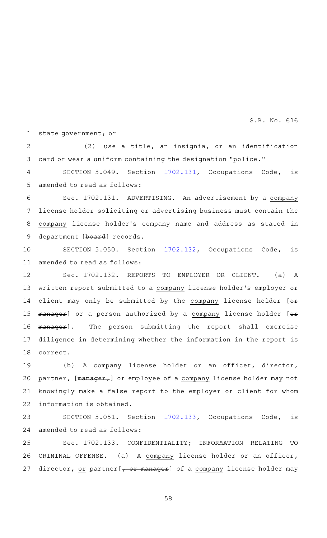state government; or 1

 $(2)$  use a title, an insignia, or an identification card or wear a uniform containing the designation "police."  $\mathcal{D}$ 3

SECTION 5.049. Section [1702.131](http://www.statutes.legis.state.tx.us/GetStatute.aspx?Code=OC&Value=1702.131&Date=5/27/2019), Occupations Code, is amended to read as follows: 4 5

Sec. 1702.131. ADVERTISING. An advertisement by a company license holder soliciting or advertising business must contain the company license holder 's company name and address as stated in department [board] records. 6 7 8 9

SECTION 5.050. Section [1702.132](http://www.statutes.legis.state.tx.us/GetStatute.aspx?Code=OC&Value=1702.132&Date=5/27/2019), Occupations Code, is amended to read as follows: 10 11

Sec. 1702.132. REPORTS TO EMPLOYER OR CLIENT. (a) A written report submitted to a company license holder 's employer or client may only be submitted by the company license holder [ $\Theta$ \* manager] or a person authorized by a company license holder [or manager]. The person submitting the report shall exercise diligence in determining whether the information in the report is correct. 12 13 14 15 16 17 18

(b) A company license holder or an officer, director, partner, [manager,] or employee of a company license holder may not knowingly make a false report to the employer or client for whom information is obtained. 19 20 21 22

SECTION 5.051. Section [1702.133](http://www.statutes.legis.state.tx.us/GetStatute.aspx?Code=OC&Value=1702.133&Date=5/27/2019), Occupations Code, is amended to read as follows: 23 24

Sec. 1702.133. CONFIDENTIALITY; INFORMATION RELATING TO CRIMINAL OFFENSE. (a) A company license holder or an officer, director, or partner [, or manager] of a company license holder may 25 26 27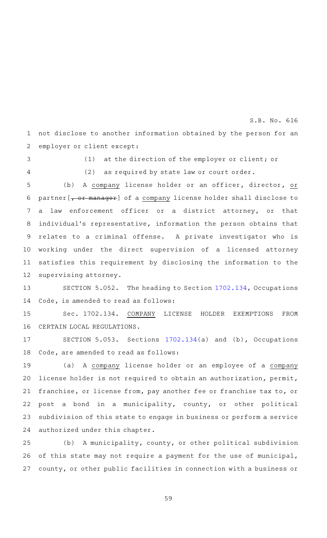not disclose to another information obtained by the person for an employer or client except: 1 2

3

(1) at the direction of the employer or client; or

4

(2) as required by state law or court order.

S.B. No. 616

(b) A company license holder or an officer, director, or partner [, or manager] of a company license holder shall disclose to a law enforcement officer or a district attorney, or that individual's representative, information the person obtains that relates to a criminal offense. A private investigator who is working under the direct supervision of a licensed attorney satisfies this requirement by disclosing the information to the supervising attorney. 5 6 7 8 9 10 11 12

SECTION 5.052. The heading to Section [1702.134](http://www.statutes.legis.state.tx.us/GetStatute.aspx?Code=OC&Value=1702.134&Date=5/27/2019), Occupations Code, is amended to read as follows: 13 14

Sec. 1702.134. COMPANY LICENSE HOLDER EXEMPTIONS FROM CERTAIN LOCAL REGULATIONS. 15 16

SECTION 5.053. Sections  $1702.134(a)$  $1702.134(a)$  and (b), Occupations Code, are amended to read as follows: 17 18

(a) A company license holder or an employee of a company license holder is not required to obtain an authorization, permit, franchise, or license from, pay another fee or franchise tax to, or post a bond in a municipality, county, or other political subdivision of this state to engage in business or perform a service authorized under this chapter. 19 20 21 22 23 24

(b) A municipality, county, or other political subdivision of this state may not require a payment for the use of municipal, county, or other public facilities in connection with a business or 25 26 27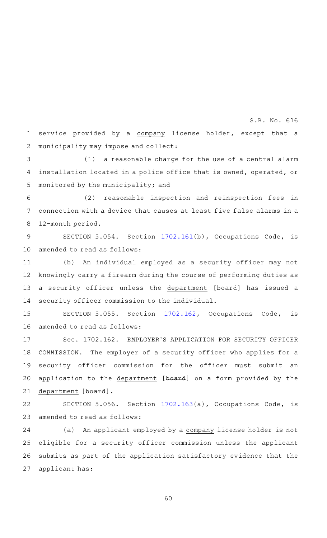service provided by a company license holder, except that a municipality may impose and collect: 1 2

(1) a reasonable charge for the use of a central alarm installation located in a police office that is owned, operated, or monitored by the municipality; and 3 4 5

(2) reasonable inspection and reinspection fees in connection with a device that causes at least five false alarms in a 12-month period. 6 7 8

SECTION 5.054. Section [1702.161](http://www.statutes.legis.state.tx.us/GetStatute.aspx?Code=OC&Value=1702.161&Date=5/27/2019)(b), Occupations Code, is amended to read as follows: 9 10

(b) An individual employed as a security officer may not knowingly carry a firearm during the course of performing duties as a security officer unless the department [board] has issued a security officer commission to the individual. 11 12 13 14

SECTION 5.055. Section [1702.162](http://www.statutes.legis.state.tx.us/GetStatute.aspx?Code=OC&Value=1702.162&Date=5/27/2019), Occupations Code, is amended to read as follows: 15 16

Sec. 1702.162. EMPLOYER'S APPLICATION FOR SECURITY OFFICER COMMISSION. The employer of a security officer who applies for a security officer commission for the officer must submit an application to the department [board] on a form provided by the department [board]. 17 18 19 20 21

SECTION 5.056. Section [1702.163](http://www.statutes.legis.state.tx.us/GetStatute.aspx?Code=OC&Value=1702.163&Date=5/27/2019)(a), Occupations Code, is amended to read as follows: 22 23

(a) An applicant employed by a company license holder is not eligible for a security officer commission unless the applicant submits as part of the application satisfactory evidence that the applicant has: 24 25 26 27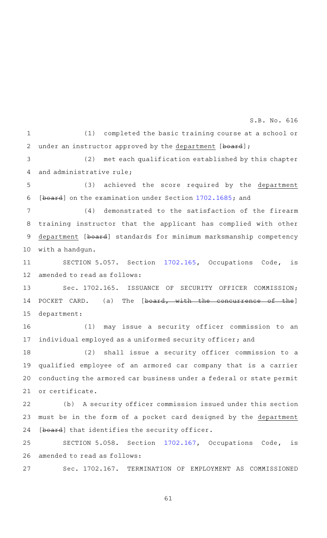$(1)$  completed the basic training course at a school or under an instructor approved by the department [board]; 1 2

(2) met each qualification established by this chapter and administrative rule; 3 4

(3) achieved the score required by the department [board] on the examination under Section [1702.1685](http://www.statutes.legis.state.tx.us/GetStatute.aspx?Code=OC&Value=1702.1685&Date=5/27/2019); and 5 6

 $(4)$  demonstrated to the satisfaction of the firearm training instructor that the applicant has complied with other department [board] standards for minimum marksmanship competency with a handgun. 7 8 9 10

SECTION 5.057. Section [1702.165](http://www.statutes.legis.state.tx.us/GetStatute.aspx?Code=OC&Value=1702.165&Date=5/27/2019), Occupations Code, is amended to read as follows: 11 12

Sec. 1702.165. ISSUANCE OF SECURITY OFFICER COMMISSION; POCKET CARD. (a) The [board, with the concurrence of the] department: 13 14 15

(1) may issue a security officer commission to an individual employed as a uniformed security officer; and 16 17

(2) shall issue a security officer commission to a qualified employee of an armored car company that is a carrier conducting the armored car business under a federal or state permit or certificate. 18 19 20 21

(b) A security officer commission issued under this section must be in the form of a pocket card designed by the department [board] that identifies the security officer. 22 23 24

SECTION 5.058. Section [1702.167](http://www.statutes.legis.state.tx.us/GetStatute.aspx?Code=OC&Value=1702.167&Date=5/27/2019), Occupations Code, is amended to read as follows: 25 26

Sec. 1702.167. TERMINATION OF EMPLOYMENT AS COMMISSIONED 27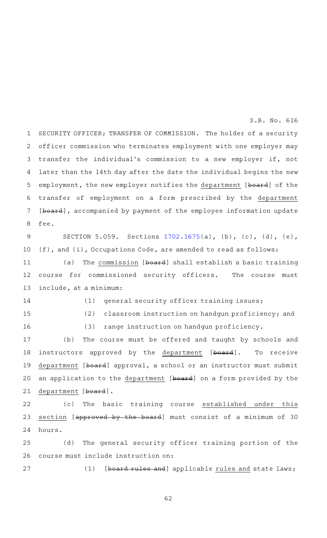SECURITY OFFICER; TRANSFER OF COMMISSION. The holder of a security officer commission who terminates employment with one employer may transfer the individual 's commission to a new employer if, not later than the 14th day after the date the individual begins the new employment, the new employer notifies the department [board] of the transfer of employment on a form prescribed by the department [board], accompanied by payment of the employee information update fee. 1 2 3 4 5 6 7 8

SECTION 5.059. Sections [1702.1675\(](http://www.statutes.legis.state.tx.us/GetStatute.aspx?Code=OC&Value=1702.1675&Date=5/27/2019)a), (b), (c), (d), (e), (f), and (i), Occupations Code, are amended to read as follows: 9 10

(a) The commission [board] shall establish a basic training course for commissioned security officers. The course must include, at a minimum: 11 12 13

14

(1) general security officer training issues;

15

16

 $(2)$  classroom instruction on handgun proficiency; and

(3) range instruction on handgun proficiency.

(b) The course must be offered and taught by schools and instructors approved by the department [board]. To receive department [board] approval, a school or an instructor must submit an application to the department [board] on a form provided by the department [board]. 17 18 19 20 21

(c) The basic training course established under this section [approved by the board] must consist of a minimum of 30 hours. 22 23 24

(d) The general security officer training portion of the course must include instruction on: 25 26

27

(1) [board rules and] applicable rules and state laws;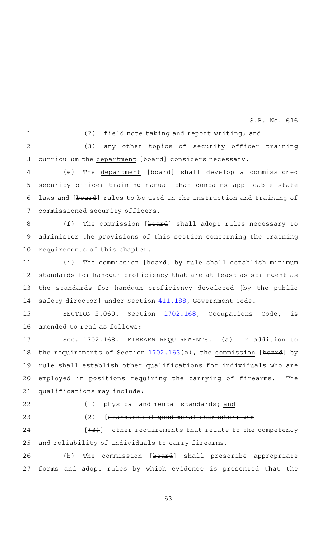1

(2) field note taking and report writing; and

(3) any other topics of security officer training curriculum the department [board] considers necessary.  $\overline{2}$ 3

(e) The department [board] shall develop a commissioned security officer training manual that contains applicable state laws and [board] rules to be used in the instruction and training of commissioned security officers. 4 5 6 7

(f) The commission [board] shall adopt rules necessary to administer the provisions of this section concerning the training requirements of this chapter. 8 9 10

(i) The commission [board] by rule shall establish minimum standards for handgun proficiency that are at least as stringent as the standards for handgun proficiency developed [by the public safety director] under Section [411.188,](http://www.statutes.legis.state.tx.us/GetStatute.aspx?Code=GV&Value=411.188&Date=5/27/2019) Government Code. 11 12 13 14

SECTION 5.060. Section [1702.168](http://www.statutes.legis.state.tx.us/GetStatute.aspx?Code=OC&Value=1702.168&Date=5/27/2019), Occupations Code, is amended to read as follows: 15 16

Sec. 1702.168. FIREARM REQUIREMENTS. (a) In addition to the requirements of Section [1702.163\(](http://www.statutes.legis.state.tx.us/GetStatute.aspx?Code=OC&Value=1702.163&Date=5/27/2019)a), the commission [board] by rule shall establish other qualifications for individuals who are employed in positions requiring the carrying of firearms. The qualifications may include: 17 18 19 20 21

22

## (1) physical and mental standards; and

23

# $(2)$  [standards of good moral character; and

 $[43]$  other requirements that relate to the competency and reliability of individuals to carry firearms. 24 25

(b) The commission [board] shall prescribe appropriate forms and adopt rules by which evidence is presented that the 26 27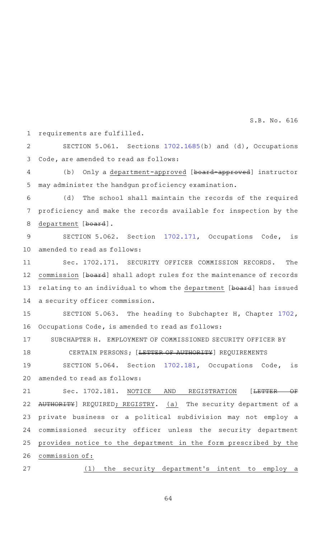requirements are fulfilled. SECTION 5.061. Sections  $1702.1685(b)$  $1702.1685(b)$  and (d), Occupations Code, are amended to read as follows: (b) Only a department-approved [board-approved] instructor may administer the handgun proficiency examination. (d) The school shall maintain the records of the required proficiency and make the records available for inspection by the department [board]. SECTION 5.062. Section [1702.171](http://www.statutes.legis.state.tx.us/GetStatute.aspx?Code=OC&Value=1702.171&Date=5/27/2019), Occupations Code, is amended to read as follows: Sec. 1702.171. SECURITY OFFICER COMMISSION RECORDS. The commission [board] shall adopt rules for the maintenance of records relating to an individual to whom the department [board] has issued a security officer commission. SECTION 5.063. The heading to Subchapter H, Chapter [1702](http://www.statutes.legis.state.tx.us/GetStatute.aspx?Code=OC&Value=1702&Date=5/27/2019), Occupations Code, is amended to read as follows: SUBCHAPTER H. EMPLOYMENT OF COMMISSIONED SECURITY OFFICER BY CERTAIN PERSONS; [<del>LETTER OF AUTHORITY</del>] REQUIREMENTS SECTION 5.064. Section [1702.181](http://www.statutes.legis.state.tx.us/GetStatute.aspx?Code=OC&Value=1702.181&Date=5/27/2019), Occupations Code, is amended to read as follows: Sec. 1702.181. NOTICE AND REGISTRATION [<del>LETTER OF</del> AUTHORITY] REQUIRED; REGISTRY. (a) The security department of a private business or a political subdivision may not employ a commissioned security officer unless the security department provides notice to the department in the form prescribed by the commission of:  $(1)$  the security department's intent to employ a 1 2 3 4 5 6 7 8 9 10 11 12 13 14 15 16 17 18 19 20 21 22 23 24 25 26 27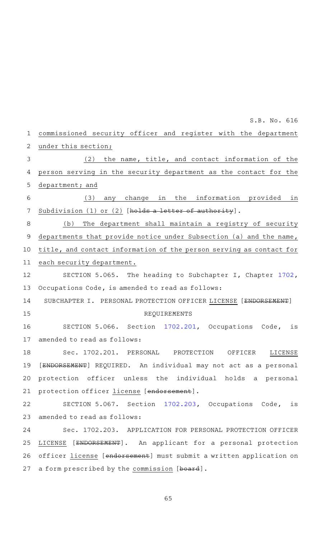| $\mathbf 1$ | commissioned security officer and register with the department               |
|-------------|------------------------------------------------------------------------------|
| 2           | under this section;                                                          |
| 3           | the name, title, and contact information of the<br>(2)                       |
| 4           | person serving in the security department as the contact for the             |
| 5           | department; and                                                              |
| 6           | in the information provided<br>(3)<br>change<br>in<br>any                    |
| 7           | Subdivision (1) or (2) [holds a letter of authority].                        |
| 8           | The department shall maintain a registry of security<br>(b)                  |
| 9           | departments that provide notice under Subsection (a) and the name,           |
| 10          | title, and contact information of the person serving as contact for          |
| 11          | each security department.                                                    |
| 12          | SECTION 5.065. The heading to Subchapter I, Chapter 1702,                    |
| 13          | Occupations Code, is amended to read as follows:                             |
| 14          | SUBCHAPTER I. PERSONAL PROTECTION OFFICER LICENSE [ <del>ENDORSEMENT</del> ] |
| 15          | REQUIREMENTS                                                                 |
| 16          | SECTION 5.066. Section 1702.201, Occupations Code, is                        |
| 17          | amended to read as follows:                                                  |
| 18          | Sec. 1702.201. PERSONAL PROTECTION<br>OFFICER<br>LICENSE                     |
| 19          | [ENDORSEMENT] REQUIRED. An individual may not act as a personal              |
| 20          | protection officer unless the individual holds a personal                    |
| 21          | protection officer license [endorsement].                                    |
| 22          | SECTION 5.067. Section 1702.203, Occupations Code, is                        |
| 23          | amended to read as follows:                                                  |
| 24          | Sec. 1702.203. APPLICATION FOR PERSONAL PROTECTION OFFICER                   |
| 25          | [ENDORSEMENT]. An applicant for a personal protection<br>LICENSE             |
| 26          | officer license [endorsement] must submit a written application on           |
| 27          | a form prescribed by the commission [board].                                 |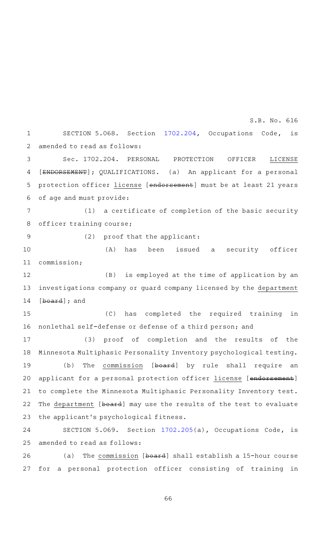SECTION 5.068. Section [1702.204](http://www.statutes.legis.state.tx.us/GetStatute.aspx?Code=OC&Value=1702.204&Date=5/27/2019), Occupations Code, is amended to read as follows: Sec. 1702.204. PERSONAL PROTECTION OFFICER LICENSE [ENDORSEMENT]; QUALIFICATIONS. (a) An applicant for a personal protection officer license [endorsement] must be at least 21 years 1 2 3 4 5

of age and must provide: 6

(1) a certificate of completion of the basic security officer training course; 7 8

9

(2) proof that the applicant:

(A) has been issued a security officer commission; 10 11

(B) is employed at the time of application by an investigations company or guard company licensed by the department [board]; and 12 13 14

(C) has completed the required training in nonlethal self-defense or defense of a third person; and 15 16

(3) proof of completion and the results of the Minnesota Multiphasic Personality Inventory psychological testing. (b) The commission [board] by rule shall require an applicant for a personal protection officer license [endorsement] to complete the Minnesota Multiphasic Personality Inventory test. The department [board] may use the results of the test to evaluate the applicant 's psychological fitness. 17 18 19 20 21 22 23

SECTION 5.069. Section [1702.205](http://www.statutes.legis.state.tx.us/GetStatute.aspx?Code=OC&Value=1702.205&Date=5/27/2019)(a), Occupations Code, is amended to read as follows: 24 25

(a) The commission  $[board]$  shall establish a 15-hour course for a personal protection officer consisting of training in 26 27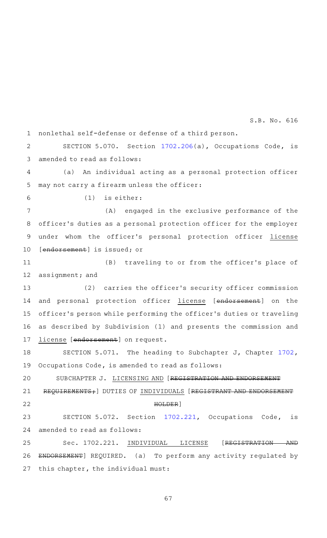nonlethal self-defense or defense of a third person. 1

SECTION 5.070. Section [1702.206](http://www.statutes.legis.state.tx.us/GetStatute.aspx?Code=OC&Value=1702.206&Date=5/27/2019)(a), Occupations Code, is amended to read as follows:  $\mathcal{D}$ 3

(a) An individual acting as a personal protection officer may not carry a firearm unless the officer: 4 5

 $(1)$  is either: 6

(A) engaged in the exclusive performance of the officer 's duties as a personal protection officer for the employer under whom the officer 's personal protection officer license [endorsement] is issued; or 7 8 9 10

(B) traveling to or from the officer's place of assignment; and 11 12

(2) carries the officer's security officer commission and personal protection officer license [endorsement] on the officer 's person while performing the officer 's duties or traveling as described by Subdivision (1) and presents the commission and license [endorsement] on request. 13 14 15 16 17

SECTION 5.071. The heading to Subchapter J, Chapter [1702](http://www.statutes.legis.state.tx.us/GetStatute.aspx?Code=OC&Value=1702&Date=5/27/2019), Occupations Code, is amended to read as follows: 18 19

SUBCHAPTER J. LICENSING AND [REGISTRATION AND ENDORSEMENT REQUIREMENTS; ] DUTIES OF INDIVIDUALS [REGISTRANT AND ENDORSEMENT HOLDER] SECTION 5.072. Section [1702.221](http://www.statutes.legis.state.tx.us/GetStatute.aspx?Code=OC&Value=1702.221&Date=5/27/2019), Occupations Code, is 20 21 22 23

amended to read as follows: 24

Sec. 1702.221. INDIVIDUAL LICENSE [REGISTRATION AND ENDORSEMENT] REQUIRED. (a) To perform any activity regulated by this chapter, the individual must: 25 26 27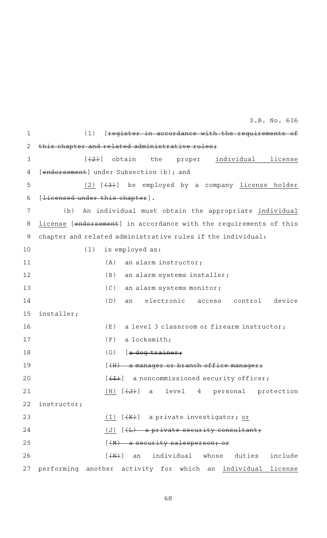(1) [register in accordance with the requirements of this chapter and related administrative rules;  $[$  ( $\overline{2}$ ) obtain the proper individual license [endorsement] under Subsection (b); and (2)  $[43+]$  be employed by a company license holder [<del>licensed under this chapter</del>]. (b) An individual must obtain the appropriate individual license [endorsement] in accordance with the requirements of this chapter and related administrative rules if the individual:  $(1)$  is employed as:  $(A)$  an alarm instructor; (B) an alarm systems installer; (C) an alarm systems monitor; (D) an electronic access control device installer;  $(E)$  a level 3 classroom or firearm instructor;  $(F)$  a locksmith;  $(G)$  [a dog trainer;  $[$   $(H)$  a manager or branch office manager;  $[\overline{+1}$  a noncommissioned security officer;  $(H)$   $(\overline{J})$  a level 4 personal protection instructor; (I)  $[4K+]$  a private investigator; or  $(J)$   $(\pm)$  a private security consultant;  $[$   $($ M $)$  a security salesperson; or  $[4N+]$  an individual whose duties include 27 performing another activity for which an individual license 1 2 3 4 5 6 7 8 9 10 11 12 13 14 15 16 17 18 19 20 21 22 23 24 25 26 S.B. No. 616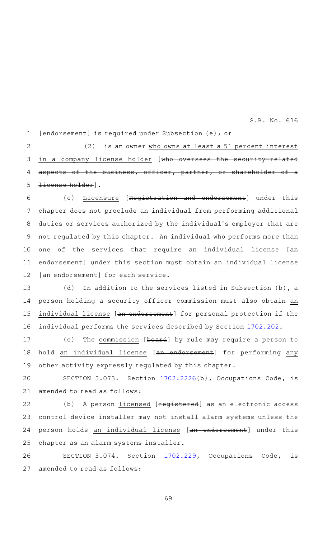[endorsement] is required under Subsection (e); or 1

(2) is an owner who owns at least a 51 percent interest in a company license holder [who oversees the security-related aspects of the business, officer, partner, or shareholder of license holder]. 2 3 4 5

(c) Licensure [Registration and endorsement] under this chapter does not preclude an individual from performing additional duties or services authorized by the individual 's employer that are not regulated by this chapter. An individual who performs more than one of the services that require an individual license [an endorsement] under this section must obtain an individual license [an endorsement] for each service. 6 7 8 9 10 11 12

(d) In addition to the services listed in Subsection (b), a person holding a security officer commission must also obtain an individual license [an endorsement] for personal protection if the individual performs the services described by Section [1702.202](http://www.statutes.legis.state.tx.us/GetStatute.aspx?Code=OC&Value=1702.202&Date=5/27/2019). 13 14 15 16

(e) The commission [board] by rule may require a person to hold an individual license [an endorsement] for performing any other activity expressly regulated by this chapter. 17 18 19

SECTION 5.073. Section [1702.2226](http://www.statutes.legis.state.tx.us/GetStatute.aspx?Code=OC&Value=1702.2226&Date=5/27/2019)(b), Occupations Code, is amended to read as follows: 20 21

(b) A person *licensed* [registered] as an electronic access control device installer may not install alarm systems unless the person holds an individual license [an endorsement] under this chapter as an alarm systems installer. 22 23 24 25

SECTION 5.074. Section [1702.229](http://www.statutes.legis.state.tx.us/GetStatute.aspx?Code=OC&Value=1702.229&Date=5/27/2019), Occupations Code, is amended to read as follows: 26 27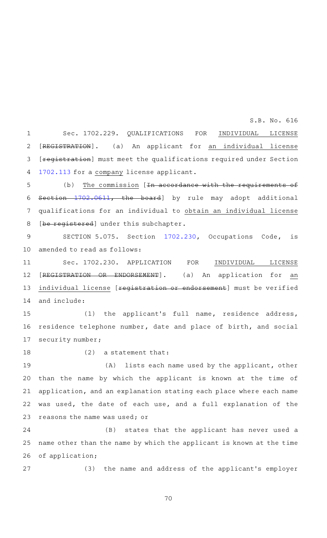Sec. 1702.229. QUALIFICATIONS FOR INDIVIDUAL LICENSE [REGISTRATION]. (a) An applicant for an individual license [registration] must meet the qualifications required under Section [1702.113](http://www.statutes.legis.state.tx.us/GetStatute.aspx?Code=OC&Value=1702.113&Date=5/27/2019) for a company license applicant. 1 2 3 4

S.B. No. 616

(b) The commission  $[In accordance with the requirements of]$ Section [1702.0611](http://www.statutes.legis.state.tx.us/GetStatute.aspx?Code=OC&Value=1702.0611&Date=5/27/2019), the board] by rule may adopt additional qualifications for an individual to obtain an individual license [be registered] under this subchapter. 5 6 7 8

SECTION 5.075. Section [1702.230](http://www.statutes.legis.state.tx.us/GetStatute.aspx?Code=OC&Value=1702.230&Date=5/27/2019), Occupations Code, is amended to read as follows: 9 10

Sec. 1702.230. APPLICATION FOR INDIVIDUAL LICENSE [REGISTRATION OR ENDORSEMENT]. (a) An application for an individual license [registration or endorsement] must be verified and include: 11 12 13 14

(1) the applicant's full name, residence address, residence telephone number, date and place of birth, and social security number; 15 16 17

18

 $(2)$  a statement that:

(A) lists each name used by the applicant, other than the name by which the applicant is known at the time of application, and an explanation stating each place where each name was used, the date of each use, and a full explanation of the reasons the name was used; or 19 20 21 22 23

(B) states that the applicant has never used a name other than the name by which the applicant is known at the time of application; 24 25 26

(3) the name and address of the applicant's employer 27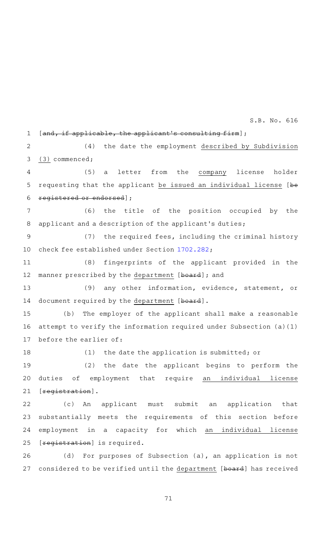[and, if applicable, the applicant's consulting firm]; 1

(4) the date the employment described by Subdivision (3) commenced; 2 3

(5) a letter from the company license holder requesting that the applicant be issued an individual license [be registered or endorsed]; 4 5 6

(6) the title of the position occupied by the applicant and a description of the applicant 's duties; 7 8

(7) the required fees, including the criminal history check fee established under Section [1702.282;](http://www.statutes.legis.state.tx.us/GetStatute.aspx?Code=OC&Value=1702.282&Date=5/27/2019) 9 10

(8) fingerprints of the applicant provided in the manner prescribed by the department [board]; and 11 12

(9) any other information, evidence, statement, or document required by the department [board]. 13 14

(b) The employer of the applicant shall make a reasonable attempt to verify the information required under Subsection (a)(1) before the earlier of: 15 16 17

(1) the date the application is submitted; or (2) the date the applicant begins to perform the duties of employment that require an individual license [registration]. 18 19 20 21

(c)AAAn applicant must submit an application that substantially meets the requirements of this section before employment in a capacity for which an individual license [registration] is required. 22 23 24 25

(d) For purposes of Subsection (a), an application is not considered to be verified until the department [board] has received 26 27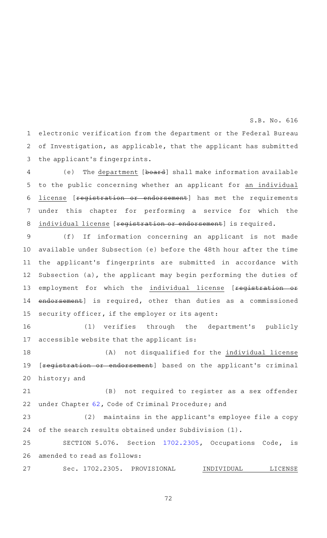electronic verification from the department or the Federal Bureau of Investigation, as applicable, that the applicant has submitted the applicant 's fingerprints. 1 2 3

(e) The department [board] shall make information available to the public concerning whether an applicant for an individual license [registration or endorsement] has met the requirements under this chapter for performing a service for which the individual license [reqistration or endorsement] is required. 4 5 6 7 8

(f) If information concerning an applicant is not made available under Subsection (e) before the 48th hour after the time the applicant 's fingerprints are submitted in accordance with Subsection (a), the applicant may begin performing the duties of employment for which the individual license [registration or endorsement] is required, other than duties as a commissioned security officer, if the employer or its agent: 9 10 11 12 13 14 15

(1) verifies through the department's publicly accessible website that the applicant is: 16 17

(A) not disqualified for the individual license [registration or endorsement] based on the applicant's criminal history; and 18 19 20

(B) not required to register as a sex offender under Chapter [62,](http://www.statutes.legis.state.tx.us/GetStatute.aspx?Code=CR&Value=62&Date=5/27/2019) Code of Criminal Procedure; and 21 22

(2) maintains in the applicant's employee file a copy of the search results obtained under Subdivision (1). 23 24

SECTION 5.076. Section [1702.2305,](http://www.statutes.legis.state.tx.us/GetStatute.aspx?Code=OC&Value=1702.2305&Date=5/27/2019) Occupations Code, is amended to read as follows: 25 26

Sec. 1702.2305. PROVISIONAL INDIVIDUAL LICENSE 27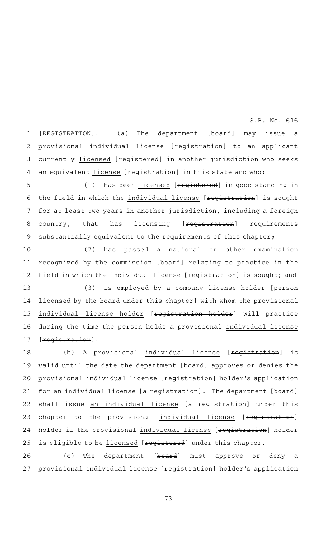[REGISTRATION]. (a) The department [board] may issue a provisional individual license [registration] to an applicant currently licensed [registered] in another jurisdiction who seeks an equivalent license [reqistration] in this state and who: 1 2 3 4

(1) has been licensed [registered] in good standing in the field in which the individual license [registration] is sought for at least two years in another jurisdiction, including a foreign country, that has licensing [reqistration] requirements substantially equivalent to the requirements of this chapter; 5 6 7 8 9

(2) has passed a national or other examination recognized by the commission [board] relating to practice in the field in which the individual license [\*egistration] is sought; and (3) is employed by a company license holder [person licensed by the board under this chapter] with whom the provisional individual license holder [reqistration holder] will practice during the time the person holds a provisional individual license [registration]. 10 11 12 13 14 15 16 17

(b) A provisional individual license [registration] is valid until the date the department [board] approves or denies the provisional individual license [registration] holder's application for an individual license [a registration]. The department [board] shall issue an individual license [a registration] under this chapter to the provisional individual license [registration] holder if the provisional individual license [registration] holder is eligible to be licensed [registered] under this chapter. 18 19 20 21 22 23 24 25

(c) The department [board] must approve or deny a provisional individual license [registration] holder's application 26 27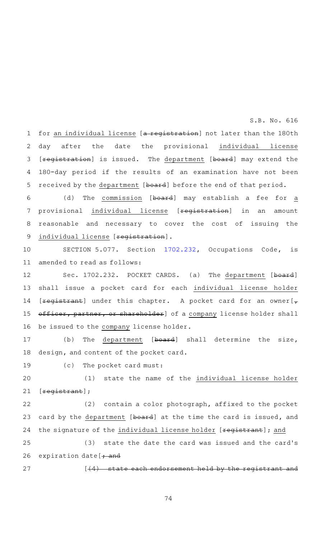for an individual license [a registration] not later than the 180th day after the date the provisional individual license [registration] is issued. The department [board] may extend the 180-day period if the results of an examination have not been received by the department [board] before the end of that period. 1 2 3 4 5

(d) The commission [board] may establish a fee for a provisional individual license [registration] in an amount reasonable and necessary to cover the cost of issuing the individual license [registration]. 6 7 8 9

SECTION 5.077. Section [1702.232](http://www.statutes.legis.state.tx.us/GetStatute.aspx?Code=OC&Value=1702.232&Date=5/27/2019), Occupations Code, is amended to read as follows: 10 11

Sec. 1702.232. POCKET CARDS. (a) The department [board] shall issue a pocket card for each individual license holder [ $registrant$ ] under this chapter. A pocket card for an owner[ $\tau$ officer, partner, or shareholder] of a company license holder shall be issued to the company license holder. 12 13 14 15 16

(b) The department  $[board]$  shall determine the size, design, and content of the pocket card. 17 18

(c) The pocket card must: 19

(1) state the name of the individual license holder [registrant]; 20 21

 $(2)$  contain a color photograph, affixed to the pocket card by the department [board] at the time the card is issued, and the signature of the individual license holder [registrant]; and 22 23 24

(3) state the date the card was issued and the card's expiration date  $\frac{1}{1}$  and 25 26

27

 $[44)$  state each endorsement held by the registrant and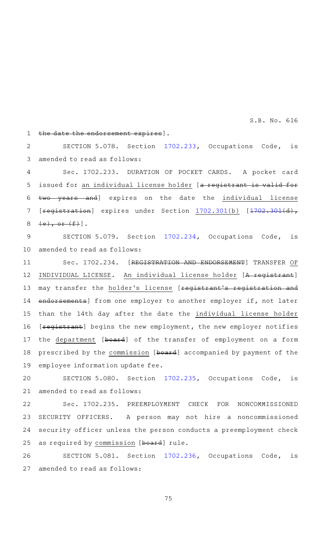the date the endorsement expires]. 1

SECTION 5.078. Section [1702.233](http://www.statutes.legis.state.tx.us/GetStatute.aspx?Code=OC&Value=1702.233&Date=5/27/2019), Occupations Code, is amended to read as follows: 2 3

Sec. 1702.233. DURATION OF POCKET CARDS. A pocket card issued for an individual license holder [a registrant is valid for two years and] expires on the date the individual license [registration] expires under Section [1702.301](http://www.statutes.legis.state.tx.us/GetStatute.aspx?Code=OC&Value=1702.301&Date=5/27/2019)(b) [\[1702.301\(](http://www.statutes.legis.state.tx.us/GetStatute.aspx?Code=OC&Value=1702.301&Date=5/27/2019)d),  $(e),$  or  $(f)$ . 4 5 6 7 8

SECTION 5.079. Section [1702.234](http://www.statutes.legis.state.tx.us/GetStatute.aspx?Code=OC&Value=1702.234&Date=5/27/2019), Occupations Code, is amended to read as follows: 9 10

Sec. 1702.234. [REGISTRATION AND ENDORSEMENT] TRANSFER OF INDIVIDUAL LICENSE. An individual license holder [A registrant] may transfer the holder's license [registrant's registration and endorsements] from one employer to another employer if, not later than the 14th day after the date the individual license holder [**registrant**] begins the new employment, the new employer notifies the department [board] of the transfer of employment on a form prescribed by the commission [board] accompanied by payment of the employee information update fee. 11 12 13 14 15 16 17 18 19

SECTION 5.080. Section [1702.235](http://www.statutes.legis.state.tx.us/GetStatute.aspx?Code=OC&Value=1702.235&Date=5/27/2019), Occupations Code, is amended to read as follows: 20 21

Sec. 1702.235. PREEMPLOYMENT CHECK FOR NONCOMMISSIONED SECURITY OFFICERS. A person may not hire a noncommissioned security officer unless the person conducts a preemployment check as required by commission [board] rule. 22 23 24 25

SECTION 5.081. Section [1702.236](http://www.statutes.legis.state.tx.us/GetStatute.aspx?Code=OC&Value=1702.236&Date=5/27/2019), Occupations Code, is amended to read as follows: 26 27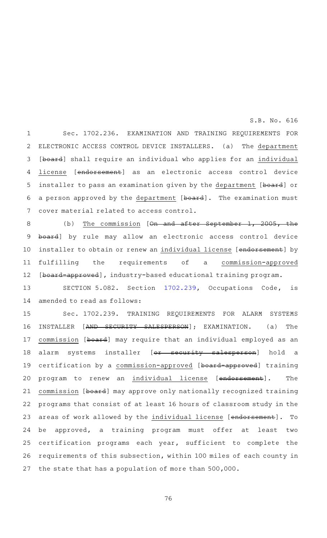Sec. 1702.236. EXAMINATION AND TRAINING REQUIREMENTS FOR ELECTRONIC ACCESS CONTROL DEVICE INSTALLERS. (a) The department [board] shall require an individual who applies for an individual license [endorsement] as an electronic access control device installer to pass an examination given by the department [board] or a person approved by the department [board]. The examination must cover material related to access control. 1 2 3 4 5 6 7

(b) The commission  $[ $\Theta$ n- $\Theta$ n- $\Theta$ 2ef.$ board] by rule may allow an electronic access control device installer to obtain or renew an individual license [endorsement] by fulfilling the requirements of a commission-approved [board-approved], industry-based educational training program. 8 9 10 11 12

SECTION 5.082. Section [1702.239](http://www.statutes.legis.state.tx.us/GetStatute.aspx?Code=OC&Value=1702.239&Date=5/27/2019), Occupations Code, is amended to read as follows: 13 14

Sec. 1702.239. TRAINING REQUIREMENTS FOR ALARM SYSTEMS INSTALLER [AND SECURITY SALESPERSON]; EXAMINATION. (a) The commission [board] may require that an individual employed as an alarm systems installer [or security salesperson] hold a certification by a commission-approved [board-approved] training program to renew an individual license [endorsement]. The commission [board] may approve only nationally recognized training programs that consist of at least 16 hours of classroom study in the areas of work allowed by the individual license [endorsement]. To be approved, a training program must offer at least two certification programs each year, sufficient to complete the requirements of this subsection, within 100 miles of each county in the state that has a population of more than 500,000. 15 16 17 18 19 20 21 22 23 24 25 26 27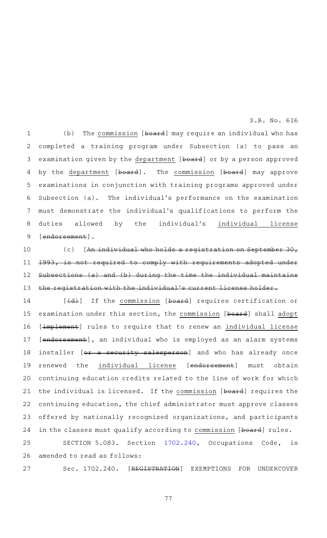(b) The commission  $[b\text{-}1\text{-}1]$  may require an individual who has completed a training program under Subsection (a) to pass an examination given by the department [board] or by a person approved by the department [board]. The commission [board] may approve examinations in conjunction with training programs approved under Subsection (a). The individual 's performance on the examination must demonstrate the individual 's qualifications to perform the duties allowed by the individual's individual license [endorsement]. 1 2 3 4 5 6 7 8 9

(c) [An individual who holds a registration on September 30, 1993, is not required to comply with requirements adopted under Subsections (a) and (b) during the time the individual maintains the registration with the individual's current license holder. 10 11 12 13

[(d)] If the commission [board] requires certification or examination under this section, the commission [board] shall adopt [implement] rules to require that to renew an individual license [endorsement], an individual who is employed as an alarm systems installer [or a security salesperson] and who has already once renewed the individual license [endorsement] must obtain continuing education credits related to the line of work for which the individual is licensed. If the commission [board] requires the continuing education, the chief administrator must approve classes offered by nationally recognized organizations, and participants in the classes must qualify according to commission [board] rules. 14 15 16 17 18 19 20 21 22 23 24

SECTION 5.083. Section [1702.240](http://www.statutes.legis.state.tx.us/GetStatute.aspx?Code=OC&Value=1702.240&Date=5/27/2019), Occupations Code, is amended to read as follows: 25 26

Sec. 1702.240. [REGISTRATION] EXEMPTIONS FOR UNDERCOVER 27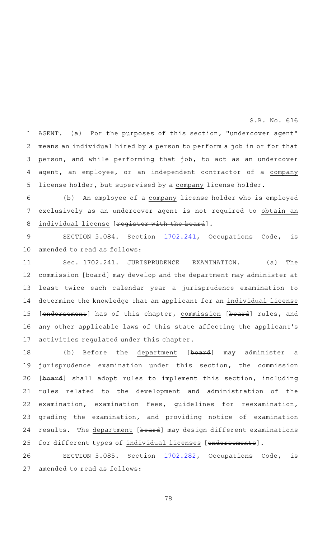AGENT. (a) For the purposes of this section, "undercover agent" means an individual hired by a person to perform a job in or for that person, and while performing that job, to act as an undercover agent, an employee, or an independent contractor of a company license holder, but supervised by a company license holder. 1 2 3 4 5

(b) An employee of a company license holder who is employed exclusively as an undercover agent is not required to obtain an individual license [reqister with the board]. 6 7 8

SECTION 5.084. Section [1702.241](http://www.statutes.legis.state.tx.us/GetStatute.aspx?Code=OC&Value=1702.241&Date=5/27/2019), Occupations Code, is amended to read as follows: 9 10

Sec. 1702.241. JURISPRUDENCE EXAMINATION. (a) The commission [board] may develop and the department may administer at least twice each calendar year a jurisprudence examination to determine the knowledge that an applicant for an individual license [endorsement] has of this chapter, commission [board] rules, and any other applicable laws of this state affecting the applicant 's activities regulated under this chapter. 11 12 13 14 15 16 17

(b) Before the department [board] may administer a jurisprudence examination under this section, the commission [board] shall adopt rules to implement this section, including rules related to the development and administration of the examination, examination fees, guidelines for reexamination, grading the examination, and providing notice of examination results. The department [board] may design different examinations for different types of individual licenses [endorsements]. 18 19 20 21 22 23 24 25

SECTION 5.085. Section [1702.282](http://www.statutes.legis.state.tx.us/GetStatute.aspx?Code=OC&Value=1702.282&Date=5/27/2019), Occupations Code, is amended to read as follows: 26 27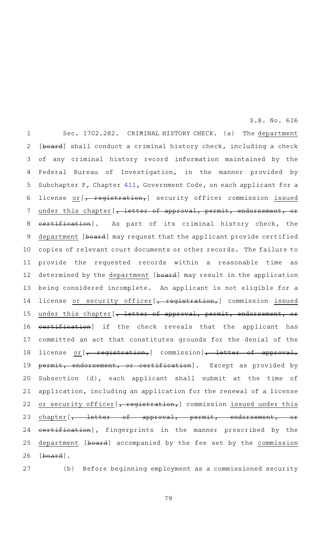Sec. 1702.282. CRIMINAL HISTORY CHECK. (a) The department [board] shall conduct a criminal history check, including a check of any criminal history record information maintained by the Federal Bureau of Investigation, in the manner provided by Subchapter F, Chapter [411,](http://www.statutes.legis.state.tx.us/GetStatute.aspx?Code=GV&Value=411&Date=5/27/2019) Government Code, on each applicant for a license or  $\left[\right. \left. \right. \left. \right. \left. \right. \left. \right. \left. \left. \right. \right. \left. \left. \right. \right. \left. \left. \right. \right. \left. \left. \right. \right. \left. \left. \right. \right. \left. \left. \right. \right. \left. \left. \right. \right. \left. \left. \right. \right. \left. \left. \right. \right. \left. \left. \right. \right. \left. \left. \right. \right. \left. \left. \right. \right. \left. \right. \left. \right. \right. \left. \left. \right. \right. \left. \left. \right.$ under this chapter [, letter of approval, permit, endorsement, or certification]. As part of its criminal history check, the department [board] may request that the applicant provide certified copies of relevant court documents or other records. The failure to provide the requested records within a reasonable time as determined by the department [board] may result in the application being considered incomplete. An applicant is not eligible for a license or security officer[, registration,] commission issued under this chapter [, letter of approval, permit, endorsement, or certification] if the check reveals that the applicant has committed an act that constitutes grounds for the denial of the license or [, registration,] commission [, letter of approval, permit, endorsement, or certification]. Except as provided by Subsection (d), each applicant shall submit at the time of application, including an application for the renewal of a license or security officer [, registration,] commission issued under this chapter [<del>, letter of approval, permit, endorsement, or</del> certification], fingerprints in the manner prescribed by the department [board] accompanied by the fee set by the commission [board]. 1 2 3 4 5 6 7 8 9 10 11 12 13 14 15 16 17 18 19 20 21 22 23 24 25 26

27

(b) Before beginning employment as a commissioned security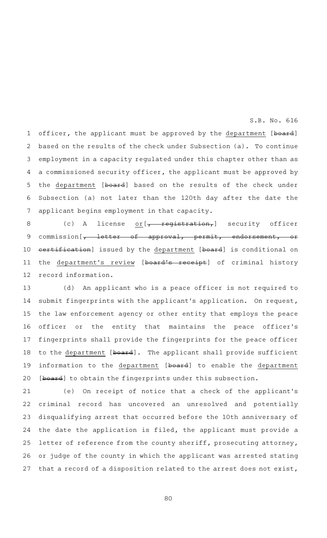officer, the applicant must be approved by the department [board] based on the results of the check under Subsection (a). To continue employment in a capacity regulated under this chapter other than as a commissioned security officer, the applicant must be approved by the department [board] based on the results of the check under Subsection (a) not later than the 120th day after the date the applicant begins employment in that capacity. 1 2 3 4 5 6 7

(c) A license  $or [$ , registration, requisity officer commission  $\left[\begin{matrix} , & \text{letter} & \text{of} & \text{app } \text{f} \\ \text{on} & \text{per} & \text{per} \end{matrix}\right], \quad \text{per}$  endorsement, certification] issued by the department [board] is conditional on the department's review [board's receipt] of criminal history record information. 8 9 10 11 12

(d) An applicant who is a peace officer is not required to submit fingerprints with the applicant 's application. On request, the law enforcement agency or other entity that employs the peace officer or the entity that maintains the peace officer 's fingerprints shall provide the fingerprints for the peace officer to the department [board]. The applicant shall provide sufficient information to the department [board] to enable the department [board] to obtain the fingerprints under this subsection. 13 14 15 16 17 18 19 20

(e) On receipt of notice that a check of the applicant's criminal record has uncovered an unresolved and potentially disqualifying arrest that occurred before the 10th anniversary of the date the application is filed, the applicant must provide a letter of reference from the county sheriff, prosecuting attorney, or judge of the county in which the applicant was arrested stating that a record of a disposition related to the arrest does not exist, 21 22 23 24 25 26 27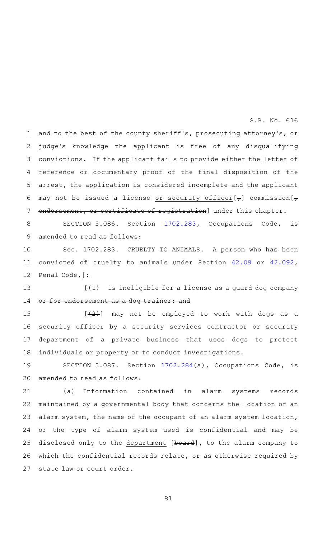and to the best of the county sheriff's, prosecuting attorney's, or judge's knowledge the applicant is free of any disqualifying convictions. If the applicant fails to provide either the letter of reference or documentary proof of the final disposition of the arrest, the application is considered incomplete and the applicant may not be issued a license or security officer[ $_{7}$ ] commission[ $_{7}$ ] endorsement, or certificate of registration] under this chapter. 1 2 3 4 5 6 7

SECTION 5.086. Section [1702.283](http://www.statutes.legis.state.tx.us/GetStatute.aspx?Code=OC&Value=1702.283&Date=5/27/2019), Occupations Code, is amended to read as follows: 8 9

Sec. 1702.283. CRUELTY TO ANIMALS. A person who has been convicted of cruelty to animals under Section [42.09](http://www.statutes.legis.state.tx.us/GetStatute.aspx?Code=PE&Value=42.09&Date=5/27/2019) or [42.092](http://www.statutes.legis.state.tx.us/GetStatute.aspx?Code=PE&Value=42.092&Date=5/27/2019), Penal Code, [+ 10 11 12

 $[41)$  is ineligible for a license as a guard dog company or for endorsement as a dog trainer; and 13 14

 $[\frac{1}{2}]$  may not be employed to work with dogs as a security officer by a security services contractor or security department of a private business that uses dogs to protect individuals or property or to conduct investigations. 15 16 17 18

SECTION 5.087. Section [1702.284](http://www.statutes.legis.state.tx.us/GetStatute.aspx?Code=OC&Value=1702.284&Date=5/27/2019)(a), Occupations Code, is amended to read as follows: 19 20

(a) Information contained in alarm systems records maintained by a governmental body that concerns the location of an alarm system, the name of the occupant of an alarm system location, or the type of alarm system used is confidential and may be disclosed only to the department [board], to the alarm company to which the confidential records relate, or as otherwise required by state law or court order. 21 22 23 24 25 26 27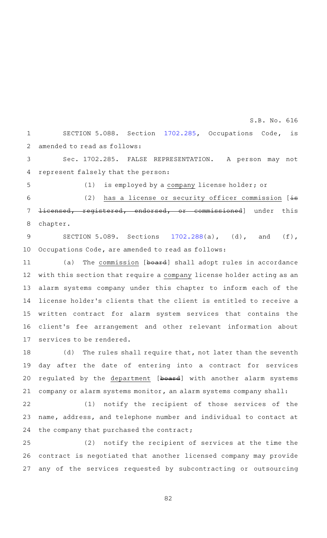SECTION 5.088. Section [1702.285](http://www.statutes.legis.state.tx.us/GetStatute.aspx?Code=OC&Value=1702.285&Date=5/27/2019), Occupations Code, is amended to read as follows: 1 2

S.B. No. 616

Sec. 1702.285. FALSE REPRESENTATION. A person may not represent falsely that the person: 3 4

5

(1) is employed by a company license holder; or

(2) has a license or security officer commission  $[\frac{1}{15}]$ licensed, registered, endorsed, or commissioned] under this chapter. 6 7 8

SECTION 5.089. Sections  $1702.288(a)$  $1702.288(a)$ , (d), and (f), Occupations Code, are amended to read as follows: 9 10

(a) The commission [board] shall adopt rules in accordance with this section that require a company license holder acting as an alarm systems company under this chapter to inform each of the license holder 's clients that the client is entitled to receive a written contract for alarm system services that contains the client 's fee arrangement and other relevant information about services to be rendered. 11 12 13 14 15 16 17

(d) The rules shall require that, not later than the seventh day after the date of entering into a contract for services regulated by the department [board] with another alarm systems company or alarm systems monitor, an alarm systems company shall: 18 19 20 21

(1) notify the recipient of those services of the name, address, and telephone number and individual to contact at the company that purchased the contract; 22 23 24

 $(2)$  notify the recipient of services at the time the contract is negotiated that another licensed company may provide any of the services requested by subcontracting or outsourcing 25 26 27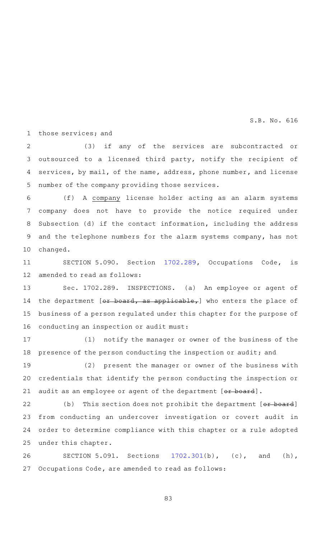those services; and 1

(3) if any of the services are subcontracted or outsourced to a licensed third party, notify the recipient of services, by mail, of the name, address, phone number, and license number of the company providing those services. 2 3 4 5

(f) A company license holder acting as an alarm systems company does not have to provide the notice required under Subsection (d) if the contact information, including the address and the telephone numbers for the alarm systems company, has not changed. 6 7 8 9 10

SECTION 5.090. Section [1702.289](http://www.statutes.legis.state.tx.us/GetStatute.aspx?Code=OC&Value=1702.289&Date=5/27/2019), Occupations Code, is amended to read as follows: 11 12

Sec. 1702.289. INSPECTIONS. (a) An employee or agent of the department  $[**or board**, **as applicable**,] who enters the place of$ business of a person regulated under this chapter for the purpose of conducting an inspection or audit must: 13 14 15 16

(1) notify the manager or owner of the business of the presence of the person conducting the inspection or audit; and 17 18

(2) present the manager or owner of the business with credentials that identify the person conducting the inspection or audit as an employee or agent of the department [or board]. 19 20 21

(b) This section does not prohibit the department  $[or$  board] from conducting an undercover investigation or covert audit in order to determine compliance with this chapter or a rule adopted under this chapter. 22 23 24 25

SECTION 5.091. Sections  $1702.301(b)$  $1702.301(b)$ , (c), and (h), Occupations Code, are amended to read as follows: 26 27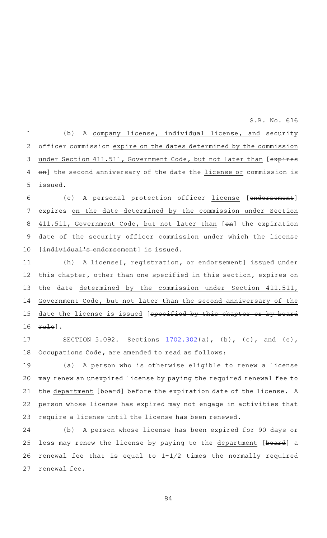(b) A company license, individual license, and security officer commission expire on the dates determined by the commission under Section 411.511, Government Code, but not later than [expires on] the second anniversary of the date the license or commission is issued. 1 2 3 4 5

(c) A personal protection officer license [endorsement] expires on the date determined by the commission under Section 411.511, Government Code, but not later than [on] the expiration date of the security officer commission under which the license [individual's endorsement] is issued. 6 7 8 9 10

(h) A license  $\frac{1}{t}$  registration, or endorsement] issued under this chapter, other than one specified in this section, expires on the date determined by the commission under Section 411.511, Government Code, but not later than the second anniversary of the date the license is issued [specified by this chapter or by board rule]. 11 12 13 14 15 16

SECTION 5.092. Sections [1702.302](http://www.statutes.legis.state.tx.us/GetStatute.aspx?Code=OC&Value=1702.302&Date=5/27/2019)(a), (b), (c), and (e), Occupations Code, are amended to read as follows: 17 18

(a) A person who is otherwise eligible to renew a license may renew an unexpired license by paying the required renewal fee to the department [board] before the expiration date of the license. A person whose license has expired may not engage in activities that require a license until the license has been renewed. 19 20 21 22 23

(b) A person whose license has been expired for 90 days or less may renew the license by paying to the department [board] a renewal fee that is equal to 1-1/2 times the normally required renewal fee. 24 25 26 27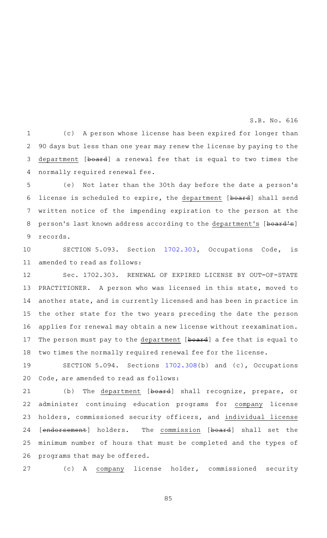(c) A person whose license has been expired for longer than 90 days but less than one year may renew the license by paying to the department [board] a renewal fee that is equal to two times the normally required renewal fee. 1 2 3 4

(e) Not later than the 30th day before the date a person's license is scheduled to expire, the department [board] shall send written notice of the impending expiration to the person at the person's last known address according to the department's [board's] records. 5 6 7 8 9

SECTION 5.093. Section [1702.303](http://www.statutes.legis.state.tx.us/GetStatute.aspx?Code=OC&Value=1702.303&Date=5/27/2019), Occupations Code, is amended to read as follows: 10 11

Sec. 1702.303. RENEWAL OF EXPIRED LICENSE BY OUT-OF-STATE PRACTITIONER. A person who was licensed in this state, moved to another state, and is currently licensed and has been in practice in the other state for the two years preceding the date the person applies for renewal may obtain a new license without reexamination. The person must pay to the department [board] a fee that is equal to two times the normally required renewal fee for the license. 12 13 14 15 16 17 18

SECTION 5.094. Sections  $1702.308(b)$  $1702.308(b)$  and (c), Occupations Code, are amended to read as follows: 19 20

(b) The department [board] shall recognize, prepare, or administer continuing education programs for company license holders, commissioned security officers, and individual license [endorsement] holders. The commission [board] shall set the minimum number of hours that must be completed and the types of programs that may be offered. 21 22 23 24 25 26

(c)AAA company license holder, commissioned security 27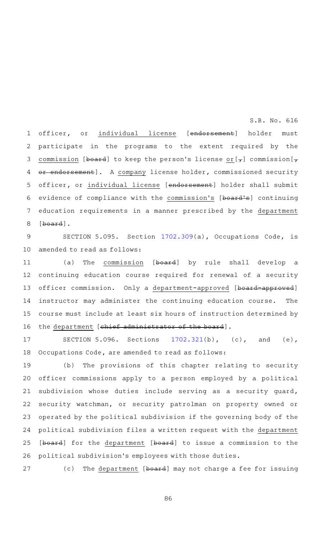officer, or individual license [endorsement] holder must participate in the programs to the extent required by the commission [board] to keep the person's license or  $[\tau]$  commission  $[\tau]$ or endorsement]. A company license holder, commissioned security officer, or individual license [endorsement] holder shall submit evidence of compliance with the commission's [board's] continuing education requirements in a manner prescribed by the department [board]. 1 2 3 4 5 6 7 8

SECTION 5.095. Section [1702.309](http://www.statutes.legis.state.tx.us/GetStatute.aspx?Code=OC&Value=1702.309&Date=5/27/2019)(a), Occupations Code, is amended to read as follows: 9 10

(a) The commission [board] by rule shall develop a continuing education course required for renewal of a security officer commission. Only a department-approved [board-approved] instructor may administer the continuing education course. The course must include at least six hours of instruction determined by the department [chief administrator of the board]. 11 12 13 14 15 16

SECTION 5.096. Sections  $1702.321(b)$  $1702.321(b)$ , (c), and (e), Occupations Code, are amended to read as follows: 17 18

(b) The provisions of this chapter relating to security officer commissions apply to a person employed by a political subdivision whose duties include serving as a security guard, security watchman, or security patrolman on property owned or operated by the political subdivision if the governing body of the political subdivision files a written request with the department [board] for the department [board] to issue a commission to the political subdivision 's employees with those duties. 19 20 21 22 23 24 25 26

(c) The department [board] may not charge a fee for issuing 27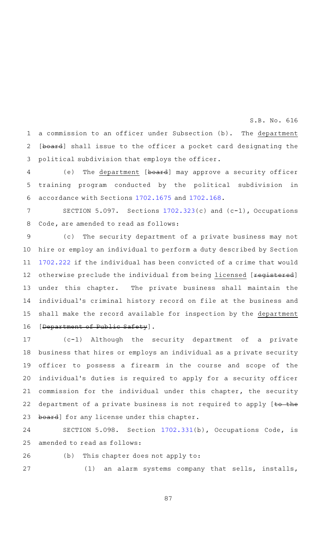a commission to an officer under Subsection (b). The department [board] shall issue to the officer a pocket card designating the political subdivision that employs the officer. 1 2 3

(e) The department [board] may approve a security officer training program conducted by the political subdivision in accordance with Sections [1702.1675](http://www.statutes.legis.state.tx.us/GetStatute.aspx?Code=OC&Value=1702.1675&Date=5/27/2019) and [1702.168](http://www.statutes.legis.state.tx.us/GetStatute.aspx?Code=OC&Value=1702.168&Date=5/27/2019). 4 5 6

SECTION 5.097. Sections  $1702.323(c)$  $1702.323(c)$  and  $(c-1)$ , Occupations Code, are amended to read as follows: 7 8

(c) The security department of a private business may not hire or employ an individual to perform a duty described by Section [1702.222](http://www.statutes.legis.state.tx.us/GetStatute.aspx?Code=OC&Value=1702.222&Date=5/27/2019) if the individual has been convicted of a crime that would otherwise preclude the individual from being licensed [registered] under this chapter. The private business shall maintain the individual's criminal history record on file at the business and shall make the record available for inspection by the department [Department of Public Safety]. 9 10 11 12 13 14 15 16

(c-1)AAAlthough the security department of a private business that hires or employs an individual as a private security officer to possess a firearm in the course and scope of the individual's duties is required to apply for a security officer commission for the individual under this chapter, the security department of a private business is not required to apply  $[to$  the board] for any license under this chapter. 17 18 19 20 21 22 23

SECTION 5.098. Section [1702.331](http://www.statutes.legis.state.tx.us/GetStatute.aspx?Code=OC&Value=1702.331&Date=5/27/2019)(b), Occupations Code, is amended to read as follows: 24 25

26

27

(b) This chapter does not apply to:

(1) an alarm systems company that sells, installs,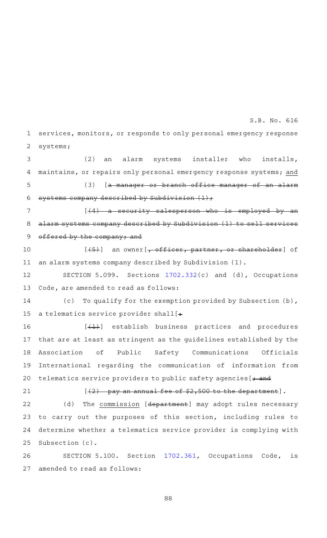services, monitors, or responds to only personal emergency response systems; 1 2

(2) an alarm systems installer who installs, maintains, or repairs only personal emergency response systems; and (3) [a manager or branch office manager of an alarm systems company described by Subdivision  $(1)$ ; 3 4 5 6

 $[44)$  a security salesperson who is employed by alarm systems company described by Subdivision (1) to sell services offered by the company; and 7 8 9

 $[45)$  an owner  $\frac{1}{2}$  officer, partner, or shareholder] of an alarm systems company described by Subdivision (1). 10 11

SECTION 5.099. Sections [1702.332](http://www.statutes.legis.state.tx.us/GetStatute.aspx?Code=OC&Value=1702.332&Date=5/27/2019)(c) and (d), Occupations Code, are amended to read as follows: 12 13

(c) To qualify for the exemption provided by Subsection (b), a telematics service provider shall  $[$ . 14 15

 $[$  ( $\overline{+1}$ ) establish business practices and procedures that are at least as stringent as the guidelines established by the Association of Public Safety Communications Officials International regarding the communication of information from telematics service providers to public safety agencies  $[+$  and 16 17 18 19 20

21

 $[42)$  pay an annual fee of \$2,500 to the department].

(d) The commission [department] may adopt rules necessary to carry out the purposes of this section, including rules to determine whether a telematics service provider is complying with Subsection (c). 22 23 24 25

SECTION 5.100. Section [1702.361](http://www.statutes.legis.state.tx.us/GetStatute.aspx?Code=OC&Value=1702.361&Date=5/27/2019), Occupations Code, is amended to read as follows: 26 27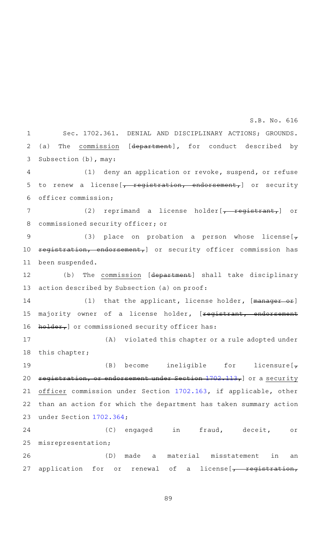Sec. 1702.361. DENIAL AND DISCIPLINARY ACTIONS; GROUNDS. (a) The commission [department], for conduct described by Subsection (b), may: 1 2 3

 $(1)$  deny an application or revoke, suspend, or refuse to renew a license  $\left[\right. \left. \right. \left. \right. \left. \right. \left. \left. \right. \left. \right. \left. \left. \right. \right. \left. \left. \right. \right. \left. \left. \right. \right. \left. \left. \left. \right. \right. \left. \left. \right. \right. \left. \left. \right. \right. \left. \left. \right. \right. \left. \left. \right. \right. \left. \left. \right. \right. \left. \left. \right. \right. \left. \left. \right. \right. \left. \left. \right. \right. \left. \left. \right. \right. \left. \$ officer commission; 4 5 6

(2) reprimand a license holder $[\overline{f + \overline{f}}]$  or commissioned security officer; or 7 8

(3) place on probation a person whose license[ $\tau$ registration, endorsement,] or security officer commission has been suspended. 9 10 11

(b) The commission [department] shall take disciplinary action described by Subsection (a) on proof: 12 13

(1) that the applicant, license holder, [manager or] majority owner of a license holder, [registrant, endorsement holder, or commissioned security officer has: 14 15 16

(A) violated this chapter or a rule adopted under this chapter; 17 18

(B) become ineligible for licensure[ $\tau$ registration, or endorsement under Section [1702.113,](http://www.statutes.legis.state.tx.us/GetStatute.aspx?Code=OC&Value=1702.113&Date=5/27/2019) or a security officer commission under Section [1702.163](http://www.statutes.legis.state.tx.us/GetStatute.aspx?Code=OC&Value=1702.163&Date=5/27/2019), if applicable, other than an action for which the department has taken summary action under Section [1702.364](http://www.statutes.legis.state.tx.us/GetStatute.aspx?Code=OC&Value=1702.364&Date=5/27/2019); 19 20 21 22 23

(C) engaged in fraud, deceit, or misrepresentation; (D) made a material misstatement in an 24 25 26

application for or renewal of a license  $\sqrt{r}$  registration, 27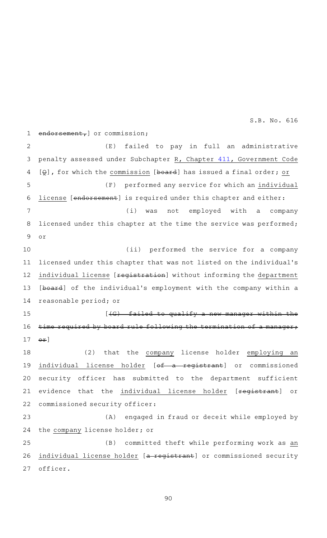endorsement, or commission; (E) failed to pay in full an administrative penalty assessed under Subchapter R, Chapter [411,](http://www.statutes.legis.state.tx.us/GetStatute.aspx?Code=GV&Value=411&Date=5/27/2019) Government Code  $[Q]$ , for which the commission [board] has issued a final order; or (F) performed any service for which an individual license [endorsement] is required under this chapter and either: (i) was not employed with a company licensed under this chapter at the time the service was performed; or (ii) performed the service for a company licensed under this chapter that was not listed on the individual 's individual license [registration] without informing the department [board] of the individual's employment with the company within a reasonable period; or  $[ (G)$  failed to qualify a new manager within time required by board rule following the termination of a manager;  $\Theta$  $\mathbf{f}$ ] (2) that the company license holder employing an individual license holder [of a registrant] or commissioned security officer has submitted to the department sufficient evidence that the individual license holder [registrant] or commissioned security officer: (A) engaged in fraud or deceit while employed by the company license holder; or (B) committed theft while performing work as an individual license holder [a registrant] or commissioned security officer. 1 2 3 4 5 6 7 8 9 10 11 12 13 14 15 16 17 18 19 20 21 22 23 24 25 26 27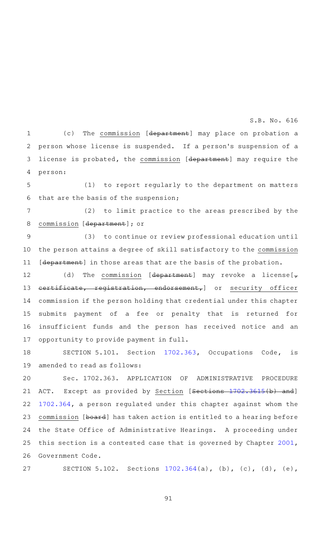(c) The commission [department] may place on probation a person whose license is suspended. If a person's suspension of a license is probated, the commission [department] may require the person: 1 2 3 4

(1) to report regularly to the department on matters that are the basis of the suspension; 5 6

(2) to limit practice to the areas prescribed by the commission [department]; or 7 8

(3) to continue or review professional education until the person attains a degree of skill satisfactory to the commission [department] in those areas that are the basis of the probation. 9 10 11

(d) The commission [department] may revoke a license[ $_{\tau}$ certificate, registration, endorsement,] or security officer commission if the person holding that credential under this chapter submits payment of a fee or penalty that is returned for insufficient funds and the person has received notice and an opportunity to provide payment in full. 12 13 14 15 16 17

SECTION 5.101. Section [1702.363](http://www.statutes.legis.state.tx.us/GetStatute.aspx?Code=OC&Value=1702.363&Date=5/27/2019), Occupations Code, is amended to read as follows: 18 19

Sec. 1702.363. APPLICATION OF ADMINISTRATIVE PROCEDURE ACT. Except as provided by Section [Sections [1702.3615](http://www.statutes.legis.state.tx.us/GetStatute.aspx?Code=OC&Value=1702.3615&Date=5/27/2019)(b) and] [1702.364](http://www.statutes.legis.state.tx.us/GetStatute.aspx?Code=OC&Value=1702.364&Date=5/27/2019), a person regulated under this chapter against whom the commission [board] has taken action is entitled to a hearing before the State Office of Administrative Hearings. A proceeding under this section is a contested case that is governed by Chapter [2001](http://www.statutes.legis.state.tx.us/GetStatute.aspx?Code=GV&Value=2001&Date=5/27/2019), Government Code. 20 21 22 23 24 25 26

SECTION 5.102. Sections [1702.364\(](http://www.statutes.legis.state.tx.us/GetStatute.aspx?Code=OC&Value=1702.364&Date=5/27/2019)a), (b), (c), (d), (e), 27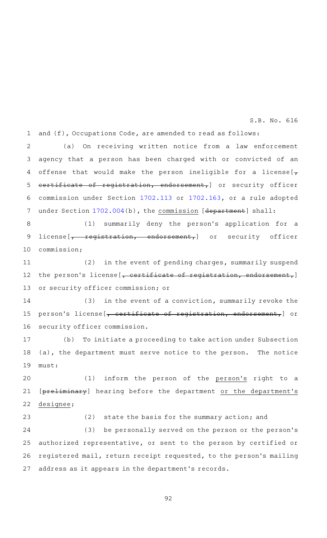and (f), Occupations Code, are amended to read as follows: 1

(a) On receiving written notice from a law enforcement agency that a person has been charged with or convicted of an offense that would make the person ineligible for a license[ $\tau$ certificate of registration, endorsement,] or security officer commission under Section [1702.113](http://www.statutes.legis.state.tx.us/GetStatute.aspx?Code=OC&Value=1702.113&Date=5/27/2019) or [1702.163](http://www.statutes.legis.state.tx.us/GetStatute.aspx?Code=OC&Value=1702.163&Date=5/27/2019), or a rule adopted under Section [1702.004](http://www.statutes.legis.state.tx.us/GetStatute.aspx?Code=OC&Value=1702.004&Date=5/27/2019)(b), the commission [department] shall: 2 3 4 5 6 7

(1) summarily deny the person's application for a license  $\left[\begin{array}{ccc} - & \text{registration} & \text{endorsement} \end{array}\right]$  or security officer commission; 8 9 10

(2) in the event of pending charges, summarily suspend the person's license [, certificate of registration, endorsement,] or security officer commission; or 11 12 13

 $(3)$  in the event of a conviction, summarily revoke the person's license [, certificate of registration, endorsement,] or security officer commission. 14 15 16

(b) To initiate a proceeding to take action under Subsection (a), the department must serve notice to the person. The notice must: 17 18 19

(1) inform the person of the person's right to a [preliminary] hearing before the department or the department's designee; 20 21 22

(2) state the basis for the summary action; and (3) be personally served on the person or the person's authorized representative, or sent to the person by certified or registered mail, return receipt requested, to the person 's mailing address as it appears in the department 's records. 23 24 25 26 27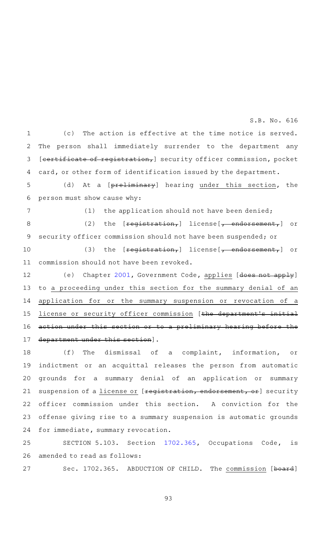(c) The action is effective at the time notice is served. The person shall immediately surrender to the department any [certificate of registration,] security officer commission, pocket card, or other form of identification issued by the department. 1 2 3 4

(d) At a [preliminary] hearing under this section, the person must show cause why: 5 6

7

 $(1)$  the application should not have been denied;

(2) the  $[**registration**,]$  license $[\overline{f}$  endorsement, or security officer commission should not have been suspended; or 8 9

(3) the  $[**registration<sub>r</sub>**]$  license $[\sim]$  endorsement<sub>r</sub>] or commission should not have been revoked. 10 11

(e) Chapter [2001,](http://www.statutes.legis.state.tx.us/GetStatute.aspx?Code=GV&Value=2001&Date=5/27/2019) Government Code, applies [does not apply] to a proceeding under this section for the summary denial of an application for or the summary suspension or revocation of a license or security officer commission [the department's initial action under this section or to a preliminary hearing before the department under this section]. 12 13 14 15 16 17

(f) The dismissal of a complaint, information, or indictment or an acquittal releases the person from automatic grounds for a summary denial of an application or summary suspension of a license or [registration, endorsement, or] security officer commission under this section. A conviction for the offense giving rise to a summary suspension is automatic grounds for immediate, summary revocation. 18 19 20 21 22 23 24

SECTION 5.103. Section [1702.365](http://www.statutes.legis.state.tx.us/GetStatute.aspx?Code=OC&Value=1702.365&Date=5/27/2019), Occupations Code, is amended to read as follows: 25 26

Sec. 1702.365. ABDUCTION OF CHILD. The commission [board] 27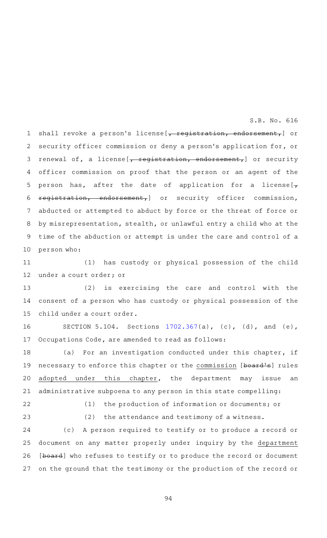shall revoke a person's license [, registration, endorsement,] or security officer commission or deny a person's application for, or renewal of, a license [<del>, registration, endorsement,</del>] or security officer commission on proof that the person or an agent of the person has, after the date of application for a license[ $_{\tau}$ registration, endorsement,] or security officer commission, abducted or attempted to abduct by force or the threat of force or by misrepresentation, stealth, or unlawful entry a child who at the time of the abduction or attempt is under the care and control of a person who: 1 2 3 4 5 6 7 8 9 10

(1) has custody or physical possession of the child under a court order; or 11 12

(2) is exercising the care and control with the consent of a person who has custody or physical possession of the child under a court order. 13 14 15

SECTION 5.104. Sections  $1702.367(a)$  $1702.367(a)$ , (c), (d), and (e), Occupations Code, are amended to read as follows: 16 17

(a) For an investigation conducted under this chapter, if necessary to enforce this chapter or the commission [board's] rules adopted under this chapter, the department may issue an administrative subpoena to any person in this state compelling: 18 19 20 21

22

(1) the production of information or documents; or

23

 $(2)$  the attendance and testimony of a witness.

(c) A person required to testify or to produce a record or document on any matter properly under inquiry by the department [board] who refuses to testify or to produce the record or document on the ground that the testimony or the production of the record or 24 25 26 27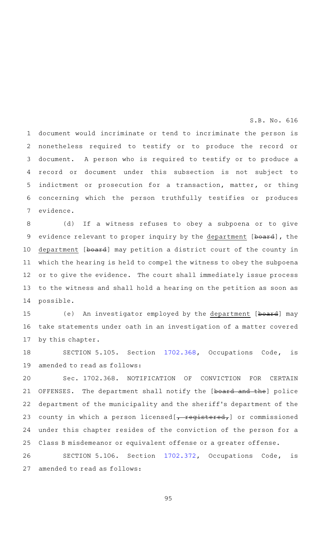document would incriminate or tend to incriminate the person is nonetheless required to testify or to produce the record or document. A person who is required to testify or to produce a record or document under this subsection is not subject to indictment or prosecution for a transaction, matter, or thing concerning which the person truthfully testifies or produces evidence. 1 2 3 4 5 6 7

(d) If a witness refuses to obey a subpoena or to give evidence relevant to proper inquiry by the department [board], the department [board] may petition a district court of the county in which the hearing is held to compel the witness to obey the subpoena or to give the evidence. The court shall immediately issue process to the witness and shall hold a hearing on the petition as soon as possible. 8 9 10 11 12 13 14

(e) An investigator employed by the department [board] may take statements under oath in an investigation of a matter covered by this chapter. 15 16 17

SECTION 5.105. Section [1702.368](http://www.statutes.legis.state.tx.us/GetStatute.aspx?Code=OC&Value=1702.368&Date=5/27/2019), Occupations Code, is amended to read as follows: 18 19

Sec. 1702.368. NOTIFICATION OF CONVICTION FOR CERTAIN OFFENSES. The department shall notify the [board and the] police department of the municipality and the sheriff 's department of the county in which a person licensed [, registered,] or commissioned under this chapter resides of the conviction of the person for a Class B misdemeanor or equivalent offense or a greater offense. 20 21 22 23 24 25

SECTION 5.106. Section [1702.372](http://www.statutes.legis.state.tx.us/GetStatute.aspx?Code=OC&Value=1702.372&Date=5/27/2019), Occupations Code, is amended to read as follows: 26 27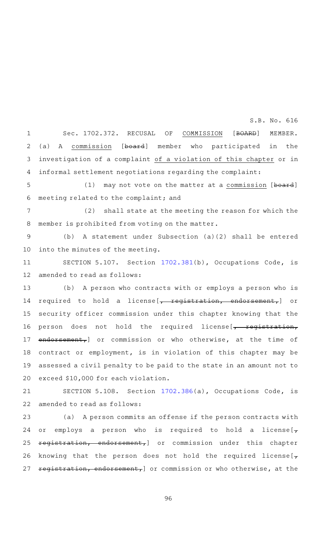Sec. 1702.372. RECUSAL OF COMMISSION [BOARD] MEMBER. (a) A commission [board] member who participated in the investigation of a complaint of a violation of this chapter or in informal settlement negotiations regarding the complaint: 1 2 3 4

(1) may not vote on the matter at a commission [board] meeting related to the complaint; and 5 6

(2) shall state at the meeting the reason for which the member is prohibited from voting on the matter. 7 8

(b) A statement under Subsection (a)(2) shall be entered into the minutes of the meeting. 9 10

SECTION 5.107. Section [1702.381](http://www.statutes.legis.state.tx.us/GetStatute.aspx?Code=OC&Value=1702.381&Date=5/27/2019)(b), Occupations Code, is amended to read as follows: 11 12

(b) A person who contracts with or employs a person who is required to hold a license [, registration, endorsement,] or security officer commission under this chapter knowing that the person does not hold the required license [, registration, endorsement, or commission or who otherwise, at the time of contract or employment, is in violation of this chapter may be assessed a civil penalty to be paid to the state in an amount not to exceed \$10,000 for each violation. 13 14 15 16 17 18 19 20

SECTION 5.108. Section [1702.386](http://www.statutes.legis.state.tx.us/GetStatute.aspx?Code=OC&Value=1702.386&Date=5/27/2019)(a), Occupations Code, is amended to read as follows: 21 22

(a) A person commits an offense if the person contracts with or employs a person who is required to hold a license[ $_{\tau}$ ] registration, endorsement,] or commission under this chapter knowing that the person does not hold the required license  $\mathbf{F}$ registration, endorsement,] or commission or who otherwise, at the 23 24 25 26 27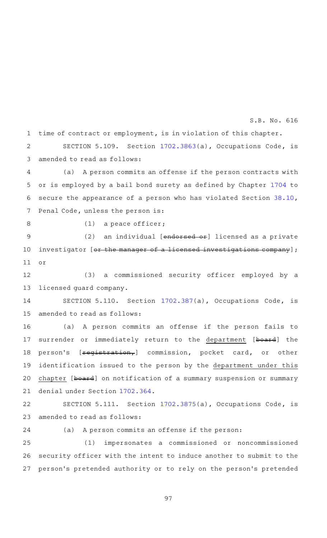time of contract or employment, is in violation of this chapter. 1

SECTION 5.109. Section  $1702.3863(a)$  $1702.3863(a)$ , Occupations Code, is amended to read as follows: 2 3

(a) A person commits an offense if the person contracts with or is employed by a bail bond surety as defined by Chapter [1704](http://www.statutes.legis.state.tx.us/GetStatute.aspx?Code=OC&Value=1704&Date=5/27/2019) to secure the appearance of a person who has violated Section [38.10](http://www.statutes.legis.state.tx.us/GetStatute.aspx?Code=PE&Value=38.10&Date=5/27/2019), Penal Code, unless the person is: 4 5 6 7

8

 $(1)$  a peace officer;

(2) an individual [endorsed or] licensed as a private investigator [or the manager of a licensed investigations company]; or 9 10 11

(3) a commissioned security officer employed by a licensed guard company. 12 13

SECTION 5.110. Section [1702.387](http://www.statutes.legis.state.tx.us/GetStatute.aspx?Code=OC&Value=1702.387&Date=5/27/2019)(a), Occupations Code, is amended to read as follows: 14 15

(a) A person commits an offense if the person fails to surrender or immediately return to the department [board] the person's [**registration,**] commission, pocket card, or other identification issued to the person by the department under this chapter [board] on notification of a summary suspension or summary denial under Section [1702.364](http://www.statutes.legis.state.tx.us/GetStatute.aspx?Code=OC&Value=1702.364&Date=5/27/2019). 16 17 18 19 20 21

SECTION 5.111. Section [1702.3875](http://www.statutes.legis.state.tx.us/GetStatute.aspx?Code=OC&Value=1702.3875&Date=5/27/2019)(a), Occupations Code, is amended to read as follows: 22 23

24

(a) A person commits an offense if the person:

(1) impersonates a commissioned or noncommissioned security officer with the intent to induce another to submit to the person 's pretended authority or to rely on the person 's pretended 25 26 27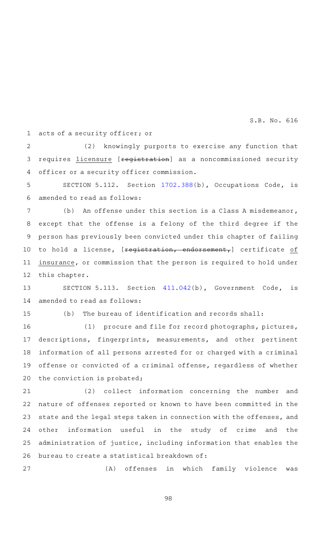acts of a security officer; or 1

(2) knowingly purports to exercise any function that requires *licensure* [registration] as a noncommissioned security officer or a security officer commission. 2 3 4

SECTION 5.112. Section [1702.388](http://www.statutes.legis.state.tx.us/GetStatute.aspx?Code=OC&Value=1702.388&Date=5/27/2019)(b), Occupations Code, is amended to read as follows: 5 6

(b) An offense under this section is a Class A misdemeanor, except that the offense is a felony of the third degree if the person has previously been convicted under this chapter of failing to hold a license, [registration, endorsement,] certificate of insurance, or commission that the person is required to hold under this chapter. 7 8 9 10 11 12

SECTION 5.113. Section [411.042\(](http://www.statutes.legis.state.tx.us/GetStatute.aspx?Code=GV&Value=411.042&Date=5/27/2019)b), Government Code, is amended to read as follows: 13 14

15

27

 $(b)$  The bureau of identification and records shall:

(1) procure and file for record photographs, pictures, descriptions, fingerprints, measurements, and other pertinent information of all persons arrested for or charged with a criminal offense or convicted of a criminal offense, regardless of whether the conviction is probated; 16 17 18 19 20

(2) collect information concerning the number and nature of offenses reported or known to have been committed in the state and the legal steps taken in connection with the offenses, and other information useful in the study of crime and the administration of justice, including information that enables the bureau to create a statistical breakdown of: 21 22 23 24 25 26

(A) offenses in which family violence was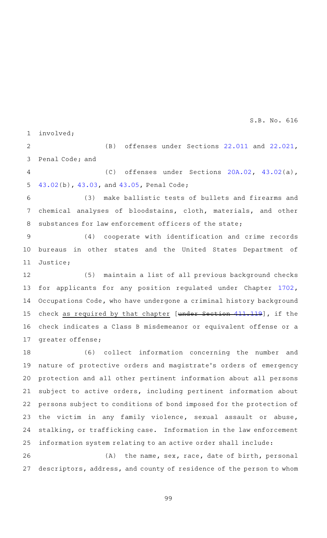involved; 1

(B) offenses under Sections [22.011](http://www.statutes.legis.state.tx.us/GetStatute.aspx?Code=PE&Value=22.011&Date=5/27/2019) and [22.021](http://www.statutes.legis.state.tx.us/GetStatute.aspx?Code=PE&Value=22.021&Date=5/27/2019), Penal Code; and 2 3

(C) offenses under Sections  $20A.02$ ,  $43.02(a)$  $43.02(a)$ , [43.02\(](http://www.statutes.legis.state.tx.us/GetStatute.aspx?Code=PE&Value=43.02&Date=5/27/2019)b), [43.03,](http://www.statutes.legis.state.tx.us/GetStatute.aspx?Code=PE&Value=43.03&Date=5/27/2019) and [43.05,](http://www.statutes.legis.state.tx.us/GetStatute.aspx?Code=PE&Value=43.05&Date=5/27/2019) Penal Code; 4 5

(3) make ballistic tests of bullets and firearms and chemical analyses of bloodstains, cloth, materials, and other substances for law enforcement officers of the state; 6 7 8

(4) cooperate with identification and crime records bureaus in other states and the United States Department of Justice; 9 10 11

(5) maintain a list of all previous background checks for applicants for any position regulated under Chapter [1702](http://www.statutes.legis.state.tx.us/GetStatute.aspx?Code=OC&Value=1702&Date=5/27/2019), Occupations Code, who have undergone a criminal history background check as required by that chapter [under Section [411.119\]](http://www.statutes.legis.state.tx.us/GetStatute.aspx?Code=GV&Value=411.119&Date=5/27/2019), if the check indicates a Class B misdemeanor or equivalent offense or a greater offense; 12 13 14 15 16 17

(6) collect information concerning the number and nature of protective orders and magistrate 's orders of emergency protection and all other pertinent information about all persons subject to active orders, including pertinent information about persons subject to conditions of bond imposed for the protection of the victim in any family violence, sexual assault or abuse, stalking, or trafficking case. Information in the law enforcement information system relating to an active order shall include: 18 19 20 21 22 23 24 25

 $(A)$  the name, sex, race, date of birth, personal descriptors, address, and county of residence of the person to whom 26 27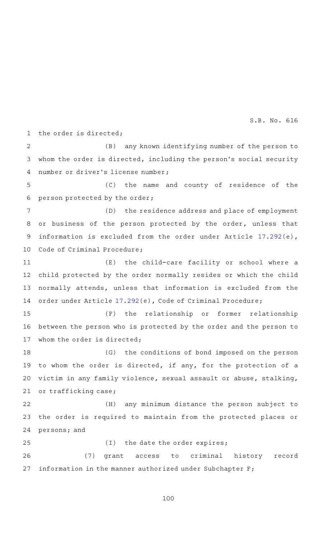the order is directed; 1

(B) any known identifying number of the person to whom the order is directed, including the person's social security number or driver 's license number; 2 3 4

(C) the name and county of residence of the person protected by the order; 5 6

(D) the residence address and place of employment or business of the person protected by the order, unless that information is excluded from the order under Article [17.292\(](http://www.statutes.legis.state.tx.us/GetStatute.aspx?Code=CR&Value=17.292&Date=5/27/2019)e), Code of Criminal Procedure; 7 8 9 10

(E) the child-care facility or school where a child protected by the order normally resides or which the child normally attends, unless that information is excluded from the order under Article [17.292\(](http://www.statutes.legis.state.tx.us/GetStatute.aspx?Code=CR&Value=17.292&Date=5/27/2019)e), Code of Criminal Procedure; 11 12 13 14

 $(F)$  the relationship or former relationship between the person who is protected by the order and the person to whom the order is directed; 15 16 17

(G) the conditions of bond imposed on the person to whom the order is directed, if any, for the protection of a victim in any family violence, sexual assault or abuse, stalking, or trafficking case; 18 19 20 21

(H) any minimum distance the person subject to the order is required to maintain from the protected places or persons; and 22 23 24

 $(I)$  the date the order expires; (7) grant access to criminal history record information in the manner authorized under Subchapter F; 25 26 27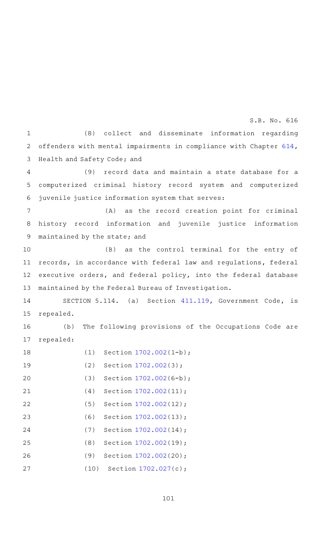(8) collect and disseminate information regarding offenders with mental impairments in compliance with Chapter [614](http://www.statutes.legis.state.tx.us/GetStatute.aspx?Code=HS&Value=614&Date=5/27/2019), Health and Safety Code; and 1 2 3

(9) record data and maintain a state database for a computerized criminal history record system and computerized juvenile justice information system that serves: 4 5 6

(A) as the record creation point for criminal history record information and juvenile justice information maintained by the state; and 7 8 9

(B) as the control terminal for the entry of records, in accordance with federal law and regulations, federal executive orders, and federal policy, into the federal database maintained by the Federal Bureau of Investigation. 10 11 12 13

SECTION 5.114. (a) Section [411.119,](http://www.statutes.legis.state.tx.us/GetStatute.aspx?Code=GV&Value=411.119&Date=5/27/2019) Government Code, is repealed. 14 15

(b) The following provisions of the Occupations Code are repealed: 16 17

| 18 | (1)  | Section 1702.002(1-b); |
|----|------|------------------------|
| 19 | (2)  | Section 1702.002(3);   |
| 20 | (3)  | Section 1702.002(6-b); |
| 21 | (4)  | Section 1702.002(11);  |
| 22 | (5)  | Section 1702.002(12);  |
| 23 | (6)  | Section 1702.002(13);  |
| 24 | (7)  | Section 1702.002(14);  |
| 25 | (8)  | Section 1702.002(19);  |
| 26 | (9)  | Section 1702.002(20);  |
| 27 | (10) | Section 1702.027(c);   |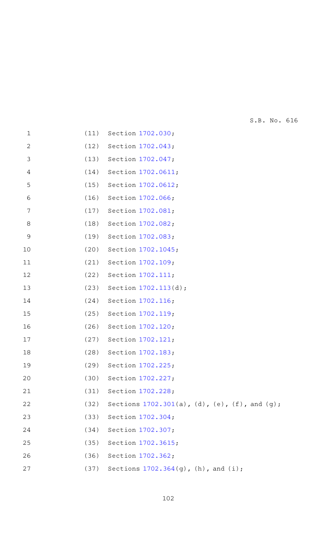| $\mathbf 1$    | (11) | Section 1702.030;                                |
|----------------|------|--------------------------------------------------|
| $\overline{c}$ | (12) | Section 1702.043;                                |
| 3              | (13) | Section 1702.047;                                |
| 4              | (14) | Section 1702.0611;                               |
| 5              | (15) | Section 1702.0612;                               |
| 6              | (16) | Section 1702.066;                                |
| 7              | (17) | Section 1702.081;                                |
| 8              | (18) | Section 1702.082;                                |
| 9              | (19) | Section 1702.083;                                |
| 10             | (20) | Section 1702.1045;                               |
| 11             | (21) | Section 1702.109;                                |
| 12             | (22) | Section 1702.111;                                |
| 13             | (23) | Section 1702.113(d);                             |
| 14             | (24) | Section 1702.116;                                |
| 15             | (25) | Section 1702.119;                                |
| 16             | (26) | Section 1702.120;                                |
| 17             | (27) | Section 1702.121;                                |
| 18             | (28) | Section 1702.183;                                |
| 19             | (29) | Section 1702.225;                                |
| 20             | (30) | Section 1702.227;                                |
| 21             | (31) | Section 1702.228;                                |
| 22             | (32) | Sections $1702.301(a)$ , (d), (e), (f), and (g); |
| 23             | (33) | Section 1702.304;                                |
| 24             | (34) | Section 1702.307;                                |
| 25             | (35) | Section 1702.3615;                               |
| 26             | (36) | Section 1702.362;                                |
| 27             | (37) | Sections $1702.364(g)$ , (h), and (i);           |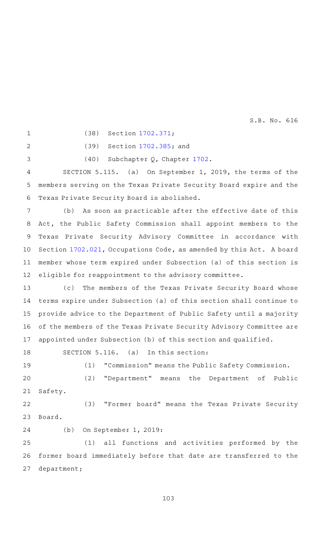1

(38) Section [1702.371](http://www.statutes.legis.state.tx.us/GetStatute.aspx?Code=OC&Value=1702.371&Date=5/27/2019);

 $\overline{2}$ 

3

(39) Section [1702.385](http://www.statutes.legis.state.tx.us/GetStatute.aspx?Code=OC&Value=1702.385&Date=5/27/2019); and

(40) Subchapter Q, Chapter [1702.](http://www.statutes.legis.state.tx.us/GetStatute.aspx?Code=OC&Value=1702&Date=5/27/2019)

SECTION 5.115. (a) On September 1, 2019, the terms of the members serving on the Texas Private Security Board expire and the Texas Private Security Board is abolished. 4 5 6

(b) As soon as practicable after the effective date of this Act, the Public Safety Commission shall appoint members to the Texas Private Security Advisory Committee in accordance with Section [1702.021](http://www.statutes.legis.state.tx.us/GetStatute.aspx?Code=OC&Value=1702.021&Date=5/27/2019), Occupations Code, as amended by this Act. A board member whose term expired under Subsection (a) of this section is eligible for reappointment to the advisory committee. 7 8 9 10 11 12

(c) The members of the Texas Private Security Board whose terms expire under Subsection (a) of this section shall continue to provide advice to the Department of Public Safety until a majority of the members of the Texas Private Security Advisory Committee are appointed under Subsection (b) of this section and qualified. 13 14 15 16 17

SECTION 5.116. (a) In this section: 18

(1) "Commission" means the Public Safety Commission. (2) "Department" means the Department of Public Safety. 19 20 21

(3) "Former board" means the Texas Private Security Board. 22 23

24

(b) On September 1, 2019:

(1) all functions and activities performed by the former board immediately before that date are transferred to the department; 25 26 27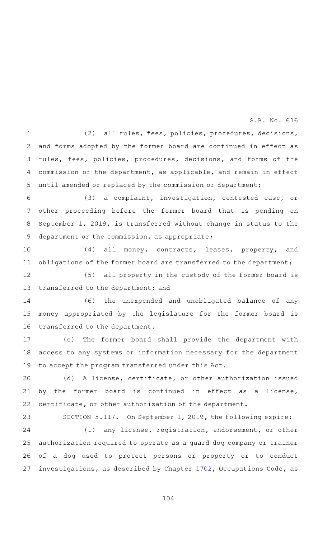(2) all rules, fees, policies, procedures, decisions, and forms adopted by the former board are continued in effect as rules, fees, policies, procedures, decisions, and forms of the commission or the department, as applicable, and remain in effect until amended or replaced by the commission or department; 1 2 3 4 5

(3) a complaint, investigation, contested case, or other proceeding before the former board that is pending on September 1, 2019, is transferred without change in status to the department or the commission, as appropriate; 6 7 8 9

(4) all money, contracts, leases, property, and obligations of the former board are transferred to the department; 10 11

(5) all property in the custody of the former board is transferred to the department; and 12 13

(6) the unexpended and unobligated balance of any money appropriated by the legislature for the former board is transferred to the department. 14 15 16

(c) The former board shall provide the department with access to any systems or information necessary for the department to accept the program transferred under this Act. 17 18 19

(d) A license, certificate, or other authorization issued by the former board is continued in effect as a license, certificate, or other authorization of the department. 20 21 22

SECTION 5.117. On September 1, 2019, the following expire:  $(1)$  any license, registration, endorsement, or other authorization required to operate as a guard dog company or trainer of a dog used to protect persons or property or to conduct investigations, as described by Chapter [1702,](http://www.statutes.legis.state.tx.us/GetStatute.aspx?Code=OC&Value=1702&Date=5/27/2019) Occupations Code, as 23 24 25 26 27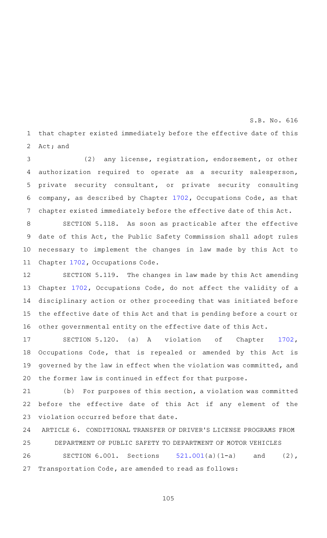that chapter existed immediately before the effective date of this Act; and 1 2

(2) any license, registration, endorsement, or other authorization required to operate as a security salesperson, private security consultant, or private security consulting company, as described by Chapter [1702,](http://www.statutes.legis.state.tx.us/GetStatute.aspx?Code=OC&Value=1702&Date=5/27/2019) Occupations Code, as that chapter existed immediately before the effective date of this Act. 3 4 5 6 7

SECTION 5.118. As soon as practicable after the effective date of this Act, the Public Safety Commission shall adopt rules necessary to implement the changes in law made by this Act to Chapter [1702](http://www.statutes.legis.state.tx.us/GetStatute.aspx?Code=OC&Value=1702&Date=5/27/2019), Occupations Code. 8 9 10 11

SECTION 5.119. The changes in law made by this Act amending Chapter [1702,](http://www.statutes.legis.state.tx.us/GetStatute.aspx?Code=OC&Value=1702&Date=5/27/2019) Occupations Code, do not affect the validity of a disciplinary action or other proceeding that was initiated before the effective date of this Act and that is pending before a court or other governmental entity on the effective date of this Act. 12 13 14 15 16

SECTION 5.120. (a) A violation of Chapter [1702](http://www.statutes.legis.state.tx.us/GetStatute.aspx?Code=OC&Value=1702&Date=5/27/2019), Occupations Code, that is repealed or amended by this Act is governed by the law in effect when the violation was committed, and the former law is continued in effect for that purpose. 17 18 19 20

 $(b)$  For purposes of this section, a violation was committed before the effective date of this Act if any element of the violation occurred before that date. 21 22 23

ARTICLE 6. CONDITIONAL TRANSFER OF DRIVER 'S LICENSE PROGRAMS FROM DEPARTMENT OF PUBLIC SAFETY TO DEPARTMENT OF MOTOR VEHICLES 24 25

SECTION  $6.001.$  Sections  $521.001(a)(1-a)$  $521.001(a)(1-a)$  and (2), Transportation Code, are amended to read as follows: 26 27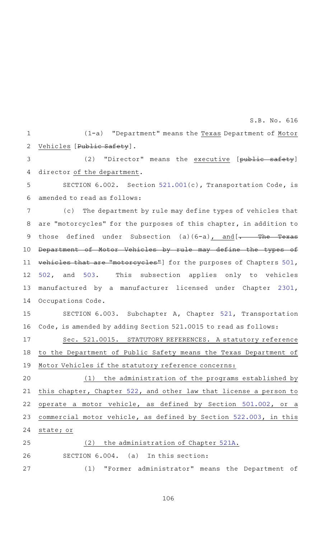(1-a) "Department" means the Texas Department of Motor Vehicles [Public Safety]. 1 2

(2) "Director" means the executive [public safety] director of the department. 3 4

SECTION 6.002. Section [521.001](http://www.statutes.legis.state.tx.us/GetStatute.aspx?Code=TN&Value=521.001&Date=5/27/2019)(c), Transportation Code, is amended to read as follows: 5 6

(c) The department by rule may define types of vehicles that are "motorcycles" for the purposes of this chapter, in addition to those defined under Subsection (a)(6-a) $r$  and  $\frac{1}{r}$  The Texas Department of Motor Vehicles by rule may define the types of vehicles that are "motorcycles"] for the purposes of Chapters [501](http://www.statutes.legis.state.tx.us/GetStatute.aspx?Code=TN&Value=501&Date=5/27/2019), [502,](http://www.statutes.legis.state.tx.us/GetStatute.aspx?Code=TN&Value=502&Date=5/27/2019) and [503](http://www.statutes.legis.state.tx.us/GetStatute.aspx?Code=TN&Value=503&Date=5/27/2019). This subsection applies only to vehicles manufactured by a manufacturer licensed under Chapter [2301](http://www.statutes.legis.state.tx.us/GetStatute.aspx?Code=OC&Value=2301&Date=5/27/2019), Occupations Code. 7 8 9 10 11 12 13 14

SECTION 6.003. Subchapter A, Chapter [521,](http://www.statutes.legis.state.tx.us/GetStatute.aspx?Code=TN&Value=521&Date=5/27/2019) Transportation Code, is amended by adding Section 521.0015 to read as follows: 15 16

Sec. 521.0015. STATUTORY REFERENCES. A statutory reference to the Department of Public Safety means the Texas Department of Motor Vehicles if the statutory reference concerns: 17 18 19

 $(1)$  the administration of the programs established by this chapter, Chapter [522](http://www.statutes.legis.state.tx.us/GetStatute.aspx?Code=TN&Value=522&Date=5/27/2019), and other law that license a person to operate a motor vehicle, as defined by Section [501.002](http://www.statutes.legis.state.tx.us/GetStatute.aspx?Code=TN&Value=501.002&Date=5/27/2019), or a commercial motor vehicle, as defined by Section [522.003](http://www.statutes.legis.state.tx.us/GetStatute.aspx?Code=TN&Value=522.003&Date=5/27/2019), in this state; or 20 21 22 23 24

(2) the administration of Chapter [521A.](http://www.statutes.legis.state.tx.us/GetStatute.aspx?Code=TN&Value=521A&Date=5/27/2019) SECTION  $6.004.$  (a) In this section: (1) "Former administrator" means the Department of 25 26 27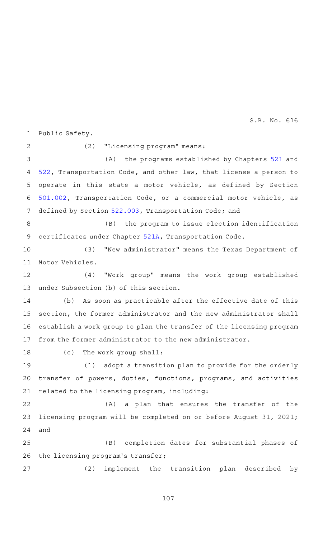Public Safety. 1

2

(2) "Licensing program" means:

(A) the programs established by Chapters [521](http://www.statutes.legis.state.tx.us/GetStatute.aspx?Code=TN&Value=521&Date=5/27/2019) and [522,](http://www.statutes.legis.state.tx.us/GetStatute.aspx?Code=TN&Value=522&Date=5/27/2019) Transportation Code, and other law, that license a person to operate in this state a motor vehicle, as defined by Section [501.002,](http://www.statutes.legis.state.tx.us/GetStatute.aspx?Code=TN&Value=501.002&Date=5/27/2019) Transportation Code, or a commercial motor vehicle, as defined by Section [522.003,](http://www.statutes.legis.state.tx.us/GetStatute.aspx?Code=TN&Value=522.003&Date=5/27/2019) Transportation Code; and 3 4 5 6 7

(B) the program to issue election identification certificates under Chapter [521A](http://www.statutes.legis.state.tx.us/GetStatute.aspx?Code=TN&Value=521A&Date=5/27/2019), Transportation Code. 8 9

(3) "New administrator" means the Texas Department of Motor Vehicles. 10 11

(4) "Work group" means the work group established under Subsection (b) of this section. 12 13

(b) As soon as practicable after the effective date of this section, the former administrator and the new administrator shall establish a work group to plan the transfer of the licensing program from the former administrator to the new administrator. 14 15 16 17

(c) The work group shall: 18

 $(1)$  adopt a transition plan to provide for the orderly transfer of powers, duties, functions, programs, and activities related to the licensing program, including: 19 20 21

(A) a plan that ensures the transfer of the licensing program will be completed on or before August 31, 2021; and 22 23 24

(B) completion dates for substantial phases of the licensing program 's transfer; 25 26

(2) implement the transition plan described by 27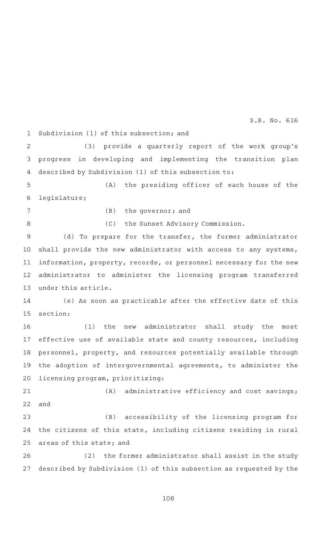Subdivision (1) of this subsection; and 1

(3) provide a quarterly report of the work group's progress in developing and implementing the transition plan described by Subdivision (1) of this subsection to: 2 3 4

(A) the presiding officer of each house of the legislature; 5 6

7

8

 $(B)$  the governor; and

(C) the Sunset Advisory Commission.

(d) To prepare for the transfer, the former administrator shall provide the new administrator with access to any systems, information, property, records, or personnel necessary for the new administrator to administer the licensing program transferred under this article. 9 10 11 12 13

(e) As soon as practicable after the effective date of this section: 14 15

(1) the new administrator shall study the most effective use of available state and county resources, including personnel, property, and resources potentially available through the adoption of intergovernmental agreements, to administer the licensing program, prioritizing: 16 17 18 19 20

 $(A)$  administrative efficiency and cost savings; and 21 22

(B) accessibility of the licensing program for the citizens of this state, including citizens residing in rural areas of this state; and 23 24 25

(2) the former administrator shall assist in the study described by Subdivision (1) of this subsection as requested by the 26 27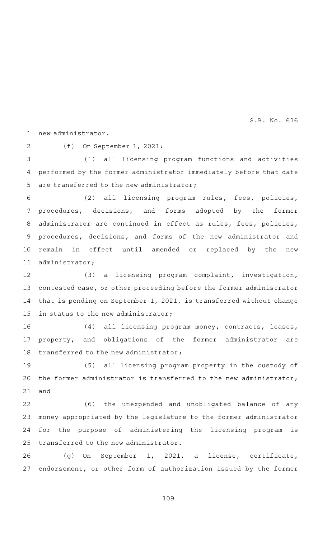new administrator. 1

2

(f) On September 1, 2021:

(1) all licensing program functions and activities performed by the former administrator immediately before that date are transferred to the new administrator; 3 4 5

(2) all licensing program rules, fees, policies, procedures, decisions, and forms adopted by the former administrator are continued in effect as rules, fees, policies, procedures, decisions, and forms of the new administrator and remain in effect until amended or replaced by the new administrator; 6 7 8 9 10 11

(3) a licensing program complaint, investigation, contested case, or other proceeding before the former administrator that is pending on September 1, 2021, is transferred without change in status to the new administrator; 12 13 14 15

(4) all licensing program money, contracts, leases, property, and obligations of the former administrator are transferred to the new administrator; 16 17 18

(5) all licensing program property in the custody of the former administrator is transferred to the new administrator; and 19 20 21

(6) the unexpended and unobligated balance of any money appropriated by the legislature to the former administrator for the purpose of administering the licensing program is transferred to the new administrator. 22 23 24 25

(g) On September 1, 2021, a license, certificate, endorsement, or other form of authorization issued by the former 26 27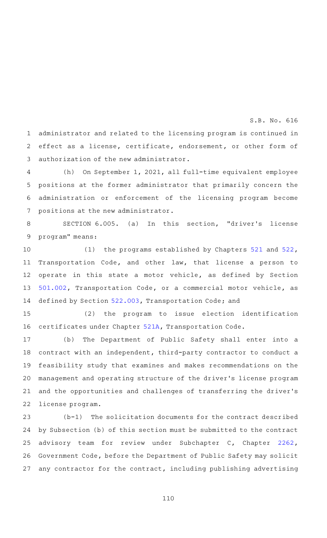administrator and related to the licensing program is continued in effect as a license, certificate, endorsement, or other form of authorization of the new administrator. 1 2 3

(h) On September 1, 2021, all full-time equivalent employee positions at the former administrator that primarily concern the administration or enforcement of the licensing program become positions at the new administrator. 4 5 6 7

SECTION 6.005. (a) In this section, "driver's license program" means: 8 9

(1) the programs established by Chapters  $521$  and  $522$ , Transportation Code, and other law, that license a person to operate in this state a motor vehicle, as defined by Section [501.002,](http://www.statutes.legis.state.tx.us/GetStatute.aspx?Code=TN&Value=501.002&Date=5/27/2019) Transportation Code, or a commercial motor vehicle, as defined by Section [522.003,](http://www.statutes.legis.state.tx.us/GetStatute.aspx?Code=TN&Value=522.003&Date=5/27/2019) Transportation Code; and 10 11 12 13 14

 $(2)$  the program to issue election identification certificates under Chapter [521A](http://www.statutes.legis.state.tx.us/GetStatute.aspx?Code=TN&Value=521A&Date=5/27/2019), Transportation Code. 15 16

(b) The Department of Public Safety shall enter into a contract with an independent, third-party contractor to conduct a feasibility study that examines and makes recommendations on the management and operating structure of the driver 's license program and the opportunities and challenges of transferring the driver 's license program. 17 18 19 20 21 22

 $(b-1)$  The solicitation documents for the contract described by Subsection (b) of this section must be submitted to the contract advisory team for review under Subchapter C, Chapter [2262](http://www.statutes.legis.state.tx.us/GetStatute.aspx?Code=GV&Value=2262&Date=5/27/2019), Government Code, before the Department of Public Safety may solicit any contractor for the contract, including publishing advertising 23 24 25 26 27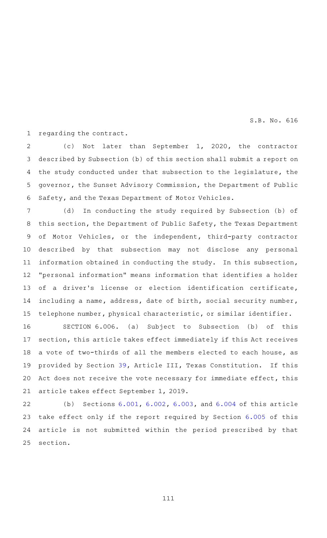regarding the contract. 1

(c) Not later than September 1, 2020, the contractor described by Subsection (b) of this section shall submit a report on the study conducted under that subsection to the legislature, the governor, the Sunset Advisory Commission, the Department of Public Safety, and the Texas Department of Motor Vehicles. 2 3 4 5 6

(d) In conducting the study required by Subsection (b) of this section, the Department of Public Safety, the Texas Department of Motor Vehicles, or the independent, third-party contractor described by that subsection may not disclose any personal information obtained in conducting the study. In this subsection, "personal information" means information that identifies a holder of a driver's license or election identification certificate, including a name, address, date of birth, social security number, telephone number, physical characteristic, or similar identifier. 7 8 9 10 11 12 13 14 15

SECTION  $6.006.$  (a) Subject to Subsection (b) of this section, this article takes effect immediately if this Act receives a vote of two-thirds of all the members elected to each house, as provided by Section [39,](http://www.statutes.legis.state.tx.us/GetStatute.aspx?Code=CN&Value=3.39&Date=5/27/2019) Article III, Texas Constitution. If this Act does not receive the vote necessary for immediate effect, this article takes effect September 1, 2019. 16 17 18 19 20 21

(b) Sections  $6.001$ ,  $6.002$ ,  $6.003$ , and  $6.004$  of this article take effect only if the report required by Section [6.005](http://www.statutes.legis.state.tx.us/GetStatute.aspx?Code=TN&Value=6.005&Date=5/27/2019) of this article is not submitted within the period prescribed by that section. 22 23 24 25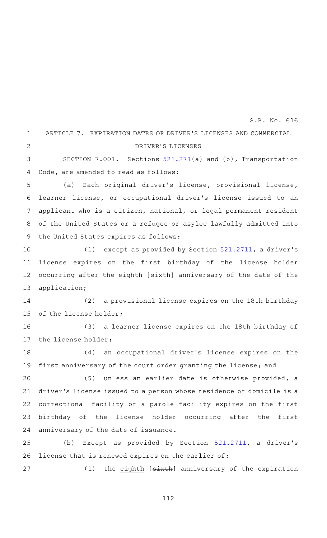ARTICLE 7. EXPIRATION DATES OF DRIVER 'S LICENSES AND COMMERCIAL DRIVER 'S LICENSES SECTION 7.001. Sections [521.271\(](http://www.statutes.legis.state.tx.us/GetStatute.aspx?Code=TN&Value=521.271&Date=5/27/2019)a) and (b), Transportation Code, are amended to read as follows: (a) Each original driver's license, provisional license, learner license, or occupational driver 's license issued to an applicant who is a citizen, national, or legal permanent resident of the United States or a refugee or asylee lawfully admitted into the United States expires as follows: (1) except as provided by Section  $521.2711$ , a driver's license expires on the first birthday of the license holder occurring after the eighth [sixth] anniversary of the date of the application; (2) a provisional license expires on the 18th birthday of the license holder; (3) a learner license expires on the 18th birthday of the license holder; (4) an occupational driver's license expires on the first anniversary of the court order granting the license; and (5) unless an earlier date is otherwise provided, a driver 's license issued to a person whose residence or domicile is a correctional facility or a parole facility expires on the first birthday of the license holder occurring after the first anniversary of the date of issuance. (b) Except as provided by Section  $521.2711$ , a driver's license that is renewed expires on the earlier of: (1) the eighth  $[s\text{-}ix\text{+}h]$  anniversary of the expiration 1  $\overline{2}$ 3 4 5 6 7 8 9 10 11 12 13 14 15 16 17 18 19 20 21 22 23 24 25 26 27 S.B. No. 616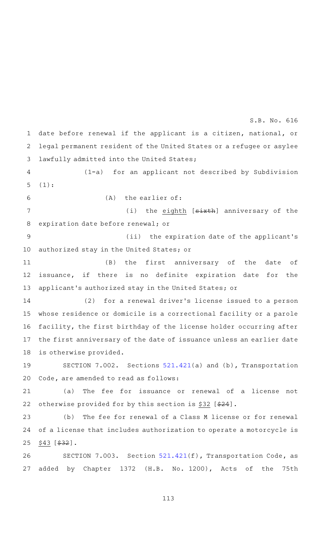date before renewal if the applicant is a citizen, national, or legal permanent resident of the United States or a refugee or asylee lawfully admitted into the United States; 1 2 3

S.B. No. 616

(1-a) for an applicant not described by Subdivision (1): 4 5

6

 $(A)$  the earlier of:

(i) the eighth [sixth] anniversary of the expiration date before renewal; or 7 8

(ii) the expiration date of the applicant's authorized stay in the United States; or 9 10

(B) the first anniversary of the date of issuance, if there is no definite expiration date for the applicant 's authorized stay in the United States; or 11 12 13

(2) for a renewal driver's license issued to a person whose residence or domicile is a correctional facility or a parole facility, the first birthday of the license holder occurring after the first anniversary of the date of issuance unless an earlier date is otherwise provided. 14 15 16 17 18

SECTION 7.002. Sections  $521.421(a)$  $521.421(a)$  and (b), Transportation Code, are amended to read as follows: 19 20

(a) The fee for issuance or renewal of a license not otherwise provided for by this section is \$32 [\$24]. 21 22

(b) The fee for renewal of a Class M license or for renewal of a license that includes authorization to operate a motorcycle is  $$43$  [ $$32$ ]. 23 24 25

SECTION 7.003. Section [521.421](http://www.statutes.legis.state.tx.us/GetStatute.aspx?Code=TN&Value=521.421&Date=5/27/2019)(f), Transportation Code, as added by Chapter 1372 (H.B. No. 1200), Acts of the 75th 26 27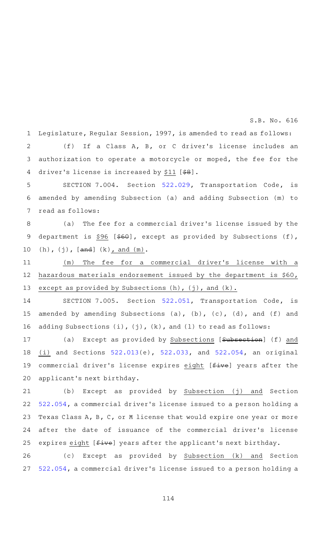Legislature, Regular Session, 1997, is amended to read as follows: (f) If a Class A, B, or C driver's license includes an authorization to operate a motorcycle or moped, the fee for the driver's license is increased by \$11  $[$ \$8]. 1 2 3 4

SECTION 7.004. Section [522.029,](http://www.statutes.legis.state.tx.us/GetStatute.aspx?Code=TN&Value=522.029&Date=5/27/2019) Transportation Code, is amended by amending Subsection (a) and adding Subsection (m) to read as follows: 5 6 7

(a) The fee for a commercial driver's license issued by the department is \$96 [\$60], except as provided by Subsections (f),  $(h)$ ,  $(j)$ ,  $[and]$   $(k)$ , and  $(m)$ . 8 9 10

(m) The fee for a commercial driver's license with a hazardous materials endorsement issued by the department is \$60, except as provided by Subsections  $(h)$ ,  $(j)$ , and  $(k)$ . 11 12 13

SECTION 7.005. Section [522.051,](http://www.statutes.legis.state.tx.us/GetStatute.aspx?Code=TN&Value=522.051&Date=5/27/2019) Transportation Code, is amended by amending Subsections (a), (b), (c), (d), and (f) and adding Subsections  $(i)$ ,  $(j)$ ,  $(k)$ , and  $(l)$  to read as follows: 14 15 16

(a) Except as provided by Subsections [Subsection] (f) and (i) and Sections [522.013\(](http://www.statutes.legis.state.tx.us/GetStatute.aspx?Code=TN&Value=522.013&Date=5/27/2019)e), [522.033,](http://www.statutes.legis.state.tx.us/GetStatute.aspx?Code=TN&Value=522.033&Date=5/27/2019) and [522.054](http://www.statutes.legis.state.tx.us/GetStatute.aspx?Code=TN&Value=522.054&Date=5/27/2019), an original commercial driver's license expires eight [five] years after the applicant 's next birthday. 17 18 19 20

(b) Except as provided by Subsection (j) and Section [522.054,](http://www.statutes.legis.state.tx.us/GetStatute.aspx?Code=TN&Value=522.054&Date=5/27/2019) a commercial driver 's license issued to a person holding a Texas Class A, B, C, or M license that would expire one year or more after the date of issuance of the commercial driver 's license expires eight [ $f$ ive] years after the applicant's next birthday. 21 22 23 24 25

(c) Except as provided by Subsection (k) and Section [522.054,](http://www.statutes.legis.state.tx.us/GetStatute.aspx?Code=TN&Value=522.054&Date=5/27/2019) a commercial driver 's license issued to a person holding a 26 27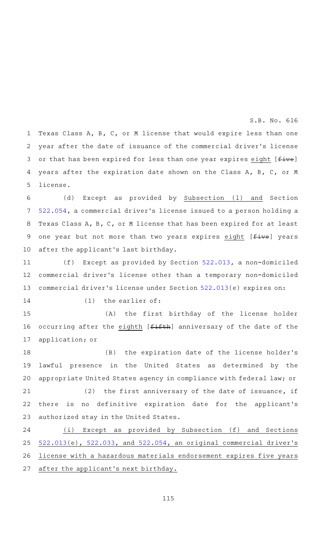Texas Class A, B, C, or M license that would expire less than one year after the date of issuance of the commercial driver 's license or that has been expired for less than one year expires eight  $[f_{i}^{+}]$ years after the expiration date shown on the Class A, B, C, or M license. 1 2 3 4 5

(d) Except as provided by Subsection (l) and Section [522.054,](http://www.statutes.legis.state.tx.us/GetStatute.aspx?Code=TN&Value=522.054&Date=5/27/2019) a commercial driver 's license issued to a person holding a Texas Class A, B, C, or M license that has been expired for at least one year but not more than two years expires eight [five] years after the applicant 's last birthday. 6 7 8 9 10

(f) Except as provided by Section  $522.013$ , a non-domiciled commercial driver's license other than a temporary non-domiciled commercial driver 's license under Section [522.013\(](http://www.statutes.legis.state.tx.us/GetStatute.aspx?Code=TN&Value=522.013&Date=5/27/2019)e) expires on: 11 12 13

14

 $(1)$  the earlier of:

(A) the first birthday of the license holder occurring after the eighth [fifth] anniversary of the date of the application; or 15 16 17

(B) the expiration date of the license holder's lawful presence in the United States as determined by the appropriate United States agency in compliance with federal law; or (2) the first anniversary of the date of issuance, if 18 19 20 21

there is no definitive expiration date for the applicant 's authorized stay in the United States. 22 23

(i) Except as provided by Subsection (f) and Sections [522.013\(](http://www.statutes.legis.state.tx.us/GetStatute.aspx?Code=TN&Value=522.013&Date=5/27/2019)e), [522.033,](http://www.statutes.legis.state.tx.us/GetStatute.aspx?Code=TN&Value=522.033&Date=5/27/2019) and [522.054](http://www.statutes.legis.state.tx.us/GetStatute.aspx?Code=TN&Value=522.054&Date=5/27/2019), an original commercial driver 's license with a hazardous materials endorsement expires five years after the applicant 's next birthday. 24 25 26 27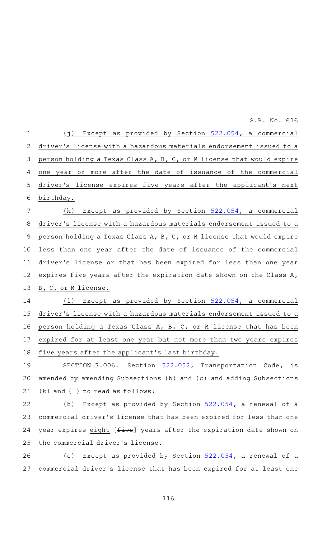| $\mathbf 1$     | (j) Except as provided by Section 522.054, a commercial              |
|-----------------|----------------------------------------------------------------------|
| 2               | driver's license with a hazardous materials endorsement issued to a  |
| 3               | person holding a Texas Class A, B, C, or M license that would expire |
| 4               | one year or more after the date of issuance of the commercial        |
| 5               | driver's license expires five years after the applicant's next       |
| 6               | birthday.                                                            |
| $7\phantom{.0}$ | Except as provided by Section 522.054, a commercial<br>(k)           |
| 8               | driver's license with a hazardous materials endorsement issued to a  |
| 9               | person holding a Texas Class A, B, C, or M license that would expire |
| 10              | less than one year after the date of issuance of the commercial      |
| 11              | driver's license or that has been expired for less than one year     |
| 12              | expires five years after the expiration date shown on the Class A,   |
| 13              | B, C, or M license.                                                  |
| 14              | (1) Except as provided by Section 522.054, a commercial              |
| 15              | driver's license with a hazardous materials endorsement issued to a  |
| 16              | person holding a Texas Class A, B, C, or M license that has been     |
| 17              | expired for at least one year but not more than two years expires    |
| 18              | five years after the applicant's last birthday.                      |
| 19              | SECTION 7 006 Section 522 052 Transportation Code is                 |

SECTION 7.006. Section [522.052,](http://www.statutes.legis.state.tx.us/GetStatute.aspx?Code=TN&Value=522.052&Date=5/27/2019) Transportation Code, is amended by amending Subsections (b) and (c) and adding Subsections (k) and (l) to read as follows: 19 20 21

(b) Except as provided by Section  $522.054$ , a renewal of a commercial driver 's license that has been expired for less than one year expires eight [five] years after the expiration date shown on the commercial driver 's license. 22 23 24 25

(c) Except as provided by Section [522.054,](http://www.statutes.legis.state.tx.us/GetStatute.aspx?Code=TN&Value=522.054&Date=5/27/2019) a renewal of a commercial driver 's license that has been expired for at least one 26 27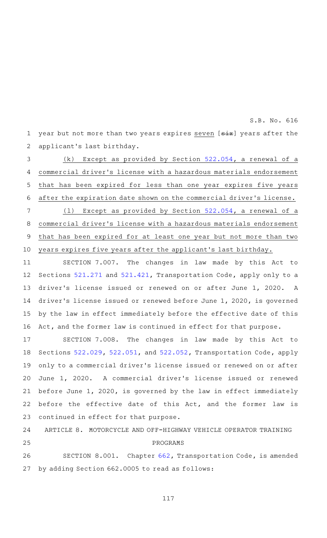year but not more than two years expires seven [six] years after the applicant 's last birthday. 1 2

(k) Except as provided by Section  $522.054$ , a renewal of a commercial driver 's license with a hazardous materials endorsement that has been expired for less than one year expires five years after the expiration date shown on the commercial driver 's license.  $(1)$  Except as provided by Section [522.054,](http://www.statutes.legis.state.tx.us/GetStatute.aspx?Code=TN&Value=522.054&Date=5/27/2019) a renewal of a commercial driver 's license with a hazardous materials endorsement 3 4 5 6 7 8

that has been expired for at least one year but not more than two years expires five years after the applicant 's last birthday. 9 10

SECTION 7.007. The changes in law made by this Act to Sections [521.271](http://www.statutes.legis.state.tx.us/GetStatute.aspx?Code=TN&Value=521.271&Date=5/27/2019) and [521.421](http://www.statutes.legis.state.tx.us/GetStatute.aspx?Code=TN&Value=521.421&Date=5/27/2019), Transportation Code, apply only to a driver 's license issued or renewed on or after June 1, 2020. A driver 's license issued or renewed before June 1, 2020, is governed by the law in effect immediately before the effective date of this Act, and the former law is continued in effect for that purpose. 11 12 13 14 15 16

SECTION 7.008. The changes in law made by this Act to Sections [522.029](http://www.statutes.legis.state.tx.us/GetStatute.aspx?Code=TN&Value=522.029&Date=5/27/2019), [522.051](http://www.statutes.legis.state.tx.us/GetStatute.aspx?Code=TN&Value=522.051&Date=5/27/2019), and [522.052,](http://www.statutes.legis.state.tx.us/GetStatute.aspx?Code=TN&Value=522.052&Date=5/27/2019) Transportation Code, apply only to a commercial driver 's license issued or renewed on or after June 1, 2020. A commercial driver 's license issued or renewed before June 1, 2020, is governed by the law in effect immediately before the effective date of this Act, and the former law is continued in effect for that purpose. 17 18 19 20 21 22 23

ARTICLE 8. MOTORCYCLE AND OFF-HIGHWAY VEHICLE OPERATOR TRAINING PROGRAMS 24 25

SECTION 8.001. Chapter [662,](http://www.statutes.legis.state.tx.us/GetStatute.aspx?Code=TN&Value=662&Date=5/27/2019) Transportation Code, is amended by adding Section 662.0005 to read as follows: 26 27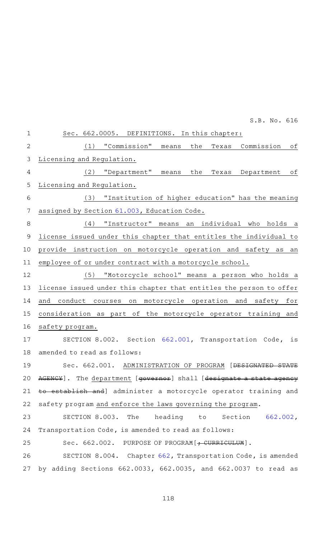Sec. 662.0005. DEFINITIONS. In this chapter: (1) "Commission" means the Texas Commission of Licensing and Regulation. (2) "Department" means the Texas Department of Licensing and Regulation. (3) "Institution of higher education" has the meaning assigned by Section [61.003,](http://www.statutes.legis.state.tx.us/GetStatute.aspx?Code=ED&Value=61.003&Date=5/27/2019) Education Code. (4) "Instructor" means an individual who holds a license issued under this chapter that entitles the individual to provide instruction on motorcycle operation and safety as an employee of or under contract with a motorcycle school. (5) "Motorcycle school" means a person who holds a license issued under this chapter that entitles the person to offer and conduct courses on motorcycle operation and safety for consideration as part of the motorcycle operator training and safety program. SECTION 8.002. Section [662.001,](http://www.statutes.legis.state.tx.us/GetStatute.aspx?Code=TN&Value=662.001&Date=5/27/2019) Transportation Code, is amended to read as follows: Sec. 662.001. ADMINISTRATION OF PROGRAM [DESIGNATED STATE AGENCY]. The department [governor] shall [designate a state agency to establish and] administer a motorcycle operator training and safety program and enforce the laws governing the program. SECTION 8.003. The heading to Section [662.002](http://www.statutes.legis.state.tx.us/GetStatute.aspx?Code=TN&Value=662.002&Date=5/27/2019), Transportation Code, is amended to read as follows: Sec. 662.002. PURPOSE OF PROGRAM [ + CURRICULUM]. SECTION 8.004. Chapter [662,](http://www.statutes.legis.state.tx.us/GetStatute.aspx?Code=TN&Value=662&Date=5/27/2019) Transportation Code, is amended by adding Sections 662.0033, 662.0035, and 662.0037 to read as 1 2 3 4 5 6 7 8 9 10 11 12 13 14 15 16 17 18 19 20 21 22 23 24 25 26 27

118

S.B. No. 616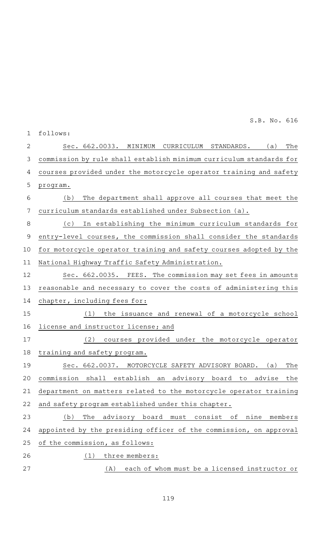| 1           | follows:                                                            |
|-------------|---------------------------------------------------------------------|
| 2           | The<br>Sec. 662.0033. MINIMUM<br>CURRICULUM STANDARDS. (a)          |
| 3           | commission by rule shall establish minimum curriculum standards for |
| 4           | courses provided under the motorcycle operator training and safety  |
| 5           | program.                                                            |
| 6           | The department shall approve all courses that meet the<br>(b)       |
| 7           | curriculum standards established under Subsection (a).              |
| $\,8\,$     | In establishing the minimum curriculum standards for<br>(c)         |
| $\mathsf 9$ | entry-level courses, the commission shall consider the standards    |
| 10          | for motorcycle operator training and safety courses adopted by the  |
| 11          | National Highway Traffic Safety Administration.                     |
| 12          | Sec. 662.0035. FEES. The commission may set fees in amounts         |
| 13          | reasonable and necessary to cover the costs of administering this   |
| 14          | chapter, including fees for:                                        |
| 15          | (1)<br>the issuance and renewal of a motorcycle school              |
| 16          | license and instructor license; and                                 |
| 17          | courses provided under the motorcycle operator<br>(2)               |
| 18          | training and safety program.                                        |
| 19          | MOTORCYCLE SAFETY ADVISORY BOARD.<br>Sec. 662.0037.<br>(a)<br>The   |
| 20          | commission shall establish an advisory board to advise<br>the       |
| 21          | department on matters related to the motorcycle operator training   |
| 22          | and safety program established under this chapter.                  |
| 23          | The advisory board must consist of nine<br>(b)<br>members           |
| 24          | appointed by the presiding officer of the commission, on approval   |
| 25          | of the commission, as follows:                                      |
| 26          | three members:<br>(1)                                               |
| 27          | each of whom must be a licensed instructor or<br>(A)                |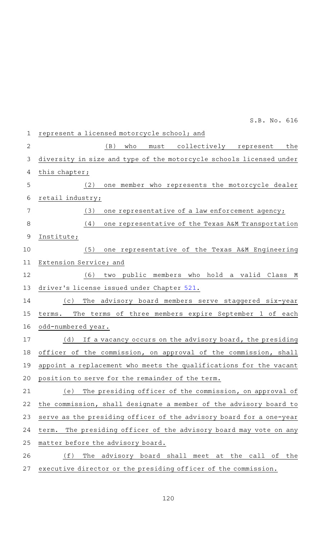represent a licensed motorcycle school; and (B) who must collectively represent the diversity in size and type of the motorcycle schools licensed under this chapter; (2) one member who represents the motorcycle dealer retail industry; (3) one representative of a law enforcement agency; (4) one representative of the Texas A&M Transportation Institute; (5) one representative of the Texas A&M Engineering Extension Service; and (6) two public members who hold a valid Class M driver 's license issued under Chapter [521](http://www.statutes.legis.state.tx.us/GetStatute.aspx?Code=TN&Value=521&Date=5/27/2019). (c) The advisory board members serve staggered six-year terms. The terms of three members expire September 1 of each odd-numbered year. (d) If a vacancy occurs on the advisory board, the presiding officer of the commission, on approval of the commission, shall appoint a replacement who meets the qualifications for the vacant position to serve for the remainder of the term. (e) The presiding officer of the commission, on approval of the commission, shall designate a member of the advisory board to serve as the presiding officer of the advisory board for a one-year term. The presiding officer of the advisory board may vote on any matter before the advisory board. (f) The advisory board shall meet at the call of the executive director or the presiding officer of the commission. 1 2 3 4 5 6 7 8 9 10 11 12 13 14 15 16 17 18 19 20 21 22 23 24 25 26 27

S.B. No. 616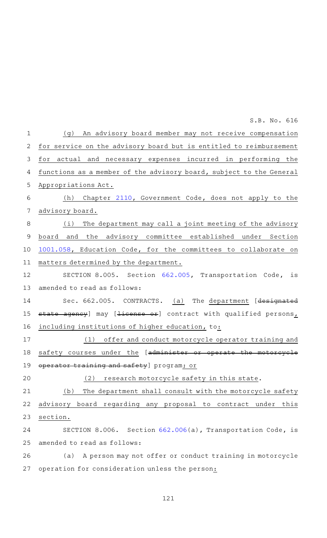(g) An advisory board member may not receive compensation for service on the advisory board but is entitled to reimbursement for actual and necessary expenses incurred in performing the functions as a member of the advisory board, subject to the General Appropriations Act. (h) Chapter [2110](http://www.statutes.legis.state.tx.us/GetStatute.aspx?Code=GV&Value=2110&Date=5/27/2019), Government Code, does not apply to the advisory board.  $(i)$  The department may call a joint meeting of the advisory board and the advisory committee established under Section [1001.058](http://www.statutes.legis.state.tx.us/GetStatute.aspx?Code=ED&Value=1001.058&Date=5/27/2019), Education Code, for the committees to collaborate on matters determined by the department. SECTION 8.005. Section [662.005,](http://www.statutes.legis.state.tx.us/GetStatute.aspx?Code=TN&Value=662.005&Date=5/27/2019) Transportation Code, is amended to read as follows: Sec. 662.005. CONTRACTS. (a) The department [designated state agency] may [<del>license or</del>] contract with qualified persons, including institutions of higher education, to: (1) offer and conduct motorcycle operator training and safety courses under the [administer or operate operator training and safety] program; or  $(2)$  research motorcycle safety in this state. (b) The department shall consult with the motorcycle safety advisory board regarding any proposal to contract under this section. SECTION 8.006. Section [662.006](http://www.statutes.legis.state.tx.us/GetStatute.aspx?Code=TN&Value=662.006&Date=5/27/2019)(a), Transportation Code, is amended to read as follows: (a) A person may not offer or conduct training in motorcycle operation for consideration unless the person: 1 2 3 4 5 6 7 8 9 10 11 12 13 14 15 16 17 18 19 20 21 22 23 24 25 26 27

S.B. No. 616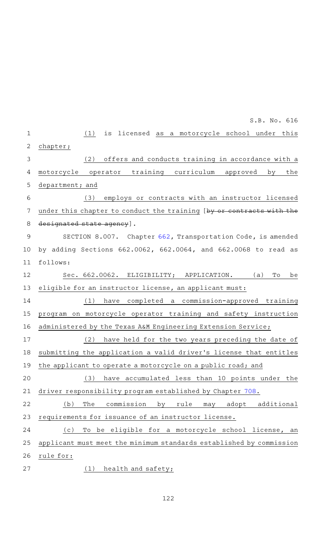(1) is licensed as a motorcycle school under this chapter; (2) offers and conducts training in accordance with a motorcycle operator training curriculum approved by the department; and (3) employs or contracts with an instructor licensed under this chapter to conduct the training [by or contracts with the designated state agency]. SECTION 8.007. Chapter [662,](http://www.statutes.legis.state.tx.us/GetStatute.aspx?Code=TN&Value=662&Date=5/27/2019) Transportation Code, is amended by adding Sections 662.0062, 662.0064, and 662.0068 to read as follows: Sec. 662.0062. ELIGIBILITY; APPLICATION. (a) To be eligible for an instructor license, an applicant must: (1) have completed a commission-approved training program on motorcycle operator training and safety instruction administered by the Texas A&M Engineering Extension Service; (2) have held for the two years preceding the date of submitting the application a valid driver 's license that entitles the applicant to operate a motorcycle on a public road; and (3) have accumulated less than 10 points under the driver responsibility program established by Chapter [708.](http://www.statutes.legis.state.tx.us/GetStatute.aspx?Code=TN&Value=708&Date=5/27/2019) (b) The commission by rule may adopt additional requirements for issuance of an instructor license. (c) To be eligible for a motorcycle school license, an applicant must meet the minimum standards established by commission rule for:  $(1)$  health and safety; 1 2 3 4 5 6 7 8 9 10 11 12 13 14 15 16 17 18 19 20 21 22 23 24 25 26 27 S.B. No. 616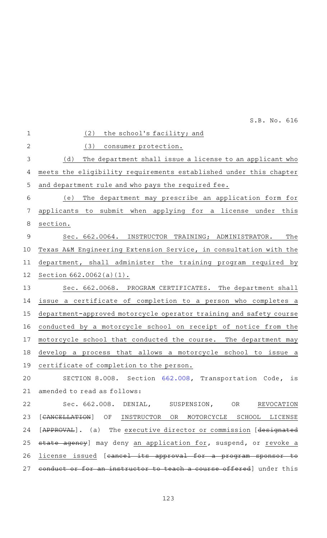|                | S.B. No. 616                                                             |
|----------------|--------------------------------------------------------------------------|
| $\mathbf 1$    | (2)<br>the school's facility; and                                        |
| $\overline{2}$ | (3)<br>consumer protection.                                              |
| 3              | (d)<br>The department shall issue a license to an applicant who          |
| 4              | meets the eligibility requirements established under this chapter        |
| 5              | and department rule and who pays the required fee.                       |
| 6              | The department may prescribe an application form for<br>(e)              |
| 7              | applicants to submit when applying for a license under<br>this           |
| 8              | section.                                                                 |
| $\mathsf 9$    | The<br>Sec. 662.0064. INSTRUCTOR TRAINING; ADMINISTRATOR.                |
| 10             | Texas A&M Engineering Extension Service, in consultation with the        |
| 11             | department, shall administer the training program required by            |
| 12             | Section $662.0062(a)(1)$ .                                               |
| 13             | Sec. 662.0068. PROGRAM CERTIFICATES. The department shall                |
| 14             | issue a certificate of completion to a person who completes a            |
| 15             | department-approved motorcycle operator training and safety course       |
| 16             | conducted by a motorcycle school on receipt of notice from the           |
| 17             | motorcycle school that conducted the course. The department may          |
| 18             | develop a process that allows a motorcycle school to issue a             |
| 19             | certificate of completion to the person.                                 |
| 20             | SECTION 8.008. Section 662.008, Transportation Code, is                  |
| 21             | amended to read as follows:                                              |
| 22             | Sec. 662.008. DENIAL, SUSPENSION, OR<br>REVOCATION                       |
| 23             | [CANCELLATION] OF INSTRUCTOR OR MOTORCYCLE SCHOOL LICENSE                |
| 24             | [APPROVAL]. (a) The executive director or commission [designated         |
| 25             | state agency] may deny an application for, suspend, or revoke a          |
| 26             | license issued [ <del>cancel its approval for a program sponsor to</del> |
|                | 27 conduct or for an instructor to teach a course offered] under this    |
|                |                                                                          |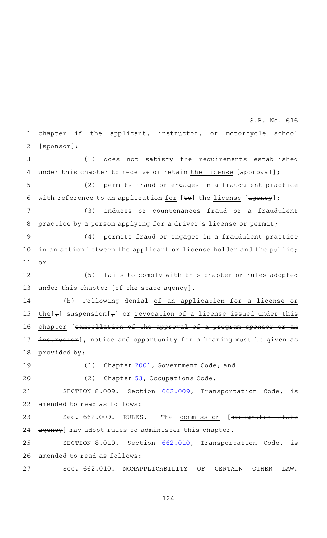chapter if the applicant, instructor, or motorcycle school [sponsor]: 1 2

(1) does not satisfy the requirements established under this chapter to receive or retain the license [approval]; 3 4

(2) permits fraud or engages in a fraudulent practice with reference to an application for  $[±e]$  the license  $[ageney]$ ; 5 6

(3) induces or countenances fraud or a fraudulent practice by a person applying for a driver's license or permit; 7 8

(4) permits fraud or engages in a fraudulent practice in an action between the applicant or license holder and the public; or 9 10 11

(5) fails to comply with this chapter or rules adopted under this chapter [of the state agency]. 12 13

(b) Following denial of an application for a license or the  $\left[\frac{1}{\tau}\right]$  suspension  $\left[\frac{1}{\tau}\right]$  or revocation of a license issued under this chapter [cancellation of the approval of a program sponsor or an instructor], notice and opportunity for a hearing must be given as provided by: 14 15 16 17 18

19

20

(1) Chapter [2001](http://www.statutes.legis.state.tx.us/GetStatute.aspx?Code=GV&Value=2001&Date=5/27/2019), Government Code; and

(2) Chapter [53](http://www.statutes.legis.state.tx.us/GetStatute.aspx?Code=OC&Value=53&Date=5/27/2019), Occupations Code.

SECTION 8.009. Section [662.009,](http://www.statutes.legis.state.tx.us/GetStatute.aspx?Code=TN&Value=662.009&Date=5/27/2019) Transportation Code, is amended to read as follows: 21 22

Sec. 662.009. RULES. The commission [designated stat agency] may adopt rules to administer this chapter. 23 24

SECTION 8.010. Section [662.010,](http://www.statutes.legis.state.tx.us/GetStatute.aspx?Code=TN&Value=662.010&Date=5/27/2019) Transportation Code, is amended to read as follows: 25 26

Sec. 662.010. NONAPPLICABILITY OF CERTAIN OTHER LAW. 27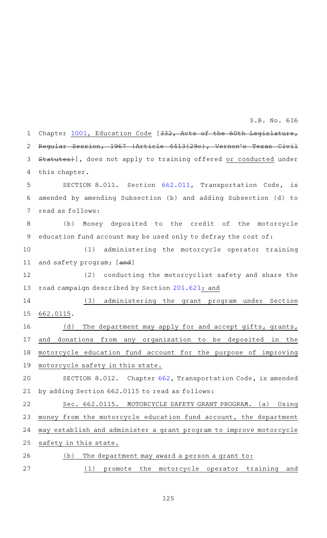Chapter [1001,](http://www.statutes.legis.state.tx.us/GetStatute.aspx?Code=ED&Value=1001&Date=5/27/2019) Education Code [332, Acts of the 60th Legislature, Regular Session, 1967 (Article 4413(29c), Vernon 's Texas Civil Statutes)], does not apply to training offered or conducted under this chapter. SECTION 8.011. Section [662.011,](http://www.statutes.legis.state.tx.us/GetStatute.aspx?Code=TN&Value=662.011&Date=5/27/2019) Transportation Code, is amended by amending Subsection (b) and adding Subsection (d) to read as follows: (b) Money deposited to the credit of the motorcycle education fund account may be used only to defray the cost of: (1) administering the motorcycle operator training and safety program; [and] (2) conducting the motorcyclist safety and share the road campaign described by Section [201.621](http://www.statutes.legis.state.tx.us/GetStatute.aspx?Code=TN&Value=201.621&Date=5/27/2019); and (3) administering the grant program under Section 662.0115. (d) The department may apply for and accept gifts, grants, and donations from any organization to be deposited in the motorcycle education fund account for the purpose of improving motorcycle safety in this state. SECTION 8.012. Chapter [662,](http://www.statutes.legis.state.tx.us/GetStatute.aspx?Code=TN&Value=662&Date=5/27/2019) Transportation Code, is amended by adding Section 662.0115 to read as follows: Sec. 662.0115. MOTORCYCLE SAFETY GRANT PROGRAM. (a) Using money from the motorcycle education fund account, the department may establish and administer a grant program to improve motorcycle safety in this state.  $(b)$  The department may award a person a grant to: (1) promote the motorcycle operator training and 1 2 3 4 5 6 7 8 9 10 11 12 13 14 15 16 17 18 19 20 21 22 23 24 25 26 27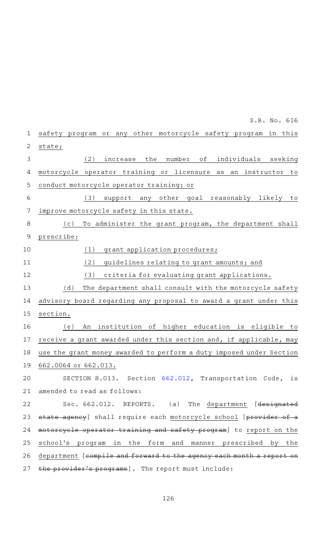safety program or any other motorcycle safety program in this state; (2) increase the number of individuals seeking motorcycle operator training or licensure as an instructor to conduct motorcycle operator training; or (3) support any other goal reasonably likely to improve motorcycle safety in this state. (c) To administer the grant program, the department shall prescribe: (1) grant application procedures; (2) guidelines relating to grant amounts; and (3) criteria for evaluating grant applications. (d) The department shall consult with the motorcycle safety advisory board regarding any proposal to award a grant under this section. (e) An institution of higher education is eligible to receive a grant awarded under this section and, if applicable, may use the grant money awarded to perform a duty imposed under Section 662.0064 or 662.013. SECTION 8.013. Section [662.012,](http://www.statutes.legis.state.tx.us/GetStatute.aspx?Code=TN&Value=662.012&Date=5/27/2019) Transportation Code, is amended to read as follows: Sec. 662.012. REPORTS. (a) The department [designated state agency] shall require each motorcycle school [provider of a motorcycle operator training and safety program] to report on the school 's program in the form and manner prescribed by the department [compile and forward to the agency each month a report the provider's programs]. The report must include: 1 2 3 4 5 6 7 8 9 10 11 12 13 14 15 16 17 18 19 20 21 22 23 24 25 26 27

S.B. No. 616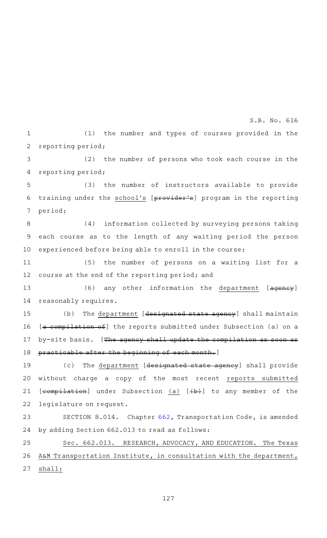(1) the number and types of courses provided in the reporting period; 1 2

(2) the number of persons who took each course in the reporting period; 3 4

(3) the number of instructors available to provide training under the school's [provider's] program in the reporting period; 5 6 7

(4) information collected by surveying persons taking each course as to the length of any waiting period the person experienced before being able to enroll in the course; 8 9 10

(5) the number of persons on a waiting list for a course at the end of the reporting period; and 11 12

(6) any other information the department [agency] reasonably requires. 13 14

 $(b)$  The department [designated state agency] shall maintain [a compilation of] the reports submitted under Subsection (a) on a by-site basis. [The agency shall update the compilation as soon practicable after the beginning of each month.] 15 16 17 18

(c) The department [designated state agency] shall provide without charge a copy of the most recent reports submitted  $[compilation]$  under Subsection  $(a)$   $[(**b**)$  to any member of the legislature on request. 19 20 21 22

SECTION 8.014. Chapter [662,](http://www.statutes.legis.state.tx.us/GetStatute.aspx?Code=TN&Value=662&Date=5/27/2019) Transportation Code, is amended by adding Section 662.013 to read as follows: 23 24

Sec. 662.013. RESEARCH, ADVOCACY, AND EDUCATION. The Texas A&M Transportation Institute, in consultation with the department, shall: 25 26 27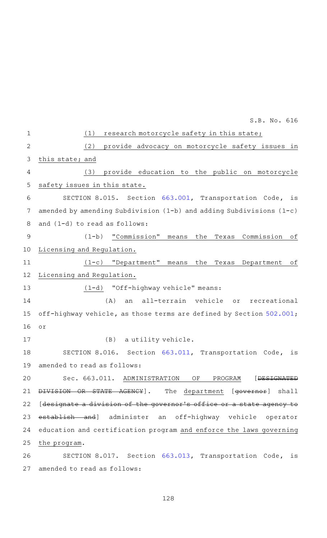|                | S.B. No. 616                                                            |
|----------------|-------------------------------------------------------------------------|
| $\mathbf 1$    | (1)<br>research motorcycle safety in this state;                        |
| $\overline{2}$ | (2)<br>provide advocacy on motorcycle safety issues in                  |
| 3              | this state; and                                                         |
| 4              | provide education to the public on motorcycle<br>(3)                    |
| 5              | safety issues in this state.                                            |
| 6              | SECTION 8.015. Section 663.001, Transportation Code, is                 |
| 7              | amended by amending Subdivision $(1-b)$ and adding Subdivisions $(1-c)$ |
| 8              | and (1-d) to read as follows:                                           |
| $\mathcal{G}$  | "Commission"<br>Commission<br>$(1-b)$<br>оf<br>the<br>means<br>Texas    |
| 10             | Licensing and Regulation.                                               |
| 11             | $(1-c)$ "Department"<br>the<br>Department<br>оf<br>means<br>Texas       |
| 12             | Licensing and Regulation.                                               |
| 13             | (1-d) "Off-highway vehicle" means:                                      |
| 14             | (A)<br>an all-terrain vehicle<br>or<br>recreational                     |
| 15             | off-highway vehicle, as those terms are defined by Section 502.001;     |
| 16             | or                                                                      |
| 17             | (B)<br>a utility vehicle.                                               |
| 18             | SECTION 8.016. Section 663.011, Transportation Code, is                 |
| 19             | amended to read as follows:                                             |
| 20             | [DESIGNATED<br>Sec. 663.011. ADMINISTRATION<br>OF<br>PROGRAM            |
| 21             | The department [governor] shall<br>DIVISION OR STATE AGENCY .           |
| 22             | [designate a division of the governor's office or a state agency to     |
| 23             | establish and] administer an off-highway vehicle operator               |
| 24             | education and certification program and enforce the laws governing      |
| 25             | the program.                                                            |
| 26             | SECTION 8.017. Section 663.013, Transportation Code, is                 |
| 27             | amended to read as follows:                                             |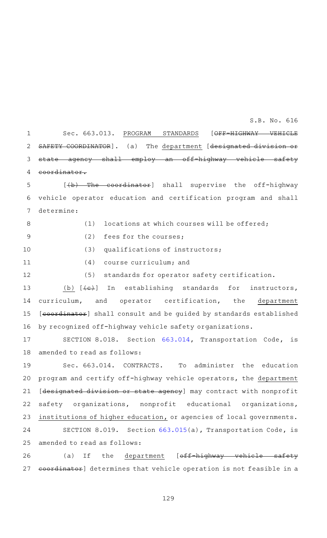Sec. 663.013. PROGRAM STANDARDS [OFF-HIGHWAY VEHICLE SAFETY COORDINATOR]. (a) The department [designated division or state agency shall employ an off-highway vehicle safety coordinator. 1 2 3 4

 $[\frac{1}{b} + \frac{1}{b}]$  shall supervise the off-highway vehicle operator education and certification program and shall determine: 5 6 7

 $(1)$  locations at which courses will be offered;

8

9

 $(2)$  fees for the courses;

 $(3)$  qualifications of instructors; 10

 $(4)$  course curriculum; and 11

(5) standards for operator safety certification. 12

(b)  $[\overline{\text{e}}]$  In establishing standards for instructors, curriculum, and operator certification, the department [coordinator] shall consult and be quided by standards established by recognized off-highway vehicle safety organizations. 13 14 15 16

SECTION 8.018. Section [663.014,](http://www.statutes.legis.state.tx.us/GetStatute.aspx?Code=TN&Value=663.014&Date=5/27/2019) Transportation Code, is amended to read as follows: 17 18

Sec. 663.014. CONTRACTS. To administer the education program and certify off-highway vehicle operators, the department [designated division or state agency] may contract with nonprofit safety organizations, nonprofit educational organizations, institutions of higher education, or agencies of local governments. SECTION 8.019. Section [663.015](http://www.statutes.legis.state.tx.us/GetStatute.aspx?Code=TN&Value=663.015&Date=5/27/2019)(a), Transportation Code, is amended to read as follows: 19 20 21 22 23 24 25

(a) If the department [off-highway vehicle safety coordinator] determines that vehicle operation is not feasible in a 26 27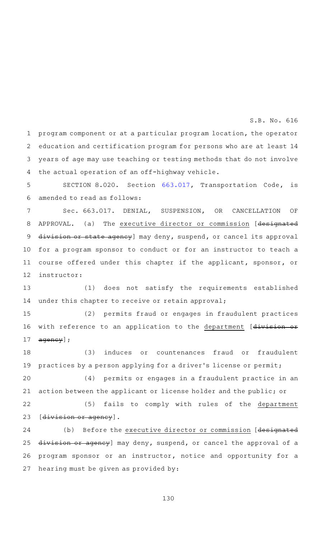program component or at a particular program location, the operator education and certification program for persons who are at least 14 years of age may use teaching or testing methods that do not involve the actual operation of an off-highway vehicle. 1 2 3 4

SECTION 8.020. Section [663.017,](http://www.statutes.legis.state.tx.us/GetStatute.aspx?Code=TN&Value=663.017&Date=5/27/2019) Transportation Code, is amended to read as follows: 5 6

Sec. 663.017. DENIAL, SUSPENSION, OR CANCELLATION OF APPROVAL. (a) The executive director or commission [designated division or state agency] may deny, suspend, or cancel its approval for a program sponsor to conduct or for an instructor to teach a course offered under this chapter if the applicant, sponsor, or instructor: 7 8 9 10 11 12

(1) does not satisfy the requirements established under this chapter to receive or retain approval; 13 14

(2) permits fraud or engages in fraudulent practices with reference to an application to the department [divisionagency]; 15 16 17

(3) induces or countenances fraud or fraudulent practices by a person applying for a driver's license or permit; 18 19

(4) permits or engages in a fraudulent practice in an action between the applicant or license holder and the public; or 20 21

(5) fails to comply with rules of the department [division or agency]. 22 23

(b) Before the executive director or commission [designated division or agency] may deny, suspend, or cancel the approval of a program sponsor or an instructor, notice and opportunity for a hearing must be given as provided by: 24 25 26 27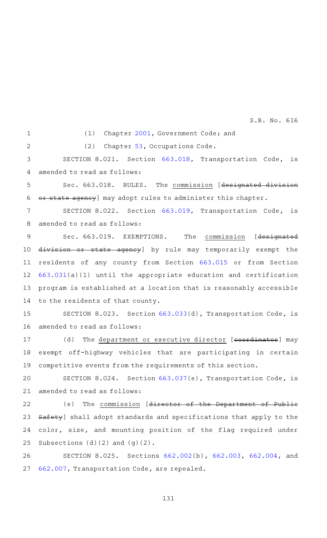1  $\mathcal{D}$ 

(1) Chapter [2001](http://www.statutes.legis.state.tx.us/GetStatute.aspx?Code=GV&Value=2001&Date=5/27/2019), Government Code; and

(2) Chapter  $53$ , Occupations Code.

SECTION 8.021. Section [663.018,](http://www.statutes.legis.state.tx.us/GetStatute.aspx?Code=TN&Value=663.018&Date=5/27/2019) Transportation Code, is amended to read as follows: 3 4

Sec. 663.018. RULES. The commission [designated division or state agency] may adopt rules to administer this chapter. 5 6

SECTION 8.022. Section [663.019,](http://www.statutes.legis.state.tx.us/GetStatute.aspx?Code=TN&Value=663.019&Date=5/27/2019) Transportation Code, is amended to read as follows: 7 8

Sec. 663.019. EXEMPTIONS. The commission [designated division or state agency] by rule may temporarily exempt the residents of any county from Section [663.015](http://www.statutes.legis.state.tx.us/GetStatute.aspx?Code=TN&Value=663.015&Date=5/27/2019) or from Section [663.031\(](http://www.statutes.legis.state.tx.us/GetStatute.aspx?Code=TN&Value=663.031&Date=5/27/2019)a)(1) until the appropriate education and certification program is established at a location that is reasonably accessible to the residents of that county. 9 10 11 12 13 14

SECTION 8.023. Section [663.033](http://www.statutes.legis.state.tx.us/GetStatute.aspx?Code=TN&Value=663.033&Date=5/27/2019)(d), Transportation Code, is amended to read as follows: 15 16

(d) The department or executive director [coordinator] may exempt off-highway vehicles that are participating in certain competitive events from the requirements of this section. 17 18 19

SECTION 8.024. Section [663.037](http://www.statutes.legis.state.tx.us/GetStatute.aspx?Code=TN&Value=663.037&Date=5/27/2019)(e), Transportation Code, is amended to read as follows: 20 21

(e) The commission [director of the Department of Public Safety] shall adopt standards and specifications that apply to the color, size, and mounting position of the flag required under Subsections (d)(2) and (g)(2). 22 23 24 25

SECTION 8.025. Sections [662.002\(](http://www.statutes.legis.state.tx.us/GetStatute.aspx?Code=TN&Value=662.002&Date=5/27/2019)b), [662.003,](http://www.statutes.legis.state.tx.us/GetStatute.aspx?Code=TN&Value=662.003&Date=5/27/2019) [662.004,](http://www.statutes.legis.state.tx.us/GetStatute.aspx?Code=TN&Value=662.004&Date=5/27/2019) and [662.007,](http://www.statutes.legis.state.tx.us/GetStatute.aspx?Code=TN&Value=662.007&Date=5/27/2019) Transportation Code, are repealed. 26 27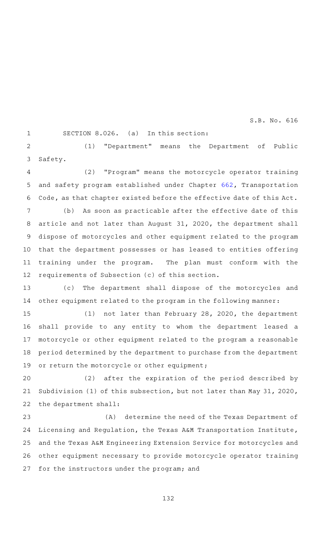1

SECTION  $8.026.$  (a) In this section:

(1) "Department" means the Department of Public Safety. 2 3

(2) "Program" means the motorcycle operator training and safety program established under Chapter [662,](http://www.statutes.legis.state.tx.us/GetStatute.aspx?Code=TN&Value=662&Date=5/27/2019) Transportation Code, as that chapter existed before the effective date of this Act. 4 5 6

(b) As soon as practicable after the effective date of this article and not later than August 31, 2020, the department shall dispose of motorcycles and other equipment related to the program that the department possesses or has leased to entities offering training under the program. The plan must conform with the requirements of Subsection (c) of this section. 7 8 9 10 11 12

(c) The department shall dispose of the motorcycles and other equipment related to the program in the following manner: 13 14

(1) not later than February 28, 2020, the department shall provide to any entity to whom the department leased a motorcycle or other equipment related to the program a reasonable period determined by the department to purchase from the department or return the motorcycle or other equipment; 15 16 17 18 19

(2) after the expiration of the period described by Subdivision (1) of this subsection, but not later than May 31, 2020, the department shall: 20 21 22

(A) determine the need of the Texas Department of Licensing and Regulation, the Texas A&M Transportation Institute, and the Texas A&M Engineering Extension Service for motorcycles and other equipment necessary to provide motorcycle operator training for the instructors under the program; and 23 24 25 26 27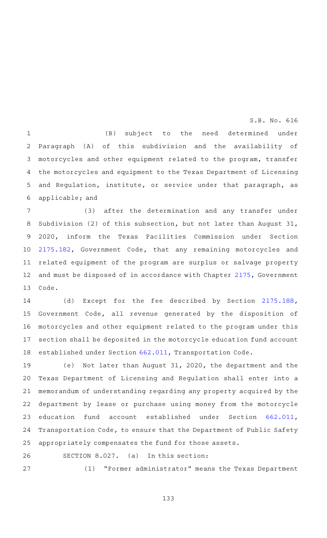(B) subject to the need determined under Paragraph (A) of this subdivision and the availability of motorcycles and other equipment related to the program, transfer the motorcycles and equipment to the Texas Department of Licensing and Regulation, institute, or service under that paragraph, as applicable; and 1 2 3 4 5 6

(3) after the determination and any transfer under Subdivision (2) of this subsection, but not later than August 31, 2020, inform the Texas Facilities Commission under Section [2175.182](http://www.statutes.legis.state.tx.us/GetStatute.aspx?Code=GV&Value=2175.182&Date=5/27/2019), Government Code, that any remaining motorcycles and related equipment of the program are surplus or salvage property and must be disposed of in accordance with Chapter [2175](http://www.statutes.legis.state.tx.us/GetStatute.aspx?Code=GV&Value=2175&Date=5/27/2019), Government Code. 7 8 9 10 11 12 13

(d) Except for the fee described by Section [2175.188](http://www.statutes.legis.state.tx.us/GetStatute.aspx?Code=GV&Value=2175.188&Date=5/27/2019), Government Code, all revenue generated by the disposition of motorcycles and other equipment related to the program under this section shall be deposited in the motorcycle education fund account established under Section [662.011,](http://www.statutes.legis.state.tx.us/GetStatute.aspx?Code=TN&Value=662.011&Date=5/27/2019) Transportation Code. 14 15 16 17 18

(e) Not later than August 31, 2020, the department and the Texas Department of Licensing and Regulation shall enter into a memorandum of understanding regarding any property acquired by the department by lease or purchase using money from the motorcycle education fund account established under Section [662.011](http://www.statutes.legis.state.tx.us/GetStatute.aspx?Code=TN&Value=662.011&Date=5/27/2019), Transportation Code, to ensure that the Department of Public Safety appropriately compensates the fund for those assets. 19 20 21 22 23 24 25

SECTION  $8.027.$  (a) In this section: 26

27

(1) "Former administrator" means the Texas Department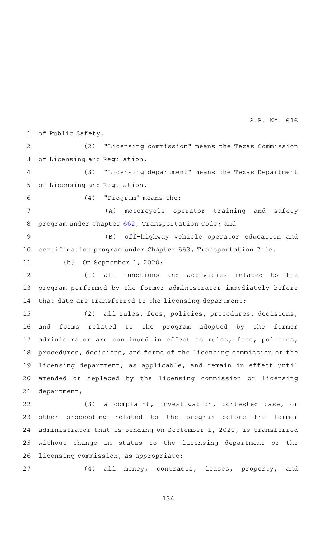of Public Safety. 1

(2) "Licensing commission" means the Texas Commission of Licensing and Regulation. 2 3

(3) "Licensing department" means the Texas Department of Licensing and Regulation. 4 5

6

 $(4)$  "Program" means the:

(A) motorcycle operator training and safety program under Chapter [662](http://www.statutes.legis.state.tx.us/GetStatute.aspx?Code=TN&Value=662&Date=5/27/2019), Transportation Code; and 7 8

(B) off-highway vehicle operator education and certification program under Chapter [663](http://www.statutes.legis.state.tx.us/GetStatute.aspx?Code=TN&Value=663&Date=5/27/2019), Transportation Code. 9 10

(b) On September 1, 2020: 11

(1) all functions and activities related to the program performed by the former administrator immediately before that date are transferred to the licensing department; 12 13 14

(2) all rules, fees, policies, procedures, decisions, and forms related to the program adopted by the former administrator are continued in effect as rules, fees, policies, procedures, decisions, and forms of the licensing commission or the licensing department, as applicable, and remain in effect until amended or replaced by the licensing commission or licensing department; 15 16 17 18 19 20 21

(3) a complaint, investigation, contested case, or other proceeding related to the program before the former administrator that is pending on September 1, 2020, is transferred without change in status to the licensing department or the licensing commission, as appropriate; 22 23 24 25 26

(4) all money, contracts, leases, property, and 27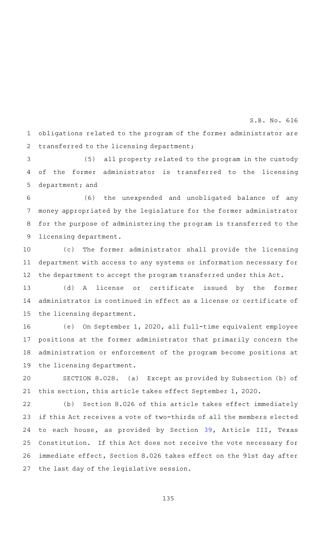obligations related to the program of the former administrator are transferred to the licensing department; 1 2

(5) all property related to the program in the custody of the former administrator is transferred to the licensing department; and 3 4 5

(6) the unexpended and unobligated balance of any money appropriated by the legislature for the former administrator for the purpose of administering the program is transferred to the licensing department. 6 7 8 9

(c) The former administrator shall provide the licensing department with access to any systems or information necessary for the department to accept the program transferred under this Act. 10 11 12

(d) A license or certificate issued by the former administrator is continued in effect as a license or certificate of the licensing department. 13 14 15

(e) On September 1, 2020, all full-time equivalent employee positions at the former administrator that primarily concern the administration or enforcement of the program become positions at the licensing department. 16 17 18 19

SECTION 8.028. (a) Except as provided by Subsection (b) of this section, this article takes effect September 1, 2020. 20 21

(b) Section 8.026 of this article takes effect immediately if this Act receives a vote of two-thirds of all the members elected to each house, as provided by Section [39](http://www.statutes.legis.state.tx.us/GetStatute.aspx?Code=CN&Value=3.39&Date=5/27/2019), Article III, Texas Constitution. If this Act does not receive the vote necessary for immediate effect, Section 8.026 takes effect on the 91st day after the last day of the legislative session. 22 23 24 25 26 27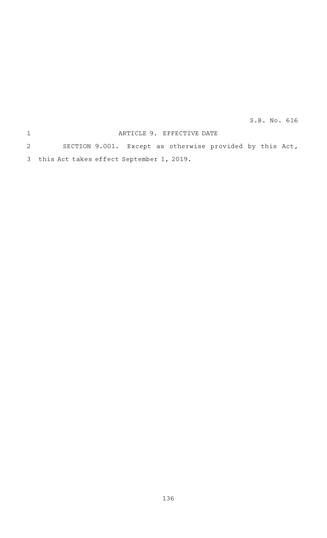## ARTICLE 9. EFFECTIVE DATE SECTION 9.001. Except as otherwise provided by this Act, this Act takes effect September 1, 2019. 3 1 2